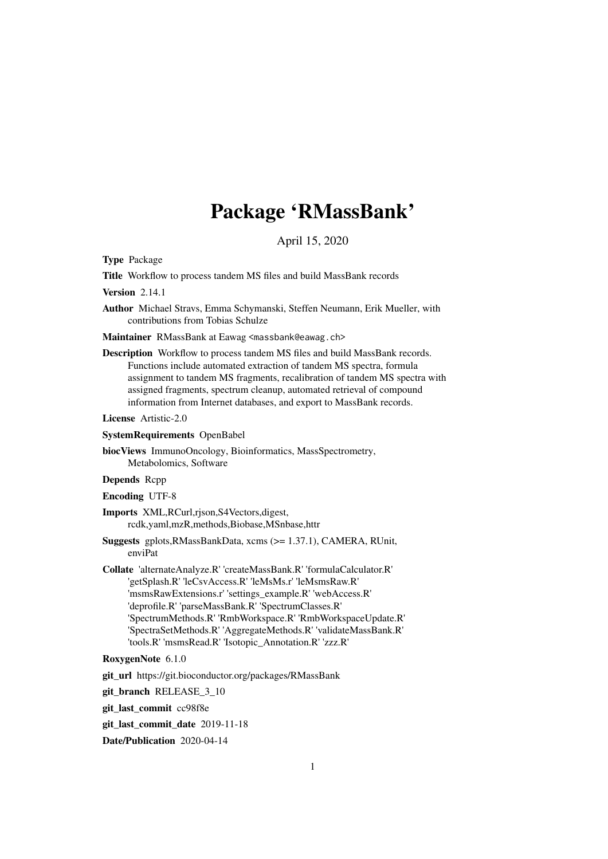# Package 'RMassBank'

April 15, 2020

Type Package

Title Workflow to process tandem MS files and build MassBank records

Version 2.14.1

Author Michael Stravs, Emma Schymanski, Steffen Neumann, Erik Mueller, with contributions from Tobias Schulze

Maintainer RMassBank at Eawag <massbank@eawag.ch>

Description Workflow to process tandem MS files and build MassBank records. Functions include automated extraction of tandem MS spectra, formula assignment to tandem MS fragments, recalibration of tandem MS spectra with assigned fragments, spectrum cleanup, automated retrieval of compound information from Internet databases, and export to MassBank records.

License Artistic-2.0

SystemRequirements OpenBabel

biocViews ImmunoOncology, Bioinformatics, MassSpectrometry, Metabolomics, Software

Depends Rcpp

Encoding UTF-8

Imports XML,RCurl,rjson,S4Vectors,digest, rcdk,yaml,mzR,methods,Biobase,MSnbase,httr

Suggests gplots,RMassBankData, xcms (>= 1.37.1), CAMERA, RUnit, enviPat

Collate 'alternateAnalyze.R' 'createMassBank.R' 'formulaCalculator.R' 'getSplash.R' 'leCsvAccess.R' 'leMsMs.r' 'leMsmsRaw.R' 'msmsRawExtensions.r' 'settings\_example.R' 'webAccess.R' 'deprofile.R' 'parseMassBank.R' 'SpectrumClasses.R' 'SpectrumMethods.R' 'RmbWorkspace.R' 'RmbWorkspaceUpdate.R' 'SpectraSetMethods.R' 'AggregateMethods.R' 'validateMassBank.R' 'tools.R' 'msmsRead.R' 'Isotopic\_Annotation.R' 'zzz.R'

#### RoxygenNote 6.1.0

git\_url https://git.bioconductor.org/packages/RMassBank

git\_branch RELEASE\_3\_10

git\_last\_commit cc98f8e

git\_last\_commit\_date 2019-11-18

Date/Publication 2020-04-14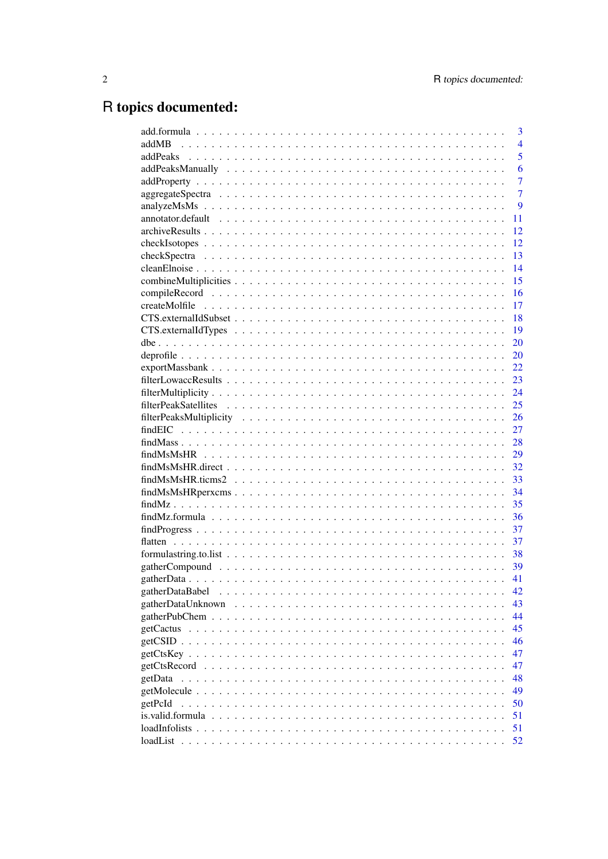# R topics documented:

|                                                                                                                         |  |  |  |  |  |  |  |  |  |  |  |  | 3              |
|-------------------------------------------------------------------------------------------------------------------------|--|--|--|--|--|--|--|--|--|--|--|--|----------------|
| addMB                                                                                                                   |  |  |  |  |  |  |  |  |  |  |  |  | $\overline{4}$ |
|                                                                                                                         |  |  |  |  |  |  |  |  |  |  |  |  | 5              |
|                                                                                                                         |  |  |  |  |  |  |  |  |  |  |  |  | 6              |
|                                                                                                                         |  |  |  |  |  |  |  |  |  |  |  |  | $\overline{7}$ |
|                                                                                                                         |  |  |  |  |  |  |  |  |  |  |  |  | $\overline{7}$ |
|                                                                                                                         |  |  |  |  |  |  |  |  |  |  |  |  | 9              |
|                                                                                                                         |  |  |  |  |  |  |  |  |  |  |  |  | 11             |
|                                                                                                                         |  |  |  |  |  |  |  |  |  |  |  |  | 12             |
|                                                                                                                         |  |  |  |  |  |  |  |  |  |  |  |  | 12             |
|                                                                                                                         |  |  |  |  |  |  |  |  |  |  |  |  | 13             |
|                                                                                                                         |  |  |  |  |  |  |  |  |  |  |  |  | 14             |
|                                                                                                                         |  |  |  |  |  |  |  |  |  |  |  |  | 15             |
|                                                                                                                         |  |  |  |  |  |  |  |  |  |  |  |  | 16             |
|                                                                                                                         |  |  |  |  |  |  |  |  |  |  |  |  | 17             |
|                                                                                                                         |  |  |  |  |  |  |  |  |  |  |  |  | 18             |
|                                                                                                                         |  |  |  |  |  |  |  |  |  |  |  |  | 19             |
|                                                                                                                         |  |  |  |  |  |  |  |  |  |  |  |  | 20             |
|                                                                                                                         |  |  |  |  |  |  |  |  |  |  |  |  | 20             |
| $exportMassbank \dots \dots \dots \dots \dots \dots \dots \dots \dots \dots \dots \dots \dots \dots \dots \dots$        |  |  |  |  |  |  |  |  |  |  |  |  | 22             |
|                                                                                                                         |  |  |  |  |  |  |  |  |  |  |  |  | 23             |
|                                                                                                                         |  |  |  |  |  |  |  |  |  |  |  |  | 24             |
|                                                                                                                         |  |  |  |  |  |  |  |  |  |  |  |  | 25             |
|                                                                                                                         |  |  |  |  |  |  |  |  |  |  |  |  | 26             |
|                                                                                                                         |  |  |  |  |  |  |  |  |  |  |  |  | 27             |
|                                                                                                                         |  |  |  |  |  |  |  |  |  |  |  |  | 28             |
|                                                                                                                         |  |  |  |  |  |  |  |  |  |  |  |  | 29             |
| $findMsMSHR.direct$                                                                                                     |  |  |  |  |  |  |  |  |  |  |  |  | 32             |
| $findMsMSHR.ticms2$                                                                                                     |  |  |  |  |  |  |  |  |  |  |  |  | 33             |
|                                                                                                                         |  |  |  |  |  |  |  |  |  |  |  |  | 34             |
|                                                                                                                         |  |  |  |  |  |  |  |  |  |  |  |  | 35             |
| $findMz. formula \dots \dots \dots \dots \dots \dots \dots \dots \dots \dots \dots \dots \dots \dots \dots \dots \dots$ |  |  |  |  |  |  |  |  |  |  |  |  | 36             |
|                                                                                                                         |  |  |  |  |  |  |  |  |  |  |  |  | 37             |
|                                                                                                                         |  |  |  |  |  |  |  |  |  |  |  |  | 37             |
|                                                                                                                         |  |  |  |  |  |  |  |  |  |  |  |  | 38             |
|                                                                                                                         |  |  |  |  |  |  |  |  |  |  |  |  |                |
|                                                                                                                         |  |  |  |  |  |  |  |  |  |  |  |  | 41             |
| gatherDataBabel                                                                                                         |  |  |  |  |  |  |  |  |  |  |  |  |                |
|                                                                                                                         |  |  |  |  |  |  |  |  |  |  |  |  | 42             |
| gatherDataUnknown                                                                                                       |  |  |  |  |  |  |  |  |  |  |  |  | 43             |
|                                                                                                                         |  |  |  |  |  |  |  |  |  |  |  |  | 44             |
|                                                                                                                         |  |  |  |  |  |  |  |  |  |  |  |  | 45             |
|                                                                                                                         |  |  |  |  |  |  |  |  |  |  |  |  | 46             |
|                                                                                                                         |  |  |  |  |  |  |  |  |  |  |  |  | 47             |
|                                                                                                                         |  |  |  |  |  |  |  |  |  |  |  |  | 47             |
| getData                                                                                                                 |  |  |  |  |  |  |  |  |  |  |  |  | 48             |
|                                                                                                                         |  |  |  |  |  |  |  |  |  |  |  |  | 49             |
| getPcId                                                                                                                 |  |  |  |  |  |  |  |  |  |  |  |  | 50             |
|                                                                                                                         |  |  |  |  |  |  |  |  |  |  |  |  | 51             |
| loadInfolists                                                                                                           |  |  |  |  |  |  |  |  |  |  |  |  | 51             |
|                                                                                                                         |  |  |  |  |  |  |  |  |  |  |  |  | 52             |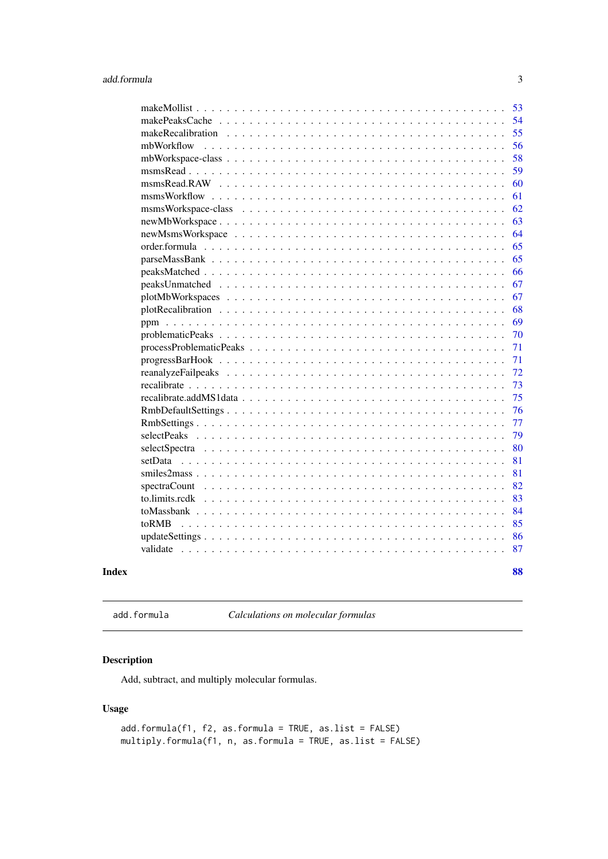<span id="page-2-0"></span>

|            | 53 |
|------------|----|
|            | 54 |
|            | 55 |
| mbWorkflow | 56 |
|            | 58 |
|            | 59 |
|            | 60 |
|            | 61 |
|            | 62 |
|            | 63 |
|            | 64 |
|            | 65 |
|            | 65 |
|            | 66 |
|            | 67 |
|            | 67 |
|            | 68 |
|            | 69 |
|            | 70 |
|            | 71 |
|            | 71 |
|            | 72 |
|            | 73 |
|            | 75 |
|            | 76 |
|            | 77 |
|            | 79 |
|            | 80 |
|            | 81 |
|            | 81 |
|            | 82 |
|            | 83 |
|            | 84 |
| toRMB      | 85 |
|            | 86 |
|            | 87 |
|            |    |
| Index      | 88 |

add.formula *Calculations on molecular formulas*

# Description

Add, subtract, and multiply molecular formulas.

```
add.formula(f1, f2, as.formula = TRUE, as.list = FALSE)
multiply.formula(f1, n, as.formula = TRUE, as.list = FALSE)
```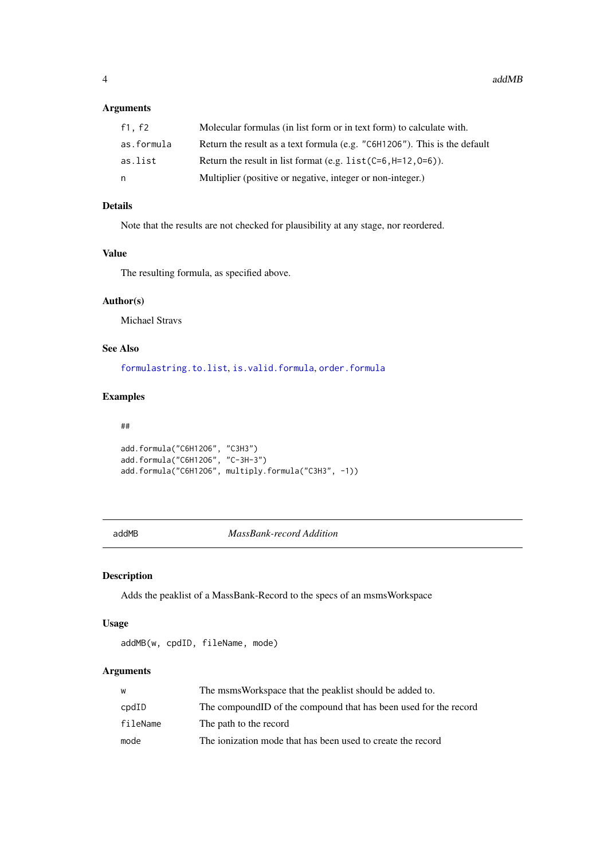# <span id="page-3-0"></span>Arguments

| f1.f2      | Molecular formulas (in list form or in text form) to calculate with.      |
|------------|---------------------------------------------------------------------------|
| as.formula | Return the result as a text formula (e.g. "C6H1206"). This is the default |
| as.list    | Return the result in list format (e.g. $list$ $(C=6, H=12, 0=6)$ ).       |
| n          | Multiplier (positive or negative, integer or non-integer.)                |

# Details

Note that the results are not checked for plausibility at any stage, nor reordered.

# Value

The resulting formula, as specified above.

# Author(s)

Michael Stravs

# See Also

[formulastring.to.list](#page-37-1), [is.valid.formula](#page-50-1), [order.formula](#page-64-1)

# Examples

#### ##

```
add.formula("C6H12O6", "C3H3")
add.formula("C6H12O6", "C-3H-3")
add.formula("C6H12O6", multiply.formula("C3H3", -1))
```
addMB *MassBank-record Addition*

# Description

Adds the peaklist of a MassBank-Record to the specs of an msmsWorkspace

# Usage

addMB(w, cpdID, fileName, mode)

# Arguments

| W              | The msmsWorkspace that the peaklist should be added to.           |
|----------------|-------------------------------------------------------------------|
| $\text{cpdID}$ | The compound ID of the compound that has been used for the record |
| fileName       | The path to the record                                            |
| mode           | The ionization mode that has been used to create the record       |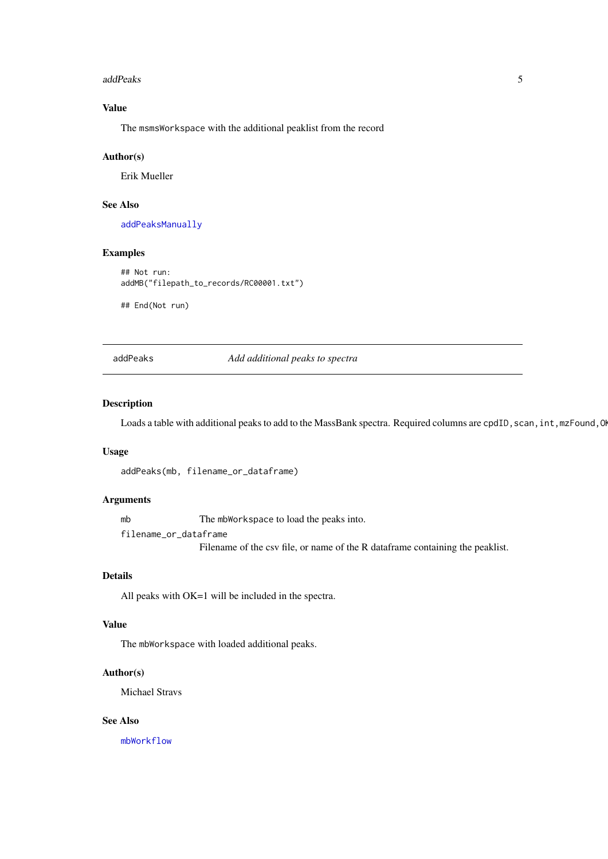<span id="page-4-0"></span>addPeaks 5

# Value

The msmsWorkspace with the additional peaklist from the record

# Author(s)

Erik Mueller

# See Also

[addPeaksManually](#page-5-1)

# Examples

```
## Not run:
addMB("filepath_to_records/RC00001.txt")
```
## End(Not run)

<span id="page-4-1"></span>addPeaks *Add additional peaks to spectra*

# Description

Loads a table with additional peaks to add to the MassBank spectra. Required columns are cpdID, scan, int,mzFound,O

# Usage

addPeaks(mb, filename\_or\_dataframe)

## Arguments

mb The mbWorkspace to load the peaks into.

filename\_or\_dataframe

Filename of the csv file, or name of the R dataframe containing the peaklist.

# Details

All peaks with OK=1 will be included in the spectra.

# Value

The mbWorkspace with loaded additional peaks.

#### Author(s)

Michael Stravs

# See Also

[mbWorkflow](#page-55-1)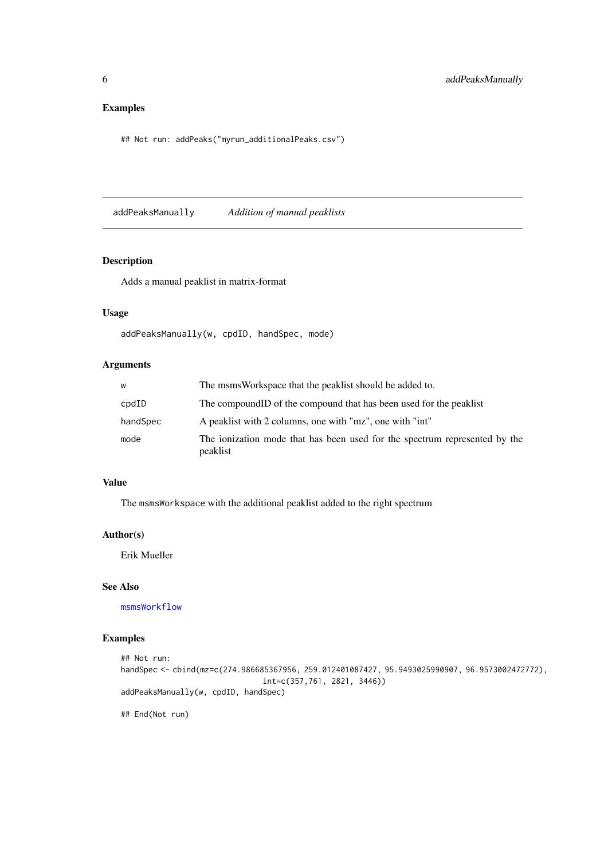# Examples

## Not run: addPeaks("myrun\_additionalPeaks.csv")

<span id="page-5-1"></span>addPeaksManually *Addition of manual peaklists*

# Description

Adds a manual peaklist in matrix-format

# Usage

addPeaksManually(w, cpdID, handSpec, mode)

# Arguments

| W        | The msms Workspace that the peaklist should be added to.                               |
|----------|----------------------------------------------------------------------------------------|
| cpdID    | The compound ID of the compound that has been used for the peaklist                    |
| handSpec | A peaklist with 2 columns, one with "mz", one with "int"                               |
| mode     | The ionization mode that has been used for the spectrum represented by the<br>peaklist |

#### Value

The msmsWorkspace with the additional peaklist added to the right spectrum

# Author(s)

Erik Mueller

#### See Also

[msmsWorkflow](#page-60-1)

# Examples

```
## Not run:
handSpec <- cbind(mz=c(274.986685367956, 259.012401087427, 95.9493025990907, 96.9573002472772),
                               int=c(357,761, 2821, 3446))
addPeaksManually(w, cpdID, handSpec)
## End(Not run)
```
<span id="page-5-0"></span>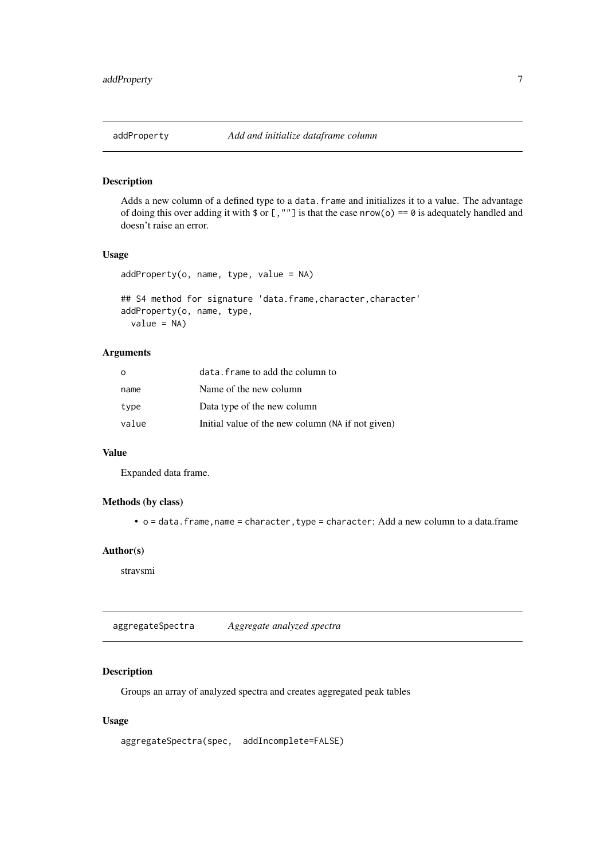<span id="page-6-0"></span>

#### Description

Adds a new column of a defined type to a data.frame and initializes it to a value. The advantage of doing this over adding it with  $\text{\$ or }$  [, ""] is that the case nrow(o) == 0 is adequately handled and doesn't raise an error.

# Usage

```
addProperty(o, name, type, value = NA)
```
## S4 method for signature 'data.frame, character, character' addProperty(o, name, type,  $value = NA$ )

# Arguments

| $\Omega$ | data. frame to add the column to                  |
|----------|---------------------------------------------------|
| name     | Name of the new column                            |
| type     | Data type of the new column                       |
| value    | Initial value of the new column (NA if not given) |

# Value

Expanded data frame.

# Methods (by class)

• o = data.frame, name = character, type = character: Add a new column to a data.frame

# Author(s)

stravsmi

<span id="page-6-1"></span>aggregateSpectra *Aggregate analyzed spectra*

# Description

Groups an array of analyzed spectra and creates aggregated peak tables

```
aggregateSpectra(spec, addIncomplete=FALSE)
```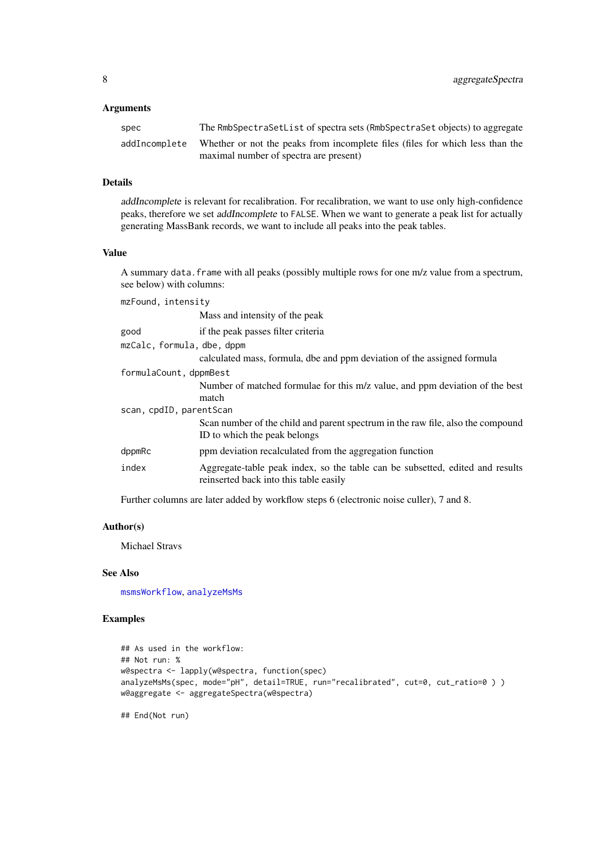# Arguments

| spec          | The RmbSpectraSetList of spectra sets (RmbSpectraSet objects) to aggregate    |
|---------------|-------------------------------------------------------------------------------|
| addIncomplete | Whether or not the peaks from incomplete files (files for which less than the |
|               | maximal number of spectra are present)                                        |

#### Details

addIncomplete is relevant for recalibration. For recalibration, we want to use only high-confidence peaks, therefore we set addIncomplete to FALSE. When we want to generate a peak list for actually generating MassBank records, we want to include all peaks into the peak tables.

# Value

A summary data. frame with all peaks (possibly multiple rows for one m/z value from a spectrum, see below) with columns:

| mzFound, intensity         |                                                                                                                         |
|----------------------------|-------------------------------------------------------------------------------------------------------------------------|
|                            | Mass and intensity of the peak                                                                                          |
| good                       | if the peak passes filter criteria                                                                                      |
| mzCalc, formula, dbe, dppm |                                                                                                                         |
|                            | calculated mass, formula, dbe and ppm deviation of the assigned formula                                                 |
| formulaCount, dppmBest     |                                                                                                                         |
|                            | Number of matched formulae for this m/z value, and ppm deviation of the best                                            |
|                            | match                                                                                                                   |
| scan, cpdID, parentScan    |                                                                                                                         |
|                            | Scan number of the child and parent spectrum in the raw file, also the compound<br>ID to which the peak belongs         |
| dppmRc                     | ppm deviation recalculated from the aggregation function                                                                |
| index                      | Aggregate-table peak index, so the table can be subsetted, edited and results<br>reinserted back into this table easily |

Further columns are later added by workflow steps 6 (electronic noise culler), 7 and 8.

#### Author(s)

Michael Stravs

#### See Also

[msmsWorkflow](#page-60-1), [analyzeMsMs](#page-8-1)

# Examples

```
## As used in the workflow:
## Not run: %
w@spectra <- lapply(w@spectra, function(spec)
analyzeMsMs(spec, mode="pH", detail=TRUE, run="recalibrated", cut=0, cut_ratio=0 ) )
w@aggregate <- aggregateSpectra(w@spectra)
```
## End(Not run)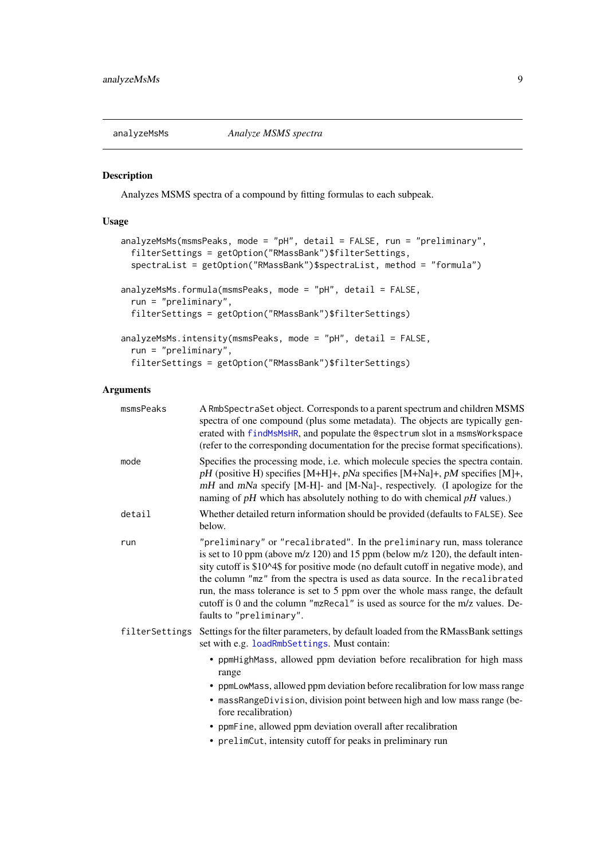<span id="page-8-1"></span><span id="page-8-0"></span>

#### Description

Analyzes MSMS spectra of a compound by fitting formulas to each subpeak.

# Usage

```
analyzeMsMs(msmsPeaks, mode = "pH", detail = FALSE, run = "preliminary",
 filterSettings = getOption("RMassBank")$filterSettings,
 spectraList = getOption("RMassBank")$spectraList, method = "formula")
analyzeMsMs.formula(msmsPeaks, mode = "pH", detail = FALSE,
 run = "preliminary",
 filterSettings = getOption("RMassBank")$filterSettings)
analyzeMsMs.intensity(msmsPeaks, mode = "pH", detail = FALSE,
 run = "preliminary",
 filterSettings = getOption("RMassBank")$filterSettings)
```
# Arguments

| msmsPeaks      | A RmbSpectraSet object. Corresponds to a parent spectrum and children MSMS<br>spectra of one compound (plus some metadata). The objects are typically gen-<br>erated with findMsMsHR, and populate the @spectrum slot in a msmsWorkspace<br>(refer to the corresponding documentation for the precise format specifications).                                                                                                                                                                                                         |
|----------------|---------------------------------------------------------------------------------------------------------------------------------------------------------------------------------------------------------------------------------------------------------------------------------------------------------------------------------------------------------------------------------------------------------------------------------------------------------------------------------------------------------------------------------------|
| mode           | Specifies the processing mode, i.e. which molecule species the spectra contain.<br>pH (positive H) specifies [M+H]+, pNa specifies [M+Na]+, pM specifies [M]+,<br>mH and mNa specify [M-H]- and [M-Na]-, respectively. (I apologize for the<br>naming of $pH$ which has absolutely nothing to do with chemical $pH$ values.)                                                                                                                                                                                                          |
| detail         | Whether detailed return information should be provided (defaults to FALSE). See<br>below.                                                                                                                                                                                                                                                                                                                                                                                                                                             |
| run            | "preliminary" or "recalibrated". In the preliminary run, mass tolerance<br>is set to 10 ppm (above $m/z$ 120) and 15 ppm (below $m/z$ 120), the default inten-<br>sity cutoff is \$10^4\$ for positive mode (no default cutoff in negative mode), and<br>the column "mz" from the spectra is used as data source. In the recalibrated<br>run, the mass tolerance is set to 5 ppm over the whole mass range, the default<br>cutoff is 0 and the column "mzRecal" is used as source for the m/z values. De-<br>faults to "preliminary". |
| filterSettings | Settings for the filter parameters, by default loaded from the RMassBank settings<br>set with e.g. loadRmbSettings. Must contain:                                                                                                                                                                                                                                                                                                                                                                                                     |
|                | • ppmHighMass, allowed ppm deviation before recalibration for high mass<br>range<br>• ppmLowMass, allowed ppm deviation before recalibration for low mass range<br>• massRangeDivision, division point between high and low mass range (be-<br>fore recalibration)<br>• ppmFine, allowed ppm deviation overall after recalibration<br>• prelimCut, intensity cutoff for peaks in preliminary run                                                                                                                                      |
|                |                                                                                                                                                                                                                                                                                                                                                                                                                                                                                                                                       |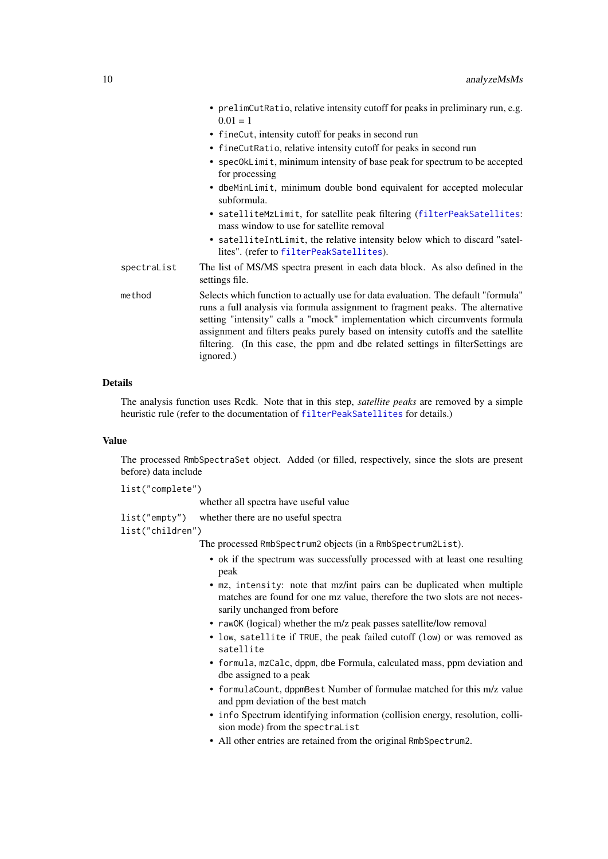- prelimCutRatio, relative intensity cutoff for peaks in preliminary run, e.g.  $0.01 = 1$
- fineCut, intensity cutoff for peaks in second run
- fineCutRatio, relative intensity cutoff for peaks in second run
- specOkLimit, minimum intensity of base peak for spectrum to be accepted for processing
- dbeMinLimit, minimum double bond equivalent for accepted molecular subformula.
- satelliteMzLimit, for satellite peak filtering ([filterPeakSatellites](#page-24-1): mass window to use for satellite removal
- satelliteIntLimit, the relative intensity below which to discard "satellites". (refer to [filterPeakSatellites](#page-24-1)).
- spectraList The list of MS/MS spectra present in each data block. As also defined in the settings file.
- method Selects which function to actually use for data evaluation. The default "formula" runs a full analysis via formula assignment to fragment peaks. The alternative setting "intensity" calls a "mock" implementation which circumvents formula assignment and filters peaks purely based on intensity cutoffs and the satellite filtering. (In this case, the ppm and dbe related settings in filterSettings are ignored.)

#### Details

The analysis function uses Rcdk. Note that in this step, *satellite peaks* are removed by a simple heuristic rule (refer to the documentation of [filterPeakSatellites](#page-24-1) for details.)

#### Value

The processed RmbSpectraSet object. Added (or filled, respectively, since the slots are present before) data include

list("complete")

whether all spectra have useful value

list("empty") whether there are no useful spectra

list("children")

The processed RmbSpectrum2 objects (in a RmbSpectrum2List).

- ok if the spectrum was successfully processed with at least one resulting peak
- mz, intensity: note that mz/int pairs can be duplicated when multiple matches are found for one mz value, therefore the two slots are not necessarily unchanged from before
- rawOK (logical) whether the m/z peak passes satellite/low removal
- low, satellite if TRUE, the peak failed cutoff (low) or was removed as satellite
- formula, mzCalc, dppm, dbe Formula, calculated mass, ppm deviation and dbe assigned to a peak
- formulaCount, dppmBest Number of formulae matched for this m/z value and ppm deviation of the best match
- info Spectrum identifying information (collision energy, resolution, collision mode) from the spectraList
- All other entries are retained from the original RmbSpectrum2.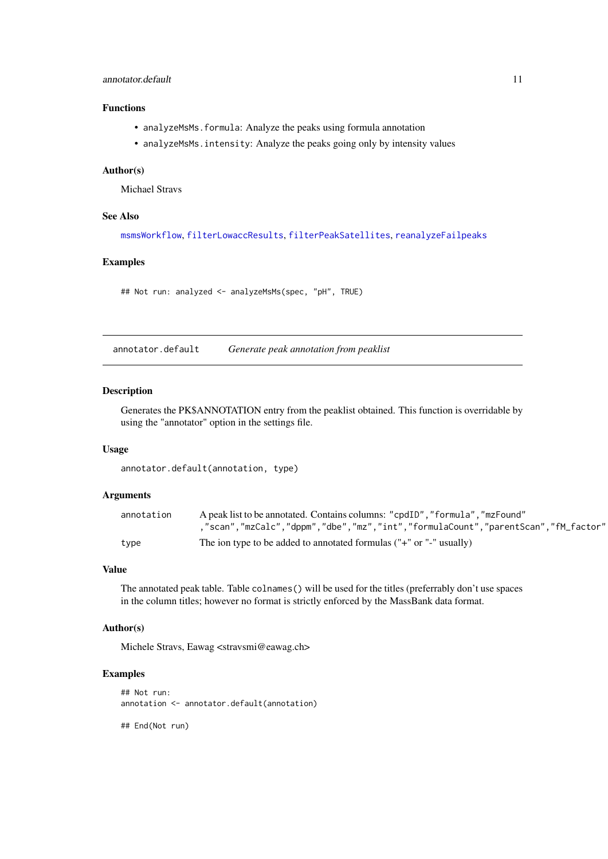#### <span id="page-10-0"></span>annotator.default 11

#### Functions

- analyzeMsMs.formula: Analyze the peaks using formula annotation
- analyzeMsMs.intensity: Analyze the peaks going only by intensity values

# Author(s)

Michael Stravs

#### See Also

[msmsWorkflow](#page-60-1), [filterLowaccResults](#page-22-1), [filterPeakSatellites](#page-24-1), [reanalyzeFailpeaks](#page-71-1)

# Examples

## Not run: analyzed <- analyzeMsMs(spec, "pH", TRUE)

annotator.default *Generate peak annotation from peaklist*

#### Description

Generates the PK\$ANNOTATION entry from the peaklist obtained. This function is overridable by using the "annotator" option in the settings file.

#### Usage

annotator.default(annotation, type)

#### Arguments

| annotation | A peak list to be annotated. Contains columns: "cpdID", "formula", "mzFound"    |
|------------|---------------------------------------------------------------------------------|
|            | "scan","mzCalc","dppm","dbe","mz","int","formulaCount","parentScan","fM_factor" |
| type       | The ion type to be added to annotated formulas ("+" or "-" usually)             |

# Value

The annotated peak table. Table colnames() will be used for the titles (preferrably don't use spaces in the column titles; however no format is strictly enforced by the MassBank data format.

# Author(s)

Michele Stravs, Eawag <stravsmi@eawag.ch>

#### Examples

```
## Not run:
annotation <- annotator.default(annotation)
```
## End(Not run)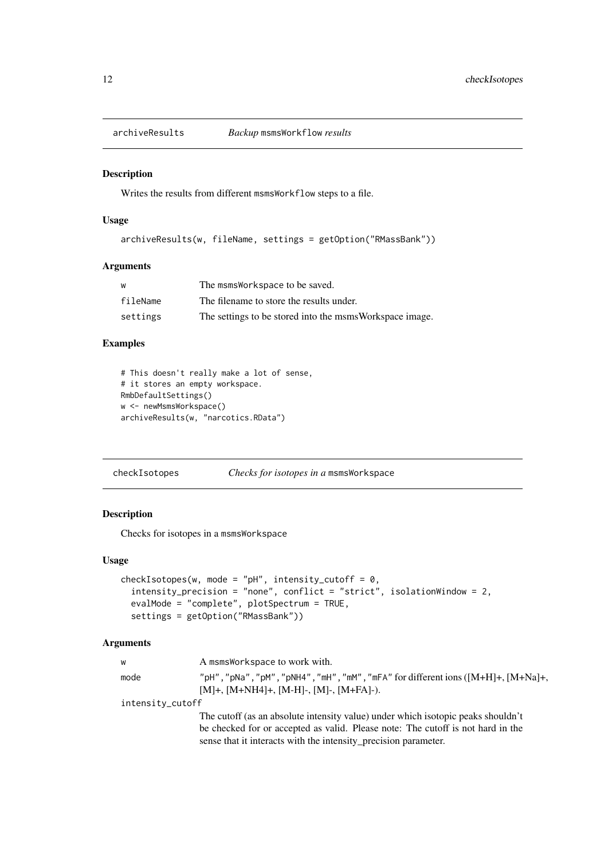<span id="page-11-0"></span>

#### Description

Writes the results from different msmsWorkflow steps to a file.

# Usage

```
archiveResults(w, fileName, settings = getOption("RMassBank"))
```
# Arguments

| W        | The msmsWorkspace to be saved.                          |
|----------|---------------------------------------------------------|
| fileName | The filename to store the results under.                |
| settings | The settings to be stored into the msmsWorkspace image. |

# Examples

```
# This doesn't really make a lot of sense,
# it stores an empty workspace.
RmbDefaultSettings()
w <- newMsmsWorkspace()
archiveResults(w, "narcotics.RData")
```
checkIsotopes *Checks for isotopes in a* msmsWorkspace

# Description

Checks for isotopes in a msmsWorkspace

# Usage

```
checkIsotopes(w, mode = "pH", intensity_cutoff = \theta,
  intensity_precision = "none", conflict = "strict", isolationWindow = 2,
  evalMode = "complete", plotSpectrum = TRUE,
  settings = getOption("RMassBank"))
```
### Arguments

| W                | A msmsWorkspace to work with.                                                      |
|------------------|------------------------------------------------------------------------------------|
| mode             | "pH", "pNa", "pM", "pNH4", "mH", "mM", "mFA" for different ions $([M+H]+, [M+Na]+$ |
|                  | $[M]+$ , $[M+NH4]+$ , $[M-H]$ -, $[M]+$ , $[M+FA]$ -).                             |
| intensity_cutoff |                                                                                    |
|                  | The cutoff (as an absolute intensity value) under which isotopic peaks shouldn't   |
|                  | be checked for or accepted as valid. Please note: The cutoff is not hard in the    |
|                  | sense that it interacts with the intensity_precision parameter.                    |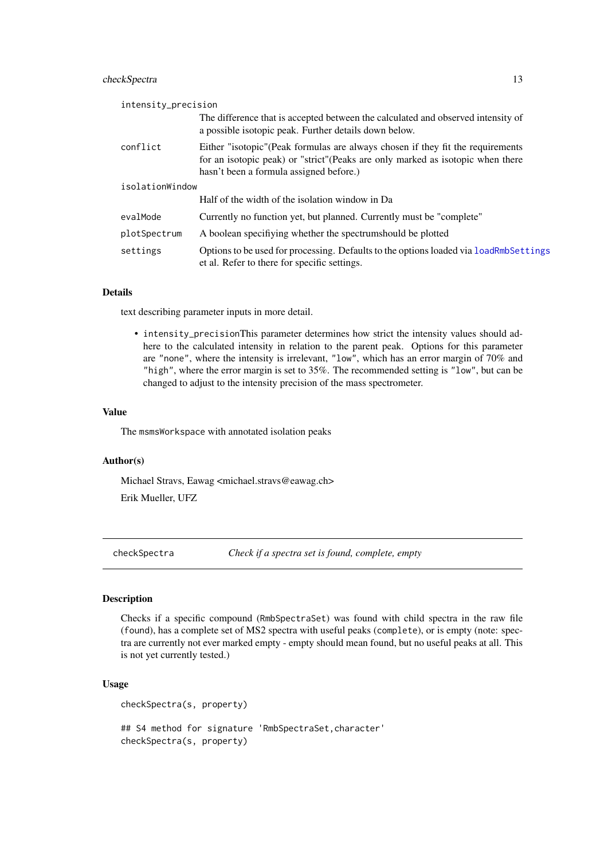#### <span id="page-12-0"></span>checkSpectra 13

| intensity_precision |                                                                                                                                                                                                              |  |
|---------------------|--------------------------------------------------------------------------------------------------------------------------------------------------------------------------------------------------------------|--|
|                     | The difference that is accepted between the calculated and observed intensity of<br>a possible isotopic peak. Further details down below.                                                                    |  |
| conflict            | Either "isotopic" (Peak formulas are always chosen if they fit the requirements<br>for an isotopic peak) or "strict"(Peaks are only marked as isotopic when there<br>hasn't been a formula assigned before.) |  |
| isolationWindow     |                                                                                                                                                                                                              |  |
|                     | Half of the width of the isolation window in Da                                                                                                                                                              |  |
| evalMode            | Currently no function yet, but planned. Currently must be "complete"                                                                                                                                         |  |
| plotSpectrum        | A boolean specifiving whether the spectrum should be plotted                                                                                                                                                 |  |
| settings            | Options to be used for processing. Defaults to the options loaded via loadRmbSettings<br>et al. Refer to there for specific settings.                                                                        |  |

#### Details

text describing parameter inputs in more detail.

• intensity\_precisionThis parameter determines how strict the intensity values should adhere to the calculated intensity in relation to the parent peak. Options for this parameter are "none", where the intensity is irrelevant, "low", which has an error margin of 70% and "high", where the error margin is set to 35%. The recommended setting is "low", but can be changed to adjust to the intensity precision of the mass spectrometer.

#### Value

The msmsWorkspace with annotated isolation peaks

#### Author(s)

Michael Stravs, Eawag <michael.stravs@eawag.ch> Erik Mueller, UFZ

checkSpectra *Check if a spectra set is found, complete, empty*

#### Description

Checks if a specific compound (RmbSpectraSet) was found with child spectra in the raw file (found), has a complete set of MS2 spectra with useful peaks (complete), or is empty (note: spectra are currently not ever marked empty - empty should mean found, but no useful peaks at all. This is not yet currently tested.)

```
checkSpectra(s, property)
```

```
## S4 method for signature 'RmbSpectraSet,character'
checkSpectra(s, property)
```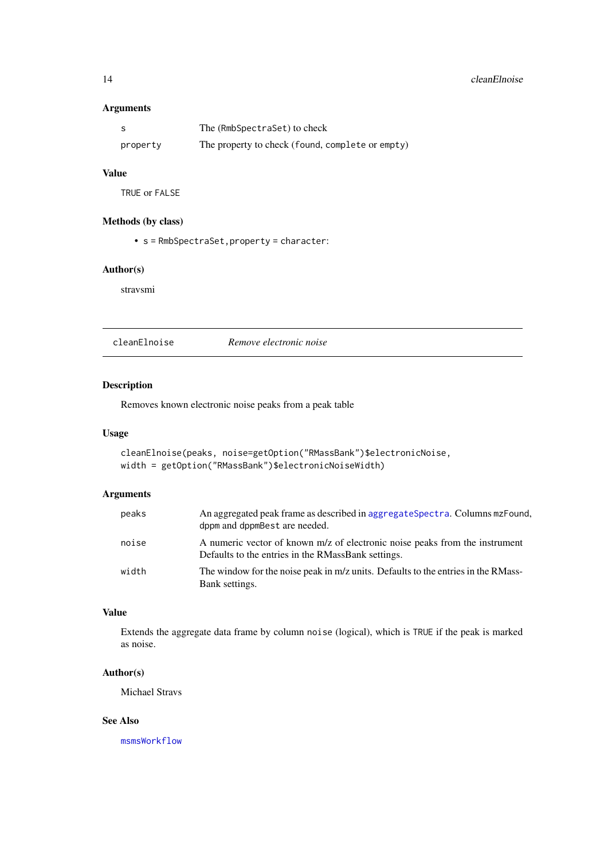### <span id="page-13-0"></span>Arguments

|          | The (RmbSpectraSet) to check                     |  |
|----------|--------------------------------------------------|--|
| property | The property to check (found, complete or empty) |  |

# Value

TRUE or FALSE

# Methods (by class)

• s = RmbSpectraSet,property = character:

#### Author(s)

stravsmi

cleanElnoise *Remove electronic noise*

# Description

Removes known electronic noise peaks from a peak table

# Usage

```
cleanElnoise(peaks, noise=getOption("RMassBank")$electronicNoise,
width = getOption("RMassBank")$electronicNoiseWidth)
```
# Arguments

| peaks | An aggregated peak frame as described in aggregateSpectra. Columns mzFound.<br>dppm and dppmBest are needed.                      |
|-------|-----------------------------------------------------------------------------------------------------------------------------------|
| noise | A numeric vector of known m/z of electronic noise peaks from the instrument<br>Defaults to the entries in the RMassBank settings. |
| width | The window for the noise peak in m/z units. Defaults to the entries in the RMass-<br>Bank settings.                               |

# Value

Extends the aggregate data frame by column noise (logical), which is TRUE if the peak is marked as noise.

# Author(s)

Michael Stravs

# See Also

[msmsWorkflow](#page-60-1)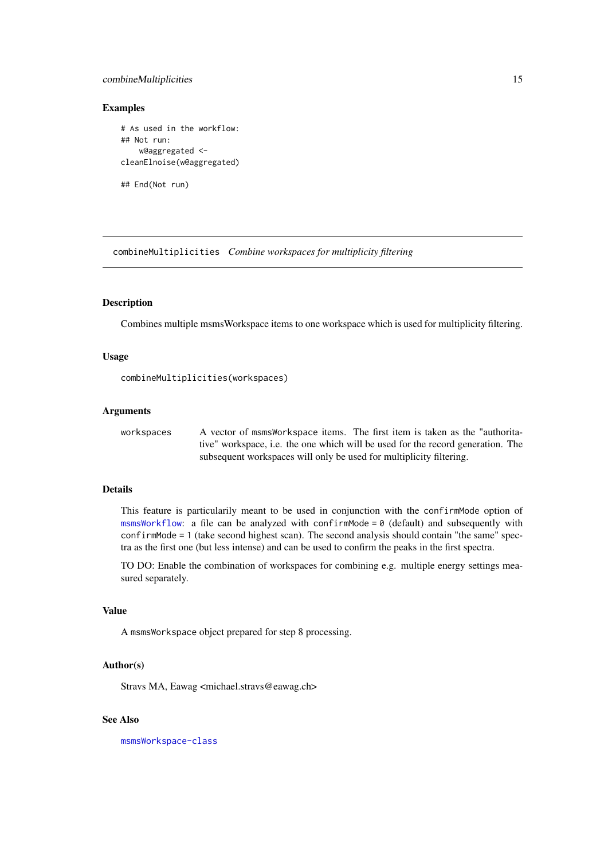#### <span id="page-14-0"></span>combineMultiplicities 15

#### Examples

```
# As used in the workflow:
## Not run:
    w@aggregated <-
cleanElnoise(w@aggregated)
```
## End(Not run)

combineMultiplicities *Combine workspaces for multiplicity filtering*

#### Description

Combines multiple msmsWorkspace items to one workspace which is used for multiplicity filtering.

#### Usage

combineMultiplicities(workspaces)

#### Arguments

workspaces A vector of msmsWorkspace items. The first item is taken as the "authoritative" workspace, i.e. the one which will be used for the record generation. The subsequent workspaces will only be used for multiplicity filtering.

#### Details

This feature is particularily meant to be used in conjunction with the confirmMode option of [msmsWorkflow](#page-60-1): a file can be analyzed with confirmMode =  $\theta$  (default) and subsequently with confirmMode = 1 (take second highest scan). The second analysis should contain "the same" spectra as the first one (but less intense) and can be used to confirm the peaks in the first spectra.

TO DO: Enable the combination of workspaces for combining e.g. multiple energy settings measured separately.

#### Value

A msmsWorkspace object prepared for step 8 processing.

# Author(s)

Stravs MA, Eawag <michael.stravs@eawag.ch>

# See Also

[msmsWorkspace-class](#page-61-1)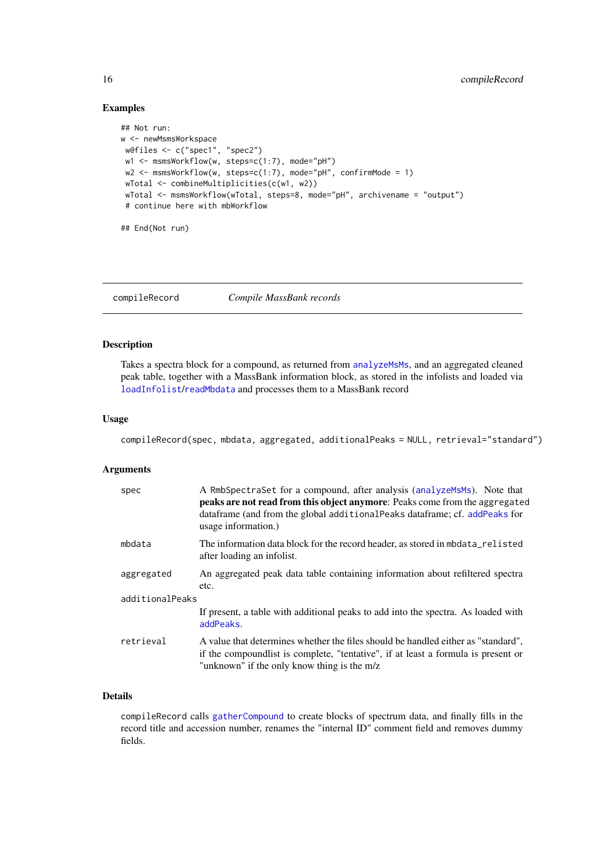# Examples

```
## Not run:
w <- newMsmsWorkspace
w@files <- c("spec1", "spec2")
w1 <- msmsWorkflow(w, steps=c(1:7), mode="pH")
w2 <- msmsWorkflow(w, steps=c(1:7), mode="pH", confirmMode = 1)
wTotal <- combineMultiplicities(c(w1, w2))
 wTotal <- msmsWorkflow(wTotal, steps=8, mode="pH", archivename = "output")
 # continue here with mbWorkflow
## End(Not run)
```
<span id="page-15-1"></span>compileRecord *Compile MassBank records*

#### Description

Takes a spectra block for a compound, as returned from [analyzeMsMs](#page-8-1), and an aggregated cleaned peak table, together with a MassBank information block, as stored in the infolists and loaded via [loadInfolist](#page-50-2)/[readMbdata](#page-36-1) and processes them to a MassBank record

# Usage

```
compileRecord(spec, mbdata, aggregated, additionalPeaks = NULL, retrieval="standard")
```
#### Arguments

| spec            | A RmbSpectraSet for a compound, after analysis (analyzeMsMs). Note that<br>peaks are not read from this object anymore: Peaks come from the aggregated<br>dataframe (and from the global additional Peaks dataframe; cf. add Peaks for<br>usage information.) |  |
|-----------------|---------------------------------------------------------------------------------------------------------------------------------------------------------------------------------------------------------------------------------------------------------------|--|
| mbdata          | The information data block for the record header, as stored in mbdata_relisted<br>after loading an infolist.                                                                                                                                                  |  |
| aggregated      | An aggregated peak data table containing information about refiltered spectra<br>etc.                                                                                                                                                                         |  |
| additionalPeaks |                                                                                                                                                                                                                                                               |  |
|                 | If present, a table with additional peaks to add into the spectra. As loaded with<br>addPeaks.                                                                                                                                                                |  |
| retrieval       | A value that determines whether the files should be handled either as "standard".<br>if the compound is t is complete, "tentative", if at least a formula is present or<br>"unknown" if the only know thing is the m/z                                        |  |

#### Details

compileRecord calls [gatherCompound](#page-38-1) to create blocks of spectrum data, and finally fills in the record title and accession number, renames the "internal ID" comment field and removes dummy fields.

<span id="page-15-0"></span>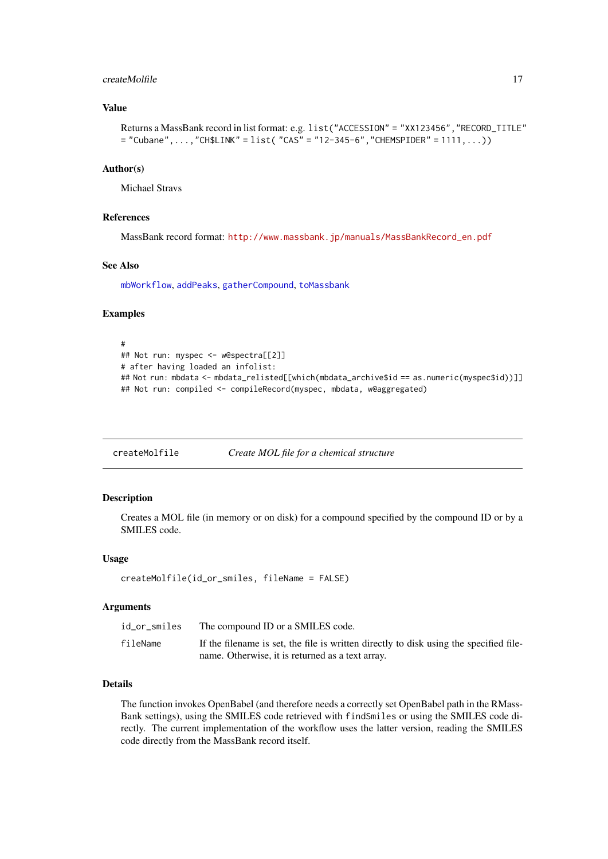#### <span id="page-16-0"></span>createMolfile 17

#### Value

```
Returns a MassBank record in list format: e.g. list("ACCESSION" = "XX123456","RECORD_TITLE"
= "Cubane",...,"CH$LINK" = list("CAS" = "12-345-6","CHEMSPIDER" = 1111,...))
```
#### Author(s)

Michael Stravs

#### References

MassBank record format: [http://www.massbank.jp/manuals/MassBankRecord\\_en.pdf](http://www.massbank.jp/manuals/MassBankRecord_en.pdf)

# See Also

[mbWorkflow](#page-55-1), [addPeaks](#page-4-1), [gatherCompound](#page-38-1), [toMassbank](#page-83-1)

#### Examples

```
#
## Not run: myspec <- w@spectra[[2]]
# after having loaded an infolist:
## Not run: mbdata <- mbdata_relisted[[which(mbdata_archive$id == as.numeric(myspec$id))]]
## Not run: compiled <- compileRecord(myspec, mbdata, w@aggregated)
```
<span id="page-16-1"></span>createMolfile *Create MOL file for a chemical structure*

#### Description

Creates a MOL file (in memory or on disk) for a compound specified by the compound ID or by a SMILES code.

# Usage

```
createMolfile(id_or_smiles, fileName = FALSE)
```
#### Arguments

| id_or_smiles | The compound ID or a SMILES code.                                                      |
|--------------|----------------------------------------------------------------------------------------|
| fileName     | If the filename is set, the file is written directly to disk using the specified file- |
|              | name. Otherwise, it is returned as a text array.                                       |

#### Details

The function invokes OpenBabel (and therefore needs a correctly set OpenBabel path in the RMass-Bank settings), using the SMILES code retrieved with findSmiles or using the SMILES code directly. The current implementation of the workflow uses the latter version, reading the SMILES code directly from the MassBank record itself.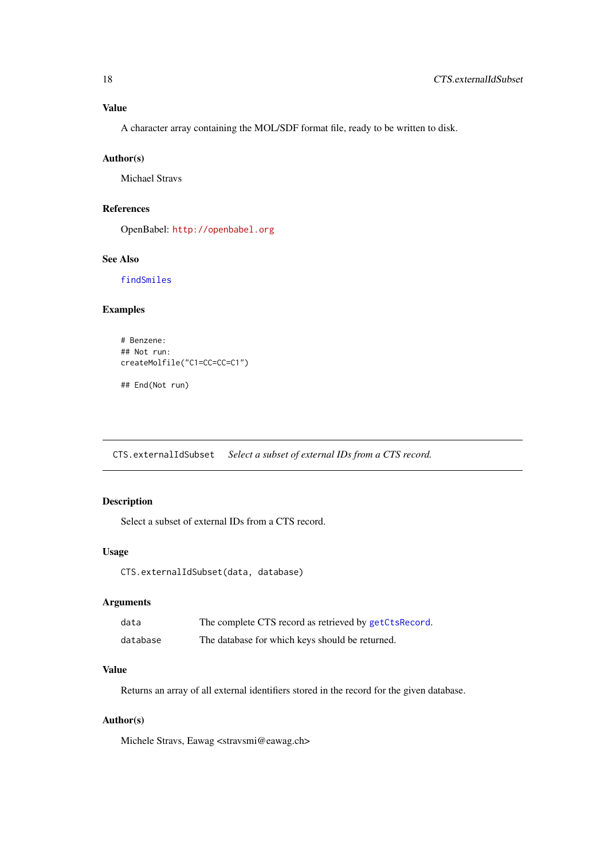# <span id="page-17-0"></span>Value

A character array containing the MOL/SDF format file, ready to be written to disk.

# Author(s)

Michael Stravs

## References

OpenBabel: <http://openbabel.org>

# See Also

[findSmiles](#page-34-1)

# Examples

```
# Benzene:
## Not run:
createMolfile("C1=CC=CC=C1")
## End(Not run)
```
CTS.externalIdSubset *Select a subset of external IDs from a CTS record.*

# Description

Select a subset of external IDs from a CTS record.

# Usage

CTS.externalIdSubset(data, database)

# Arguments

| data     | The complete CTS record as retrieved by getCtsRecord. |
|----------|-------------------------------------------------------|
| database | The database for which keys should be returned.       |

# Value

Returns an array of all external identifiers stored in the record for the given database.

# Author(s)

Michele Stravs, Eawag <stravsmi@eawag.ch>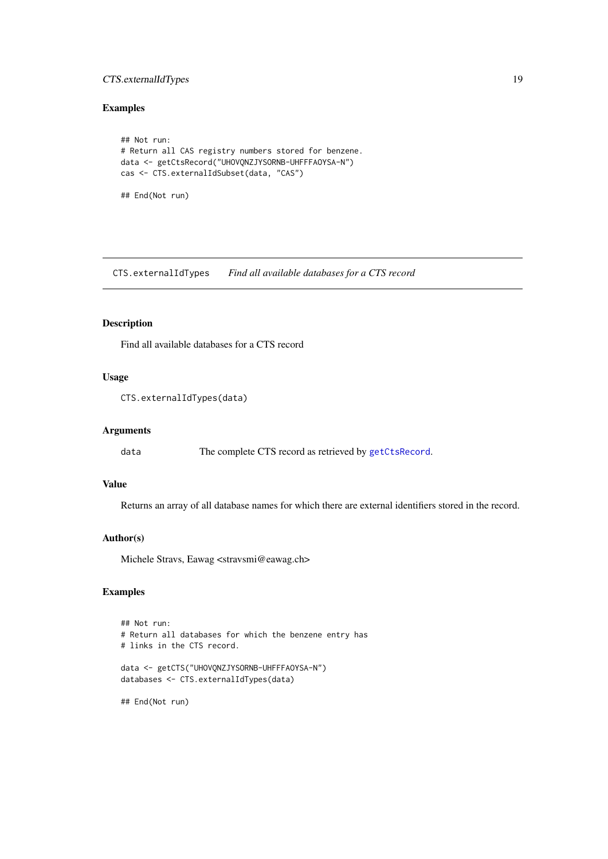#### <span id="page-18-0"></span>CTS.externalIdTypes 19

# Examples

```
## Not run:
# Return all CAS registry numbers stored for benzene.
data <- getCtsRecord("UHOVQNZJYSORNB-UHFFFAOYSA-N")
cas <- CTS.externalIdSubset(data, "CAS")
```
## End(Not run)

CTS.externalIdTypes *Find all available databases for a CTS record*

#### Description

Find all available databases for a CTS record

# Usage

CTS.externalIdTypes(data)

#### Arguments

data The complete CTS record as retrieved by [getCtsRecord](#page-46-1).

#### Value

Returns an array of all database names for which there are external identifiers stored in the record.

#### Author(s)

Michele Stravs, Eawag <stravsmi@eawag.ch>

# Examples

```
## Not run:
# Return all databases for which the benzene entry has
# links in the CTS record.
data <- getCTS("UHOVQNZJYSORNB-UHFFFAOYSA-N")
databases <- CTS.externalIdTypes(data)
```
## End(Not run)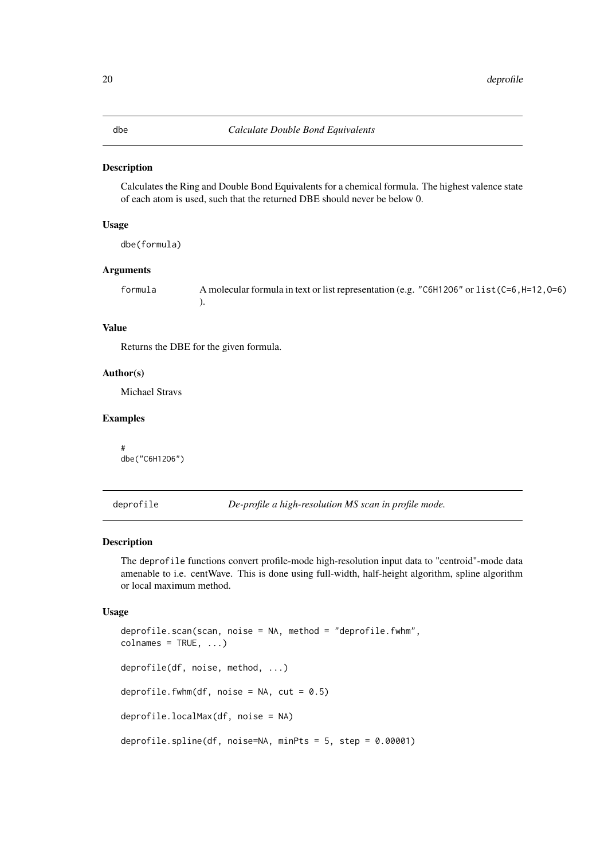# <span id="page-19-0"></span>Description

Calculates the Ring and Double Bond Equivalents for a chemical formula. The highest valence state of each atom is used, such that the returned DBE should never be below 0.

#### Usage

dbe(formula)

# Arguments

| formula | A molecular formula in text or list representation (e.g. "C6H12O6" or list (C=6, H=12, O=6) |  |  |
|---------|---------------------------------------------------------------------------------------------|--|--|
|         |                                                                                             |  |  |

# Value

Returns the DBE for the given formula.

# Author(s)

Michael Stravs

# Examples

# dbe("C6H12O6")

<span id="page-19-1"></span>deprofile *De-profile a high-resolution MS scan in profile mode.*

#### Description

The deprofile functions convert profile-mode high-resolution input data to "centroid"-mode data amenable to i.e. centWave. This is done using full-width, half-height algorithm, spline algorithm or local maximum method.

```
deprofile.scan(scan, noise = NA, method = "deprofile.fwhm",
colnames = TRUE, ...)deprofile(df, noise, method, ...)
deprofile.fwhm(df, noise = NA, cut = 0.5)
deprofile.localMax(df, noise = NA)
deprofile.spline(df, noise=NA, minPts = 5, step = 0.00001)
```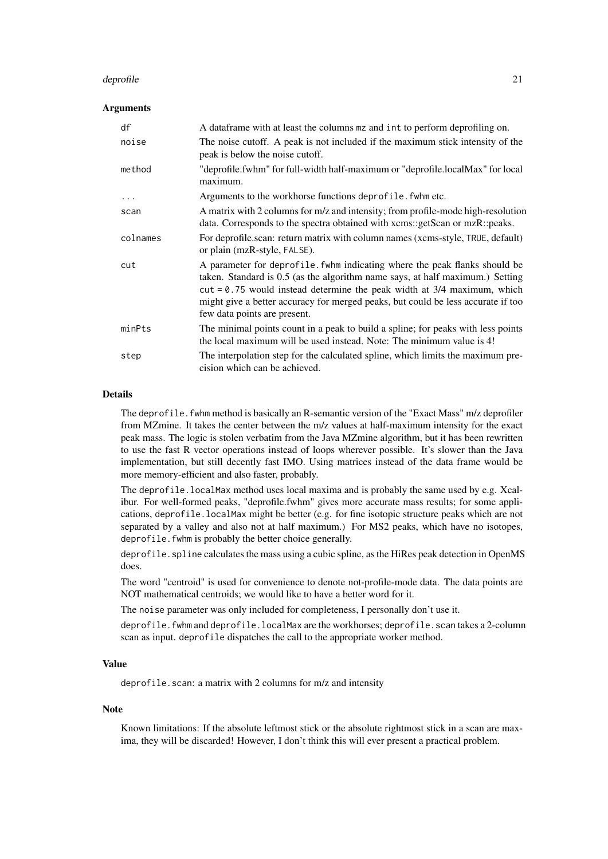#### deprofile 21

#### Arguments

| df       | A dataframe with at least the columns mz and int to perform deprofiling on.                                                                                                                                                                                                                                                                                    |
|----------|----------------------------------------------------------------------------------------------------------------------------------------------------------------------------------------------------------------------------------------------------------------------------------------------------------------------------------------------------------------|
| noise    | The noise cutoff. A peak is not included if the maximum stick intensity of the<br>peak is below the noise cutoff.                                                                                                                                                                                                                                              |
| method   | "deprofile.fwhm" for full-width half-maximum or "deprofile.localMax" for local<br>maximum.                                                                                                                                                                                                                                                                     |
| $\cdots$ | Arguments to the workhorse functions deprofile. fwhm etc.                                                                                                                                                                                                                                                                                                      |
| scan     | A matrix with 2 columns for m/z and intensity; from profile-mode high-resolution<br>data. Corresponds to the spectra obtained with xcms::getScan or mzR::peaks.                                                                                                                                                                                                |
| colnames | For deprofile.scan: return matrix with column names (xcms-style, TRUE, default)<br>or plain (mzR-style, FALSE).                                                                                                                                                                                                                                                |
| cut      | A parameter for deprofile. fwhm indicating where the peak flanks should be<br>taken. Standard is 0.5 (as the algorithm name says, at half maximum.) Setting<br>$cut = 0.75$ would instead determine the peak width at $3/4$ maximum, which<br>might give a better accuracy for merged peaks, but could be less accurate if too<br>few data points are present. |
| minPts   | The minimal points count in a peak to build a spline; for peaks with less points<br>the local maximum will be used instead. Note: The minimum value is 4!                                                                                                                                                                                                      |
| step     | The interpolation step for the calculated spline, which limits the maximum pre-<br>cision which can be achieved.                                                                                                                                                                                                                                               |

#### Details

The deprofile. fwhm method is basically an R-semantic version of the "Exact Mass" m/z deprofiler from MZmine. It takes the center between the m/z values at half-maximum intensity for the exact peak mass. The logic is stolen verbatim from the Java MZmine algorithm, but it has been rewritten to use the fast R vector operations instead of loops wherever possible. It's slower than the Java implementation, but still decently fast IMO. Using matrices instead of the data frame would be more memory-efficient and also faster, probably.

The deprofile.localMax method uses local maxima and is probably the same used by e.g. Xcalibur. For well-formed peaks, "deprofile.fwhm" gives more accurate mass results; for some applications, deprofile.localMax might be better (e.g. for fine isotopic structure peaks which are not separated by a valley and also not at half maximum.) For MS2 peaks, which have no isotopes, deprofile. fwhm is probably the better choice generally.

deprofile. spline calculates the mass using a cubic spline, as the HiRes peak detection in OpenMS does.

The word "centroid" is used for convenience to denote not-profile-mode data. The data points are NOT mathematical centroids; we would like to have a better word for it.

The noise parameter was only included for completeness, I personally don't use it.

deprofile.fwhm and deprofile.localMax are the workhorses; deprofile.scan takes a 2-column scan as input. deprofile dispatches the call to the appropriate worker method.

#### Value

deprofile.scan: a matrix with 2 columns for m/z and intensity

#### Note

Known limitations: If the absolute leftmost stick or the absolute rightmost stick in a scan are maxima, they will be discarded! However, I don't think this will ever present a practical problem.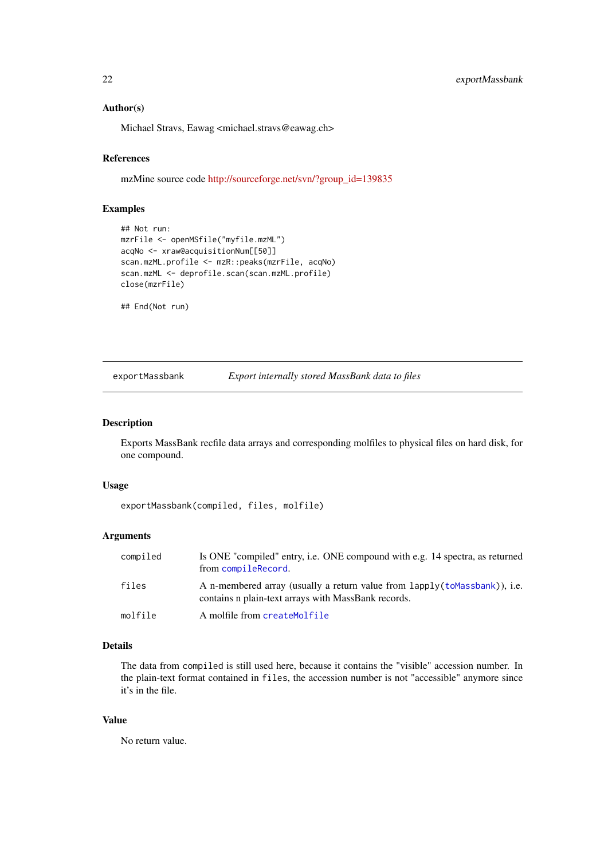# Author(s)

Michael Stravs, Eawag <michael.stravs@eawag.ch>

#### References

mzMine source code [http://sourceforge.net/svn/?group\\_id=139835](http://sourceforge.net/svn/?group_id=139835)

# Examples

```
## Not run:
mzrFile <- openMSfile("myfile.mzML")
acqNo <- xraw@acquisitionNum[[50]]
scan.mzML.profile <- mzR::peaks(mzrFile, acqNo)
scan.mzML <- deprofile.scan(scan.mzML.profile)
close(mzrFile)
```
## End(Not run)

exportMassbank *Export internally stored MassBank data to files*

#### Description

Exports MassBank recfile data arrays and corresponding molfiles to physical files on hard disk, for one compound.

#### Usage

exportMassbank(compiled, files, molfile)

#### Arguments

| compiled | Is ONE "compiled" entry, i.e. ONE compound with e.g. 14 spectra, as returned<br>from compileRecord.                                |
|----------|------------------------------------------------------------------------------------------------------------------------------------|
| files    | A n-membered array (usually a return value from lapply (to Massbank)), i.e.<br>contains n plain-text arrays with MassBank records. |
| molfile  | A molfile from createMolfile                                                                                                       |

# Details

The data from compiled is still used here, because it contains the "visible" accession number. In the plain-text format contained in files, the accession number is not "accessible" anymore since it's in the file.

# Value

No return value.

<span id="page-21-0"></span>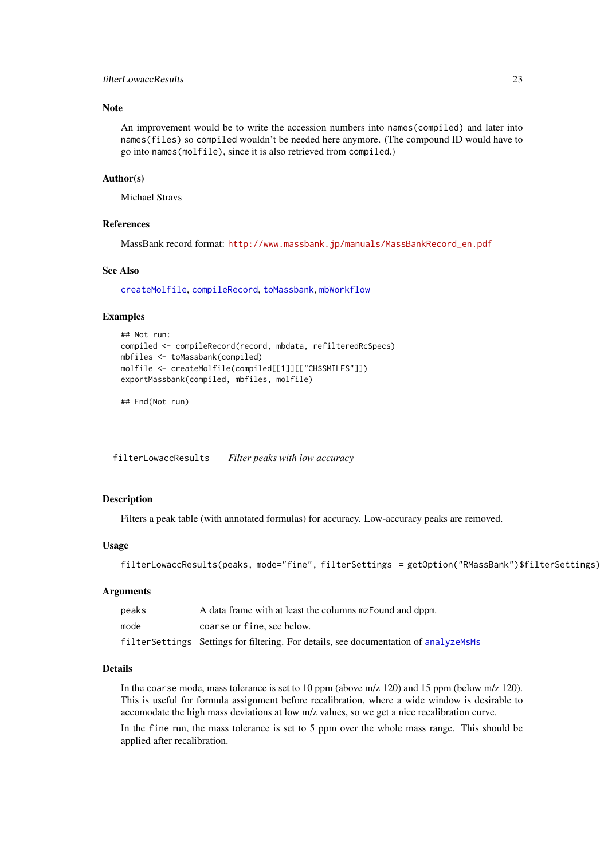#### <span id="page-22-0"></span>filterLowaccResults 23

#### Note

An improvement would be to write the accession numbers into names(compiled) and later into names(files) so compiled wouldn't be needed here anymore. (The compound ID would have to go into names(molfile), since it is also retrieved from compiled.)

#### Author(s)

Michael Stravs

# References

MassBank record format: [http://www.massbank.jp/manuals/MassBankRecord\\_en.pdf](http://www.massbank.jp/manuals/MassBankRecord_en.pdf)

#### See Also

[createMolfile](#page-16-1), [compileRecord](#page-15-1), [toMassbank](#page-83-1), [mbWorkflow](#page-55-1)

#### Examples

```
## Not run:
compiled <- compileRecord(record, mbdata, refilteredRcSpecs)
mbfiles <- toMassbank(compiled)
molfile <- createMolfile(compiled[[1]][["CH$SMILES"]])
exportMassbank(compiled, mbfiles, molfile)
```
## End(Not run)

<span id="page-22-1"></span>filterLowaccResults *Filter peaks with low accuracy*

# Description

Filters a peak table (with annotated formulas) for accuracy. Low-accuracy peaks are removed.

#### Usage

filterLowaccResults(peaks, mode="fine", filterSettings = getOption("RMassBank")\$filterSettings)

#### Arguments

| peaks | A data frame with at least the columns mzFound and dppm.                              |
|-------|---------------------------------------------------------------------------------------|
| mode  | coarse or fine, see below.                                                            |
|       | filter Settings Settings for filtering. For details, see documentation of analyzeMsMs |

#### Details

In the coarse mode, mass tolerance is set to 10 ppm (above m/z 120) and 15 ppm (below m/z 120). This is useful for formula assignment before recalibration, where a wide window is desirable to accomodate the high mass deviations at low m/z values, so we get a nice recalibration curve.

In the fine run, the mass tolerance is set to 5 ppm over the whole mass range. This should be applied after recalibration.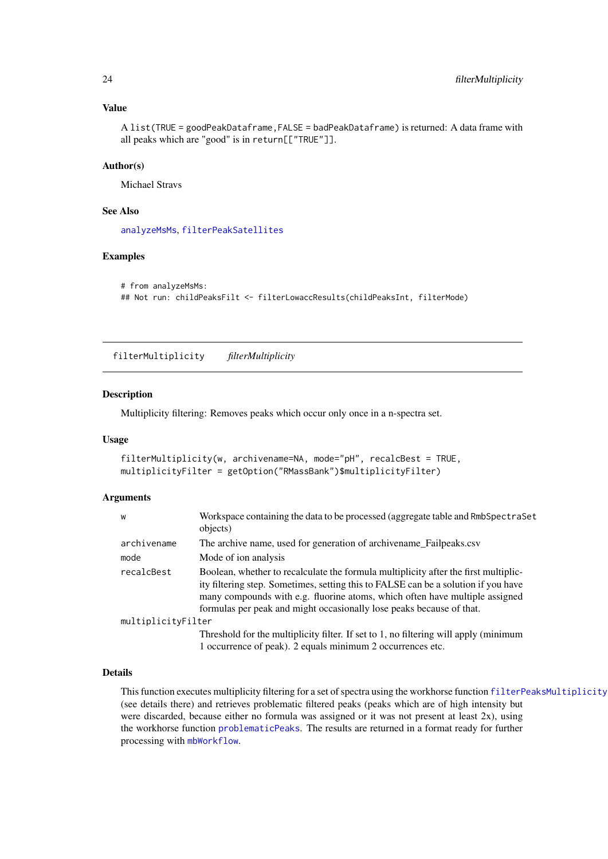#### Value

A list(TRUE = goodPeakDataframe,FALSE = badPeakDataframe) is returned: A data frame with all peaks which are "good" is in return[["TRUE"]].

#### Author(s)

Michael Stravs

# See Also

[analyzeMsMs](#page-8-1), [filterPeakSatellites](#page-24-1)

#### Examples

```
# from analyzeMsMs:
## Not run: childPeaksFilt <- filterLowaccResults(childPeaksInt, filterMode)
```
filterMultiplicity *filterMultiplicity*

#### Description

Multiplicity filtering: Removes peaks which occur only once in a n-spectra set.

# Usage

```
filterMultiplicity(w, archivename=NA, mode="pH", recalcBest = TRUE,
multiplicityFilter = getOption("RMassBank")$multiplicityFilter)
```
#### Arguments

| W                  | Workspace containing the data to be processed (aggregate table and RmbSpectraSet<br>objects)                                                                                                                                                                                                                                     |  |
|--------------------|----------------------------------------------------------------------------------------------------------------------------------------------------------------------------------------------------------------------------------------------------------------------------------------------------------------------------------|--|
| archivename        | The archive name, used for generation of archivename_Failpeaks.csv                                                                                                                                                                                                                                                               |  |
| mode               | Mode of ion analysis                                                                                                                                                                                                                                                                                                             |  |
| recalcBest         | Boolean, whether to recalculate the formula multiplicity after the first multiplic-<br>ity filtering step. Sometimes, setting this to FALSE can be a solution if you have<br>many compounds with e.g. fluorine atoms, which often have multiple assigned<br>formulas per peak and might occasionally lose peaks because of that. |  |
| multiplicityFilter |                                                                                                                                                                                                                                                                                                                                  |  |
|                    | Threshold for the multiplicity filter. If set to 1, no filtering will apply (minimum                                                                                                                                                                                                                                             |  |
|                    | 1 occurrence of peak). 2 equals minimum 2 occurrences etc.                                                                                                                                                                                                                                                                       |  |

#### Details

This function executes multiplicity filtering for a set of spectra using the workhorse function [filterPeaksMultiplicity](#page-25-1) (see details there) and retrieves problematic filtered peaks (peaks which are of high intensity but were discarded, because either no formula was assigned or it was not present at least 2x), using the workhorse function [problematicPeaks](#page-69-1). The results are returned in a format ready for further processing with [mbWorkflow](#page-55-1).

<span id="page-23-0"></span>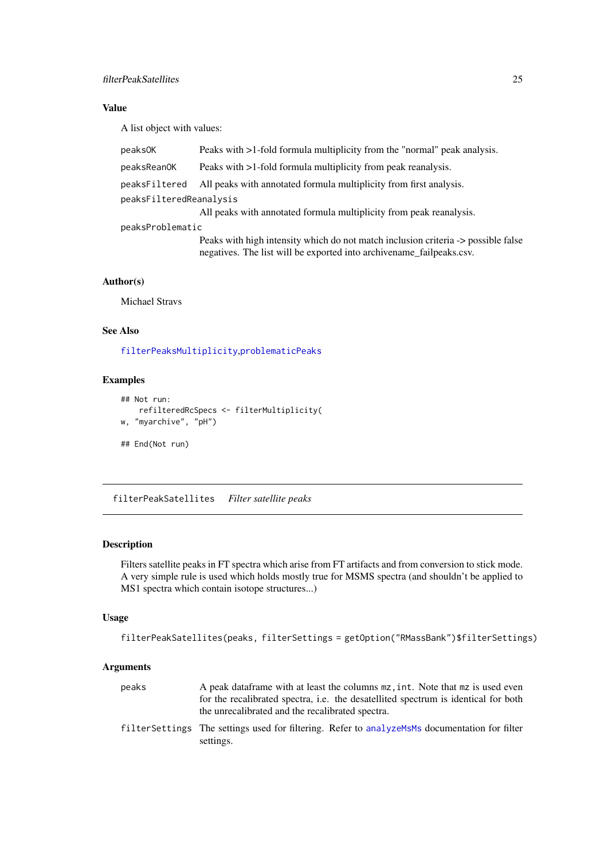#### <span id="page-24-0"></span>filterPeakSatellites 25

# Value

A list object with values:

| peaks0K                 | Peaks with >1-fold formula multiplicity from the "normal" peak analysis.                                                                                  |  |
|-------------------------|-----------------------------------------------------------------------------------------------------------------------------------------------------------|--|
| peaksReanOK             | Peaks with >1-fold formula multiplicity from peak reanalysis.                                                                                             |  |
| peaksFiltered           | All peaks with annotated formula multiplicity from first analysis.                                                                                        |  |
| peaksFilteredReanalysis |                                                                                                                                                           |  |
|                         | All peaks with annotated formula multiplicity from peak reanalysis.                                                                                       |  |
| peaksProblematic        |                                                                                                                                                           |  |
|                         | Peaks with high intensity which do not match inclusion criteria -> possible false<br>negatives. The list will be exported into archivename_failpeaks.csv. |  |

# Author(s)

Michael Stravs

# See Also

[filterPeaksMultiplicity](#page-25-1),[problematicPeaks](#page-69-1)

# Examples

```
## Not run:
   refilteredRcSpecs <- filterMultiplicity(
w, "myarchive", "pH")
## End(Not run)
```
<span id="page-24-1"></span>filterPeakSatellites *Filter satellite peaks*

# Description

Filters satellite peaks in FT spectra which arise from FT artifacts and from conversion to stick mode. A very simple rule is used which holds mostly true for MSMS spectra (and shouldn't be applied to MS1 spectra which contain isotope structures...)

#### Usage

```
filterPeakSatellites(peaks, filterSettings = getOption("RMassBank")$filterSettings)
```
# Arguments

| peaks | A peak data frame with at least the columns $mz$ , int. Note that $mz$ is used even<br>for the recalibrated spectra, <i>i.e.</i> the desatellited spectrum is identical for both |
|-------|----------------------------------------------------------------------------------------------------------------------------------------------------------------------------------|
|       | the unrecalibrated and the recalibrated spectra.<br>filter Settings The settings used for filtering. Refer to analyzeMsMs documentation for filter<br>settings.                  |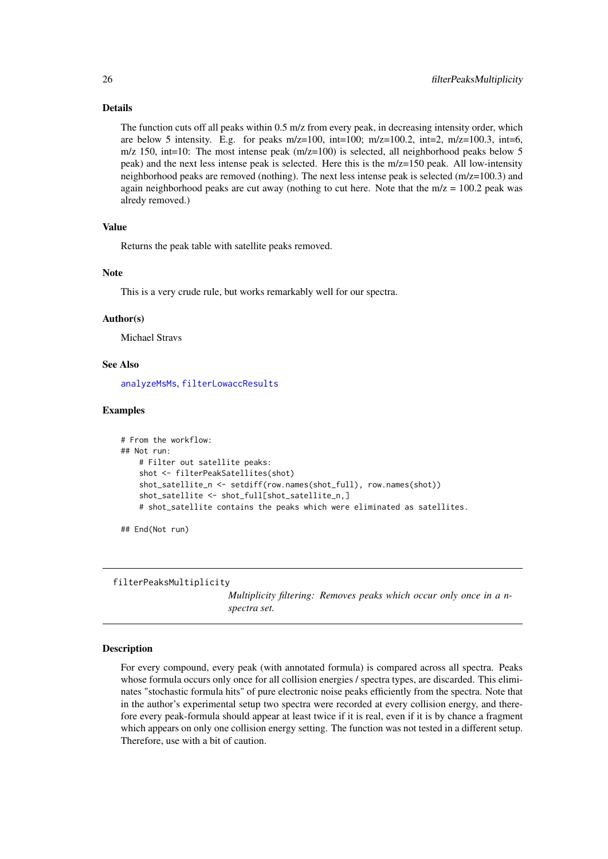#### Details

The function cuts off all peaks within 0.5 m/z from every peak, in decreasing intensity order, which are below 5 intensity. E.g. for peaks  $m/z=100$ ,  $int=100$ ;  $m/z=100.2$ ,  $int=2$ ,  $m/z=100.3$ ,  $int=6$ , m/z 150, int=10: The most intense peak  $(m/z=100)$  is selected, all neighborhood peaks below 5 peak) and the next less intense peak is selected. Here this is the m/z=150 peak. All low-intensity neighborhood peaks are removed (nothing). The next less intense peak is selected (m/z=100.3) and again neighborhood peaks are cut away (nothing to cut here. Note that the  $m/z = 100.2$  peak was alredy removed.)

#### Value

Returns the peak table with satellite peaks removed.

# Note

This is a very crude rule, but works remarkably well for our spectra.

#### Author(s)

Michael Stravs

# See Also

[analyzeMsMs](#page-8-1), [filterLowaccResults](#page-22-1)

#### Examples

```
# From the workflow:
## Not run:
   # Filter out satellite peaks:
   shot <- filterPeakSatellites(shot)
   shot_satellite_n <- setdiff(row.names(shot_full), row.names(shot))
   shot_satellite <- shot_full[shot_satellite_n,]
   # shot_satellite contains the peaks which were eliminated as satellites.
```
## End(Not run)

<span id="page-25-1"></span>filterPeaksMultiplicity

*Multiplicity filtering: Removes peaks which occur only once in a nspectra set.*

#### Description

For every compound, every peak (with annotated formula) is compared across all spectra. Peaks whose formula occurs only once for all collision energies / spectra types, are discarded. This eliminates "stochastic formula hits" of pure electronic noise peaks efficiently from the spectra. Note that in the author's experimental setup two spectra were recorded at every collision energy, and therefore every peak-formula should appear at least twice if it is real, even if it is by chance a fragment which appears on only one collision energy setting. The function was not tested in a different setup. Therefore, use with a bit of caution.

<span id="page-25-0"></span>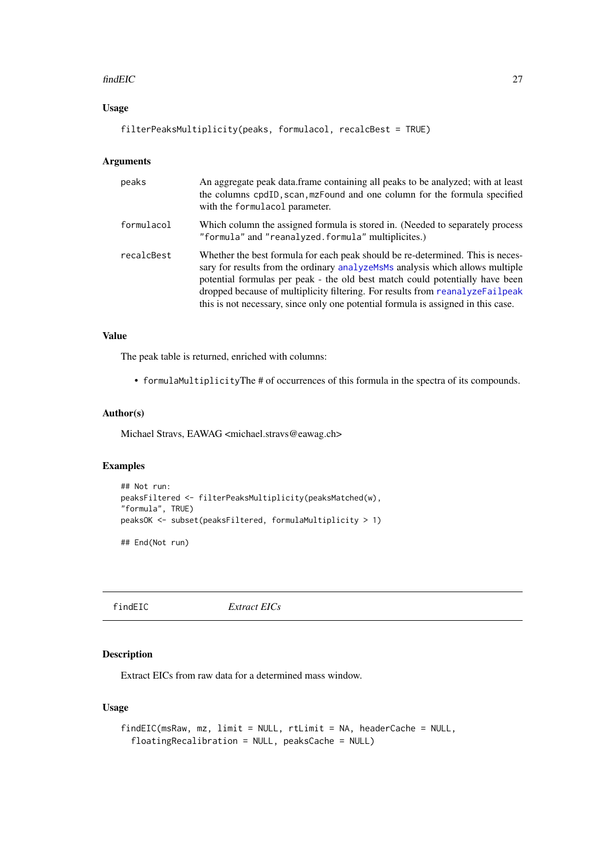#### <span id="page-26-0"></span>findEIC 27

# Usage

```
filterPeaksMultiplicity(peaks, formulacol, recalcBest = TRUE)
```
# Arguments

| peaks      | An aggregate peak data frame containing all peaks to be analyzed; with at least<br>the columns cpdID, scan, mzFound and one column for the formula specified<br>with the formulacol parameter.                                                                                                                                                                                                                         |
|------------|------------------------------------------------------------------------------------------------------------------------------------------------------------------------------------------------------------------------------------------------------------------------------------------------------------------------------------------------------------------------------------------------------------------------|
| formulacol | Which column the assigned formula is stored in. (Needed to separately process<br>"formula" and "reanalyzed.formula" multiplicites.)                                                                                                                                                                                                                                                                                    |
| recalcBest | Whether the best formula for each peak should be re-determined. This is neces-<br>sary for results from the ordinary analyzements analysis which allows multiple<br>potential formulas per peak - the old best match could potentially have been<br>dropped because of multiplicity filtering. For results from reanalyzeFailpeak<br>this is not necessary, since only one potential formula is assigned in this case. |

#### Value

The peak table is returned, enriched with columns:

• formulaMultiplicityThe # of occurrences of this formula in the spectra of its compounds.

#### Author(s)

Michael Stravs, EAWAG <michael.stravs@eawag.ch>

#### Examples

```
## Not run:
peaksFiltered <- filterPeaksMultiplicity(peaksMatched(w),
"formula", TRUE)
peaksOK <- subset(peaksFiltered, formulaMultiplicity > 1)
## End(Not run)
```

```
findEIC Extract EICs
```
# Description

Extract EICs from raw data for a determined mass window.

```
findEIC(msRaw, mz, limit = NULL, rtLimit = NA, headerCache = NULL,
  floatingRecalibration = NULL, peaksCache = NULL)
```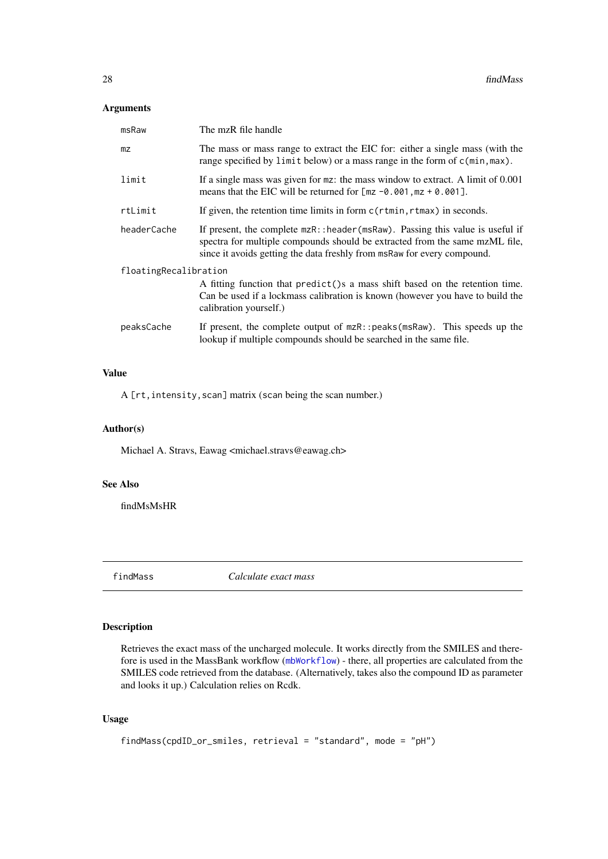# <span id="page-27-0"></span>Arguments

| msRaw                 | The mzR file handle                                                                                                                                                                                                                      |
|-----------------------|------------------------------------------------------------------------------------------------------------------------------------------------------------------------------------------------------------------------------------------|
| m <sub>Z</sub>        | The mass or mass range to extract the EIC for: either a single mass (with the<br>range specified by limit below) or a mass range in the form of c(min, max).                                                                             |
| limit                 | If a single mass was given for $mz$ : the mass window to extract. A limit of $0.001$<br>means that the EIC will be returned for $[mz -0.001, mz + 0.001]$ .                                                                              |
| rtLimit               | If given, the retention time limits in form $c(\tau t \min, \tau t \max)$ in seconds.                                                                                                                                                    |
| headerCache           | If present, the complete mzR:: header (msRaw). Passing this value is useful if<br>spectra for multiple compounds should be extracted from the same mzML file,<br>since it avoids getting the data freshly from msRaw for every compound. |
| floatingRecalibration | A fitting function that predict () s a mass shift based on the retention time.<br>Can be used if a lockmass calibration is known (however you have to build the<br>calibration yourself.)                                                |
| peaksCache            | If present, the complete output of $mzR$ : : peaks ( $msRaw$ ). This speeds up the<br>lookup if multiple compounds should be searched in the same file.                                                                                  |

# Value

A [rt, intensity, scan] matrix (scan being the scan number.)

# Author(s)

Michael A. Stravs, Eawag <michael.stravs@eawag.ch>

# See Also

findMsMsHR

<span id="page-27-1"></span>findMass *Calculate exact mass*

# Description

Retrieves the exact mass of the uncharged molecule. It works directly from the SMILES and therefore is used in the MassBank workflow ([mbWorkflow](#page-55-1)) - there, all properties are calculated from the SMILES code retrieved from the database. (Alternatively, takes also the compound ID as parameter and looks it up.) Calculation relies on Rcdk.

```
findMass(cpdID_or_smiles, retrieval = "standard", mode = "pH")
```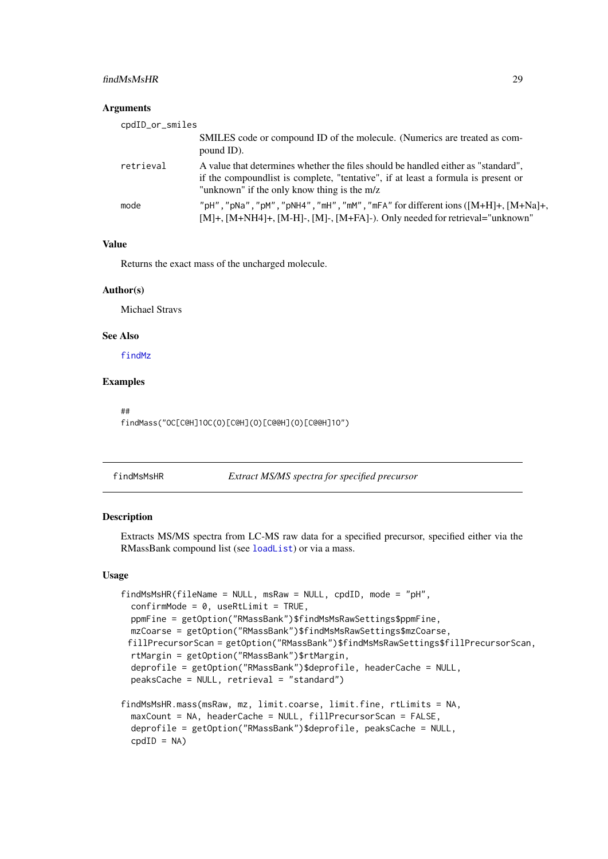#### <span id="page-28-0"></span>findMsMsHR 29

#### Arguments

| cpdID_or_smiles |                                                                                                                                                                                                                     |
|-----------------|---------------------------------------------------------------------------------------------------------------------------------------------------------------------------------------------------------------------|
|                 | SMILES code or compound ID of the molecule. (Numerics are treated as com-<br>pound ID).                                                                                                                             |
| retrieval       | A value that determines whether the files should be handled either as "standard",<br>if the compound is t complete, "tentative", if at least a formula is present or<br>"unknown" if the only know thing is the m/z |
| mode            | "pH", "pNa", "pM", "pNH4", "mH", "mM", "mFA" for different ions ([M+H]+, [M+Na]+,<br>$[M]+$ , $[M+NH4]+$ , $[M-H]$ -, $[M]$ -, $[M+FA]$ -). Only needed for retrieval="unknown"                                     |

# Value

Returns the exact mass of the uncharged molecule.

#### Author(s)

Michael Stravs

# See Also

[findMz](#page-34-2)

# Examples

##

findMass("OC[C@H]1OC(O)[C@H](O)[C@@H](O)[C@@H]1O")

#### <span id="page-28-1"></span>findMsMsHR *Extract MS/MS spectra for specified precursor*

# Description

Extracts MS/MS spectra from LC-MS raw data for a specified precursor, specified either via the RMassBank compound list (see [loadList](#page-51-1)) or via a mass.

```
findMsMsHR(fileName = NULL, msRaw = NULL, cpdID, mode = "pH",
 confirmMode = 0, useRtLimit = TRUE,
 ppmFine = getOption("RMassBank")$findMsMsRawSettings$ppmFine,
 mzCoarse = getOption("RMassBank")$findMsMsRawSettings$mzCoarse,
 fillPrecursorScan = getOption("RMassBank")$findMsMsRawSettings$fillPrecursorScan,
 rtMargin = getOption("RMassBank")$rtMargin,
 deprofile = getOption("RMassBank")$deprofile, headerCache = NULL,
 peaksCache = NULL, retrieval = "standard")
findMsMsHR.mass(msRaw, mz, limit.coarse, limit.fine, rtLimits = NA,
 maxCount = NA, headerCache = NULL, fillPrecursorScan = FALSE,
 deprofile = getOption("RMassBank")$deprofile, peaksCache = NULL,
```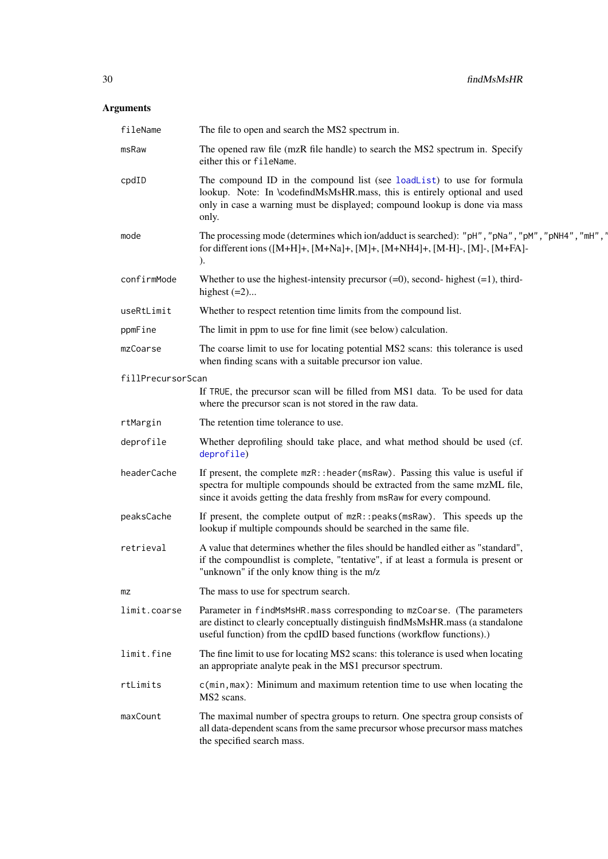# Arguments

| fileName          | The file to open and search the MS2 spectrum in.                                                                                                                                                                                           |
|-------------------|--------------------------------------------------------------------------------------------------------------------------------------------------------------------------------------------------------------------------------------------|
| msRaw             | The opened raw file (mzR file handle) to search the MS2 spectrum in. Specify<br>either this or fileName.                                                                                                                                   |
| cpdID             | The compound ID in the compound list (see loadList) to use for formula<br>lookup. Note: In \codefindMsMsHR.mass, this is entirely optional and used<br>only in case a warning must be displayed; compound lookup is done via mass<br>only. |
| mode              | The processing mode (determines which ion/adduct is searched): "pH", "pNa", "pM", "pNH4", "mH", "<br>for different ions ([M+H]+, [M+Na]+, [M]+, [M+NH4]+, [M-H]-, [M]-, [M+FA]-<br>).                                                      |
| confirmMode       | Whether to use the highest-intensity precursor $(=0)$ , second-highest $(=1)$ , third-<br>highest $(=2)$                                                                                                                                   |
| useRtLimit        | Whether to respect retention time limits from the compound list.                                                                                                                                                                           |
| ppmFine           | The limit in ppm to use for fine limit (see below) calculation.                                                                                                                                                                            |
| mzCoarse          | The coarse limit to use for locating potential MS2 scans: this tolerance is used<br>when finding scans with a suitable precursor ion value.                                                                                                |
| fillPrecursorScan |                                                                                                                                                                                                                                            |
|                   | If TRUE, the precursor scan will be filled from MS1 data. To be used for data<br>where the precursor scan is not stored in the raw data.                                                                                                   |
| rtMargin          | The retention time tolerance to use.                                                                                                                                                                                                       |
| deprofile         | Whether deprofiling should take place, and what method should be used (cf.<br>deprofile)                                                                                                                                                   |
| headerCache       | If present, the complete mzR:: header (msRaw). Passing this value is useful if<br>spectra for multiple compounds should be extracted from the same mzML file,<br>since it avoids getting the data freshly from msRaw for every compound.   |
| peaksCache        | If present, the complete output of mzR:: peaks (msRaw). This speeds up the<br>lookup if multiple compounds should be searched in the same file.                                                                                            |
| retrieval         | A value that determines whether the files should be handled either as "standard",<br>if the compoundlist is complete, "tentative", if at least a formula is present or<br>"unknown" if the only know thing is the m/z                      |
| mz                | The mass to use for spectrum search.                                                                                                                                                                                                       |
| limit.coarse      | Parameter in findMsMsHR.mass corresponding to mzCoarse. (The parameters<br>are distinct to clearly conceptually distinguish findMsMsHR.mass (a standalone<br>useful function) from the cpdID based functions (workflow functions).)        |
| limit.fine        | The fine limit to use for locating MS2 scans: this tolerance is used when locating<br>an appropriate analyte peak in the MS1 precursor spectrum.                                                                                           |
| rtLimits          | c(min, max): Minimum and maximum retention time to use when locating the<br>MS2 scans.                                                                                                                                                     |
| maxCount          | The maximal number of spectra groups to return. One spectra group consists of<br>all data-dependent scans from the same precursor whose precursor mass matches<br>the specified search mass.                                               |
|                   |                                                                                                                                                                                                                                            |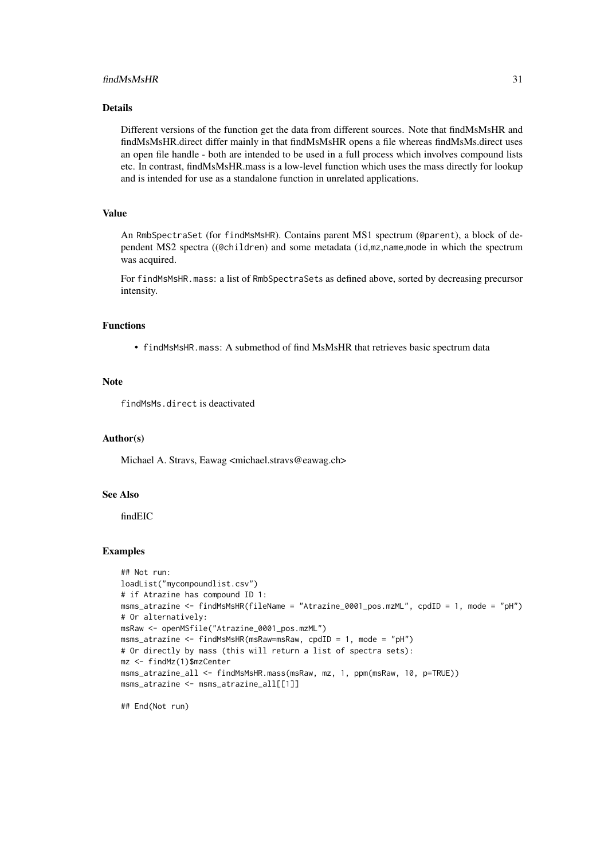#### findMsMsHR 31

#### Details

Different versions of the function get the data from different sources. Note that findMsMsHR and findMsMsHR.direct differ mainly in that findMsMsHR opens a file whereas findMsMs.direct uses an open file handle - both are intended to be used in a full process which involves compound lists etc. In contrast, findMsMsHR.mass is a low-level function which uses the mass directly for lookup and is intended for use as a standalone function in unrelated applications.

# Value

An RmbSpectraSet (for findMsMsHR). Contains parent MS1 spectrum (@parent), a block of dependent MS2 spectra ((@children) and some metadata (id,mz,name,mode in which the spectrum was acquired.

For findMsMsHR.mass: a list of RmbSpectraSets as defined above, sorted by decreasing precursor intensity.

#### Functions

• findMsMsHR.mass: A submethod of find MsMsHR that retrieves basic spectrum data

#### Note

findMsMs.direct is deactivated

#### Author(s)

Michael A. Stravs, Eawag <michael.stravs@eawag.ch>

#### See Also

findEIC

#### Examples

```
## Not run:
loadList("mycompoundlist.csv")
# if Atrazine has compound ID 1:
msms_atrazine <- findMsMsHR(fileName = "Atrazine_0001_pos.mzML", cpdID = 1, mode = "pH")
# Or alternatively:
msRaw <- openMSfile("Atrazine_0001_pos.mzML")
msms_atrazine <- findMsMsHR(msRaw=msRaw, cpdID = 1, mode = "pH")
# Or directly by mass (this will return a list of spectra sets):
mz <- findMz(1)$mzCenter
msms_atrazine_all <- findMsMsHR.mass(msRaw, mz, 1, ppm(msRaw, 10, p=TRUE))
msms_atrazine <- msms_atrazine_all[[1]]
```
## End(Not run)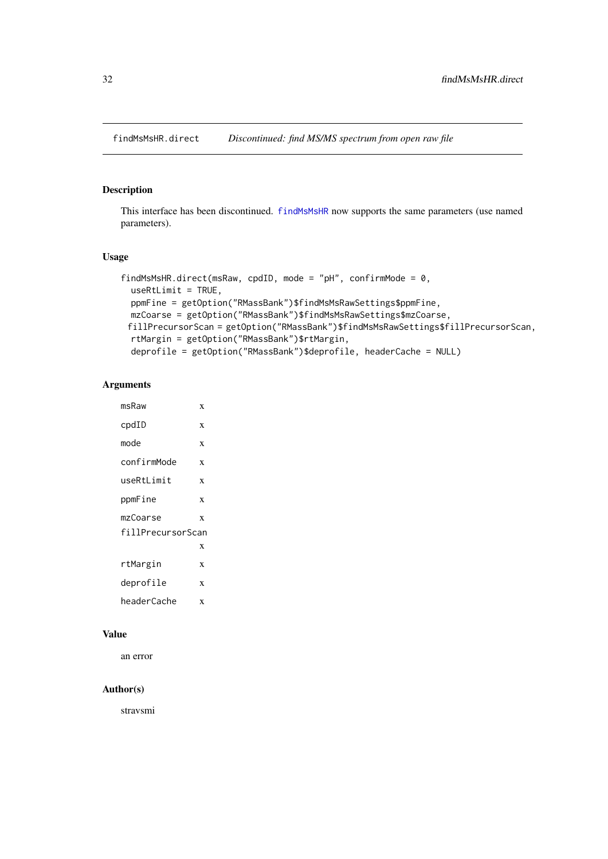<span id="page-31-0"></span>

# Description

This interface has been discontinued. [findMsMsHR](#page-28-1) now supports the same parameters (use named parameters).

# Usage

```
findMsMsHR.direct(msRaw, cpdID, mode = "pH", confirmMode = 0,
 useRtLimit = TRUE,
 ppmFine = getOption("RMassBank")$findMsMsRawSettings$ppmFine,
 mzCoarse = getOption("RMassBank")$findMsMsRawSettings$mzCoarse,
 fillPrecursorScan = getOption("RMassBank")$findMsMsRawSettings$fillPrecursorScan,
 rtMargin = getOption("RMassBank")$rtMargin,
 deprofile = getOption("RMassBank")$deprofile, headerCache = NULL)
```
# Arguments

| msRaw             | X |
|-------------------|---|
| $\text{cpdID}$    | X |
| mode              | X |
| confirmMode       | X |
| useRtLimit        | X |
| ppmFine           | X |
| mzCoarse          | X |
| fillPrecursorScan |   |
|                   | X |
| rtMargin          | X |
| deprofile         | X |
| headerCache       | X |

# Value

an error

#### Author(s)

stravsmi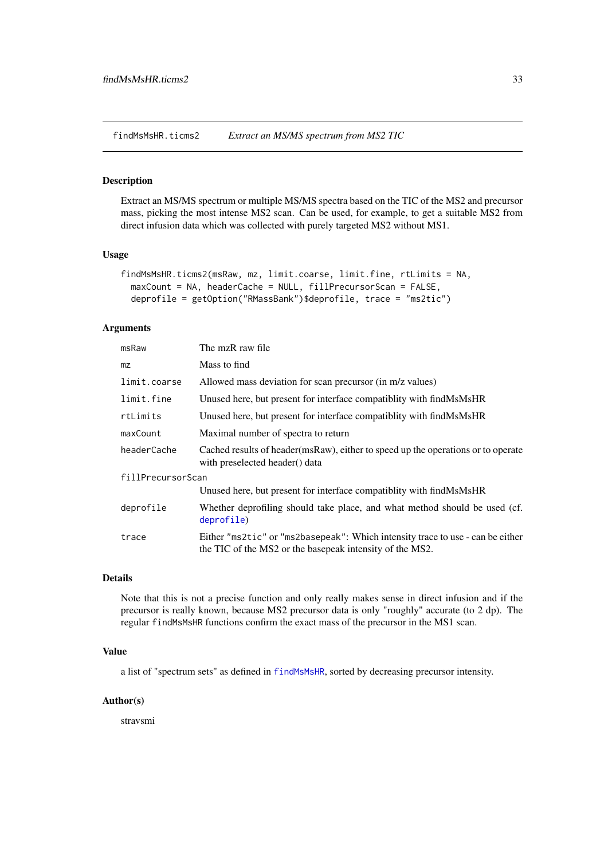<span id="page-32-0"></span>findMsMsHR.ticms2 *Extract an MS/MS spectrum from MS2 TIC*

#### Description

Extract an MS/MS spectrum or multiple MS/MS spectra based on the TIC of the MS2 and precursor mass, picking the most intense MS2 scan. Can be used, for example, to get a suitable MS2 from direct infusion data which was collected with purely targeted MS2 without MS1.

#### Usage

```
findMsMsHR.ticms2(msRaw, mz, limit.coarse, limit.fine, rtLimits = NA,
 maxCount = NA, headerCache = NULL, fillPrecursorScan = FALSE,
 deprofile = getOption("RMassBank")$deprofile, trace = "ms2tic")
```
# Arguments

| msRaw             | The mzR raw file                                                                                                                           |
|-------------------|--------------------------------------------------------------------------------------------------------------------------------------------|
| mz                | Mass to find                                                                                                                               |
| limit.coarse      | Allowed mass deviation for scan precursor (in m/z values)                                                                                  |
| limit.fine        | Unused here, but present for interface compatibity with find MsMsHR                                                                        |
| rtLimits          | Unused here, but present for interface compatibity with find MsMsHR                                                                        |
| maxCount          | Maximal number of spectra to return                                                                                                        |
| headerCache       | Cached results of header (msRaw), either to speed up the operations or to operate<br>with preselected header() data                        |
| fillPrecursorScan |                                                                                                                                            |
|                   | Unused here, but present for interface compatibity with find MsMsHR                                                                        |
| deprofile         | Whether deprofiling should take place, and what method should be used (cf.<br>deprofile)                                                   |
| trace             | Either "ms2tic" or "ms2basepeak": Which intensity trace to use - can be either<br>the TIC of the MS2 or the basepeak intensity of the MS2. |

# Details

Note that this is not a precise function and only really makes sense in direct infusion and if the precursor is really known, because MS2 precursor data is only "roughly" accurate (to 2 dp). The regular findMsMsHR functions confirm the exact mass of the precursor in the MS1 scan.

#### Value

a list of "spectrum sets" as defined in [findMsMsHR](#page-28-1), sorted by decreasing precursor intensity.

#### Author(s)

stravsmi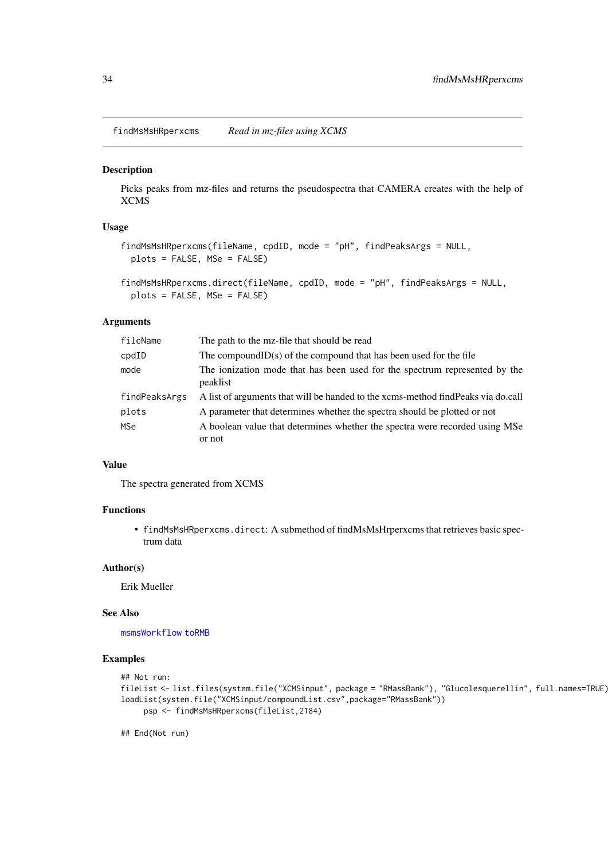<span id="page-33-0"></span>findMsMsHRperxcms *Read in mz-files using XCMS*

# Description

Picks peaks from mz-files and returns the pseudospectra that CAMERA creates with the help of XCMS

#### Usage

```
findMsMsHRperxcms(fileName, cpdID, mode = "pH", findPeaksArgs = NULL,
 plots = FALSE, MSe = FALSE)
```

```
findMsMsHRperxcms.direct(fileName, cpdID, mode = "pH", findPeaksArgs = NULL,
 plots = FALSE, MSe = FALSE)
```
#### Arguments

| fileName       | The path to the mz-file that should be read                                            |
|----------------|----------------------------------------------------------------------------------------|
| $\text{cpdID}$ | The compound $ID(s)$ of the compound that has been used for the file                   |
| mode           | The ionization mode that has been used for the spectrum represented by the<br>peaklist |
| findPeaksArgs  | A list of arguments that will be handed to the xcms-method find Peaks via do.call      |
| plots          | A parameter that determines whether the spectra should be plotted or not               |
| <b>MSe</b>     | A boolean value that determines whether the spectra were recorded using MSe.           |
|                | or not                                                                                 |

# Value

The spectra generated from XCMS

# Functions

• findMsMsHRperxcms.direct: A submethod of findMsMsHrperxcms that retrieves basic spectrum data

#### Author(s)

Erik Mueller

#### See Also

[msmsWorkflow](#page-60-1) [toRMB](#page-84-1)

#### Examples

```
## Not run:
fileList <- list.files(system.file("XCMSinput", package = "RMassBank"), "Glucolesquerellin", full.names=TRUE)
loadList(system.file("XCMSinput/compoundList.csv",package="RMassBank"))
     psp <- findMsMsHRperxcms(fileList,2184)
```
## End(Not run)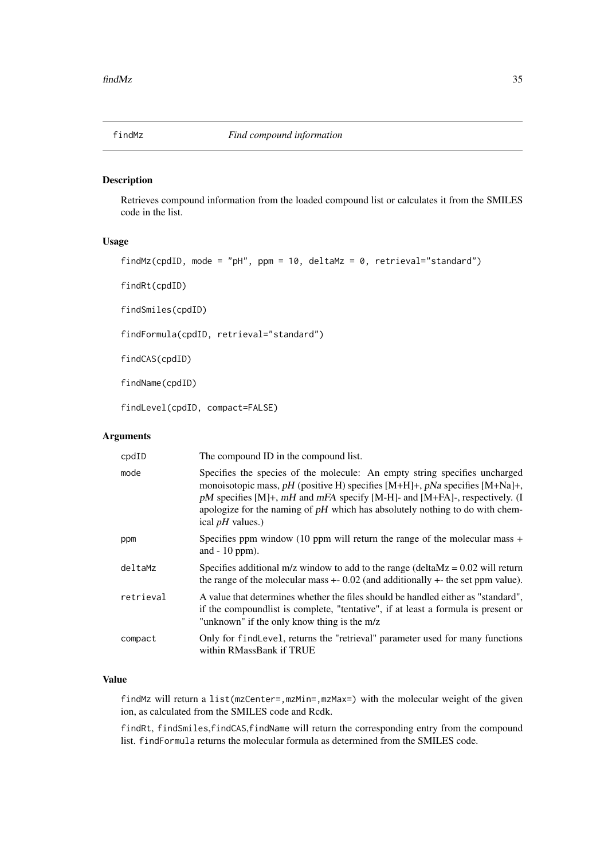<span id="page-34-2"></span><span id="page-34-0"></span>

#### <span id="page-34-1"></span>Description

Retrieves compound information from the loaded compound list or calculates it from the SMILES code in the list.

# Usage

```
findMz(cpdID, mode = "pH", ppm = 10, deltaMz = 0, retrieval="standard")
```
findRt(cpdID)

findSmiles(cpdID)

findFormula(cpdID, retrieval="standard")

findCAS(cpdID)

findName(cpdID)

findLevel(cpdID, compact=FALSE)

# Arguments

| cpdID     | The compound ID in the compound list.                                                                                                                                                                                                                                                                                                                       |
|-----------|-------------------------------------------------------------------------------------------------------------------------------------------------------------------------------------------------------------------------------------------------------------------------------------------------------------------------------------------------------------|
| mode      | Specifies the species of the molecule: An empty string specifies uncharged<br>monoisotopic mass, pH (positive H) specifies $[M+H]+$ , pNa specifies $[M+Na]+$ ,<br>$pM$ specifies [M]+, $mH$ and $mFA$ specify [M-H]- and [M+FA]-, respectively. (I<br>apologize for the naming of $pH$ which has absolutely nothing to do with chem-<br>ical $pH$ values.) |
| ppm       | Specifies ppm window (10 ppm will return the range of the molecular mass $+$<br>and $-10$ ppm).                                                                                                                                                                                                                                                             |
| deltaMz   | Specifies additional m/z window to add to the range (deltaMz = $0.02$ will return<br>the range of the molecular mass $+0.02$ (and additionally $+$ the set ppm value).                                                                                                                                                                                      |
| retrieval | A value that determines whether the files should be handled either as "standard",<br>if the compound is t is complete, "tentative", if at least a formula is present or<br>"unknown" if the only know thing is the m/z                                                                                                                                      |
| compact   | Only for findLevel, returns the "retrieval" parameter used for many functions<br>within RMassBank if TRUE                                                                                                                                                                                                                                                   |

# Value

findMz will return a list(mzCenter=,mzMin=,mzMax=) with the molecular weight of the given ion, as calculated from the SMILES code and Rcdk.

findRt, findSmiles,findCAS,findName will return the corresponding entry from the compound list. findFormula returns the molecular formula as determined from the SMILES code.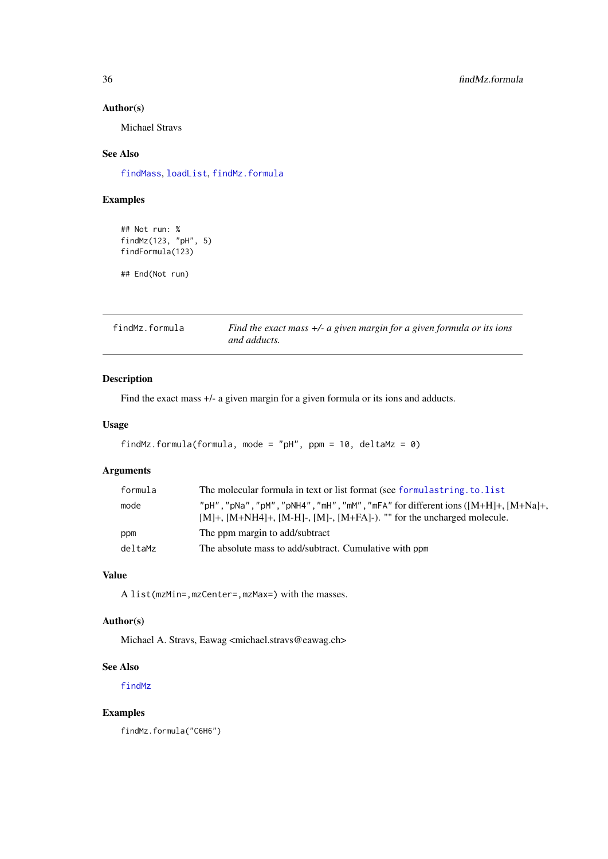#### Author(s)

Michael Stravs

# See Also

[findMass](#page-27-1), [loadList](#page-51-1), [findMz.formula](#page-35-1)

# Examples

## Not run: % findMz(123, "pH", 5) findFormula(123)

## End(Not run)

<span id="page-35-1"></span>findMz.formula *Find the exact mass +/- a given margin for a given formula or its ions and adducts.*

# Description

Find the exact mass +/- a given margin for a given formula or its ions and adducts.

# Usage

```
findMz.formula(formula, mode = "pH", ppm = 10, deltaMz = 0)
```
# Arguments

| formula | The molecular formula in text or list format (see formular string to list                                                                                                                                         |
|---------|-------------------------------------------------------------------------------------------------------------------------------------------------------------------------------------------------------------------|
| mode    | " $pH''$ , " $pNa''$ , " $pM''$ , " $pNH4''$ , " $mH''$ , " $mM''$ , " $mFA''$ for different ions ( $[M+H]+$ , $[M+Na]+$<br>$[M]+$ , $[M+NH4]+$ , $[M-H]$ -, $[M]+$ , $[M+FA]$ -). "" for the uncharged molecule. |
| ppm     | The ppm margin to add/subtract                                                                                                                                                                                    |
| deltaMz | The absolute mass to add/subtract. Cumulative with ppm                                                                                                                                                            |

# Value

A list(mzMin=,mzCenter=,mzMax=) with the masses.

#### Author(s)

Michael A. Stravs, Eawag <michael.stravs@eawag.ch>

#### See Also

[findMz](#page-34-2)

#### Examples

findMz.formula("C6H6")

<span id="page-35-0"></span>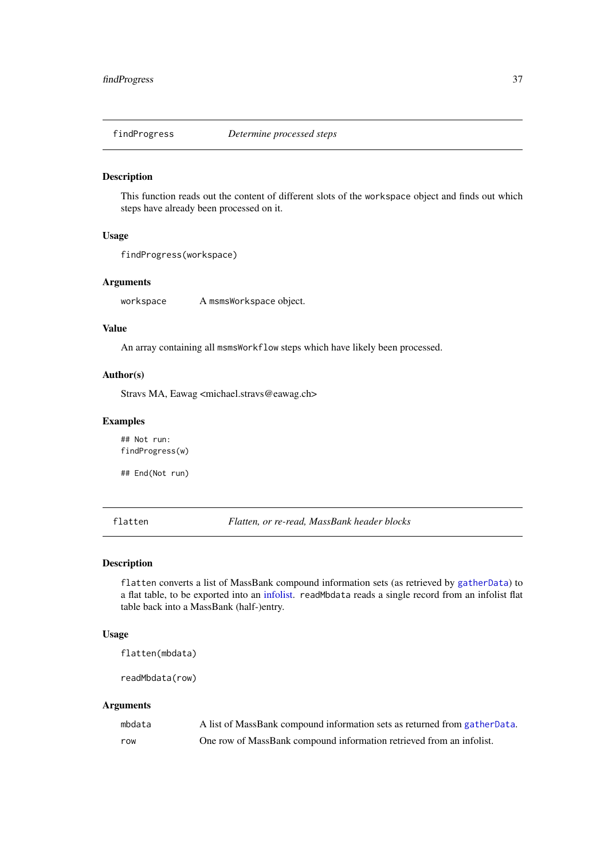This function reads out the content of different slots of the workspace object and finds out which steps have already been processed on it.

# Usage

```
findProgress(workspace)
```
# Arguments

workspace A msmsWorkspace object.

# Value

An array containing all msmsWorkflow steps which have likely been processed.

### Author(s)

Stravs MA, Eawag <michael.stravs@eawag.ch>

#### Examples

## Not run: findProgress(w)

## End(Not run)

flatten *Flatten, or re-read, MassBank header blocks*

### Description

flatten converts a list of MassBank compound information sets (as retrieved by [gatherData](#page-40-0)) to a flat table, to be exported into an [infolist.](#page-50-0) readMbdata reads a single record from an infolist flat table back into a MassBank (half-)entry.

## Usage

flatten(mbdata)

readMbdata(row)

| mbdata | A list of MassBank compound information sets as returned from gather Data. |
|--------|----------------------------------------------------------------------------|
| row    | One row of MassBank compound information retrieved from an infolist.       |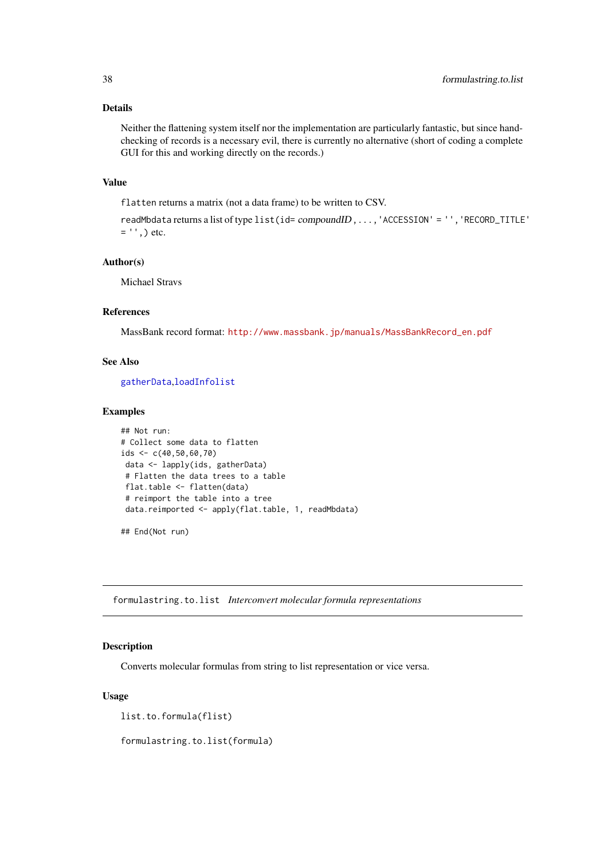#### Details

Neither the flattening system itself nor the implementation are particularly fantastic, but since handchecking of records is a necessary evil, there is currently no alternative (short of coding a complete GUI for this and working directly on the records.)

#### Value

flatten returns a matrix (not a data frame) to be written to CSV.

```
readMbdata returns a list of type list(id= compoundID,...,'ACCESSION' = '','RECORD_TITLE'
= '', ) etc.
```
## Author(s)

Michael Stravs

#### References

MassBank record format: [http://www.massbank.jp/manuals/MassBankRecord\\_en.pdf](http://www.massbank.jp/manuals/MassBankRecord_en.pdf)

### See Also

[gatherData](#page-40-0),[loadInfolist](#page-50-0)

#### Examples

```
## Not run:
# Collect some data to flatten
ids <- c(40,50,60,70)
data <- lapply(ids, gatherData)
# Flatten the data trees to a table
 flat.table <- flatten(data)
 # reimport the table into a tree
 data.reimported <- apply(flat.table, 1, readMbdata)
```
## End(Not run)

formulastring.to.list *Interconvert molecular formula representations*

# <span id="page-37-0"></span>Description

Converts molecular formulas from string to list representation or vice versa.

# Usage

list.to.formula(flist)

formulastring.to.list(formula)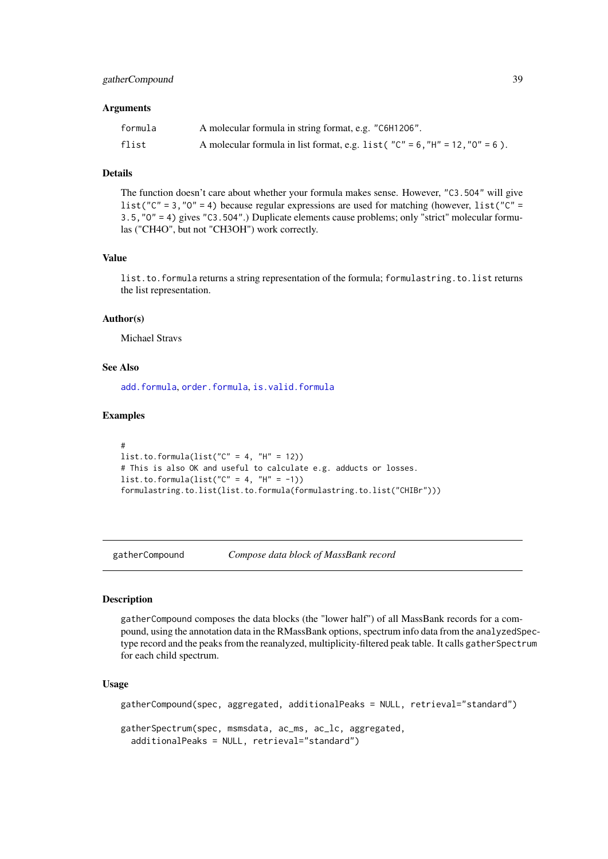#### gatherCompound 39

#### Arguments

| formula | A molecular formula in string format, e.g. "C6H1206".                                 |
|---------|---------------------------------------------------------------------------------------|
| flist   | A molecular formula in list format, e.g. list ( $C'' = 6$ , $H'' = 12$ , $O'' = 6$ ). |

# Details

The function doesn't care about whether your formula makes sense. However, "C3.5O4" will give list("C" = 3, "0" = 4) because regular expressions are used for matching (however, list("C" = 3.5,"O" = 4) gives "C3.5O4".) Duplicate elements cause problems; only "strict" molecular formulas ("CH4O", but not "CH3OH") work correctly.

# Value

list.to.formula returns a string representation of the formula; formulastring.to.list returns the list representation.

# Author(s)

Michael Stravs

#### See Also

[add.formula](#page-2-0), [order.formula](#page-64-0), [is.valid.formula](#page-50-1)

#### Examples

```
#
list.to.formula(list("C'' = 4, "H'' = 12))
# This is also OK and useful to calculate e.g. adducts or losses.
list.to.formula(list("C'' = 4, "H'' = -1))
formulastring.to.list(list.to.formula(formulastring.to.list("CHIBr")))
```
gatherCompound *Compose data block of MassBank record*

### Description

gatherCompound composes the data blocks (the "lower half") of all MassBank records for a compound, using the annotation data in the RMassBank options, spectrum info data from the analyzedSpectype record and the peaks from the reanalyzed, multiplicity-filtered peak table. It calls gather Spectrum for each child spectrum.

### Usage

```
gatherCompound(spec, aggregated, additionalPeaks = NULL, retrieval="standard")
gatherSpectrum(spec, msmsdata, ac_ms, ac_lc, aggregated,
  additionalPeaks = NULL, retrieval="standard")
```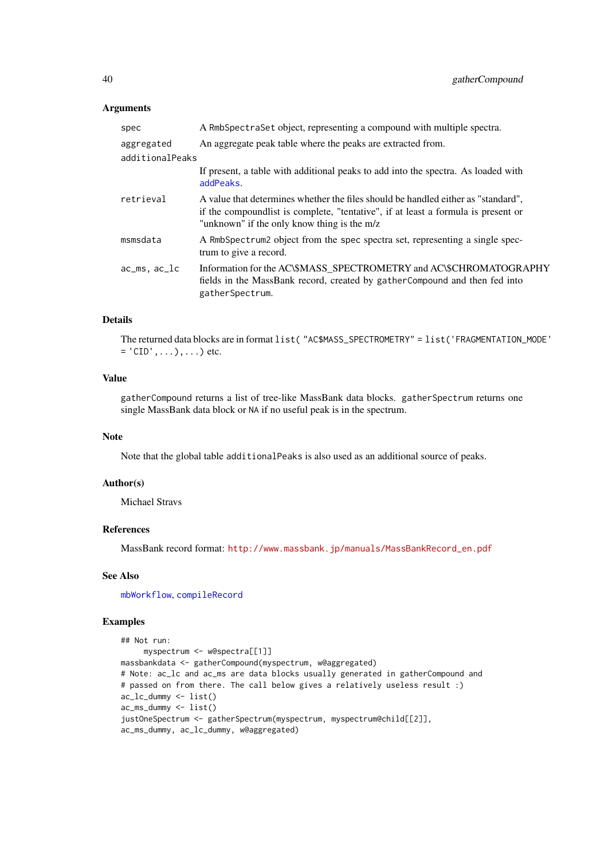### Arguments

| spec            | A RmbSpectraSet object, representing a compound with multiple spectra.                                                                                                                                                 |
|-----------------|------------------------------------------------------------------------------------------------------------------------------------------------------------------------------------------------------------------------|
| aggregated      | An aggregate peak table where the peaks are extracted from.                                                                                                                                                            |
| additionalPeaks |                                                                                                                                                                                                                        |
|                 | If present, a table with additional peaks to add into the spectra. As loaded with<br>addPeaks.                                                                                                                         |
| retrieval       | A value that determines whether the files should be handled either as "standard".<br>if the compound is t is complete, "tentative", if at least a formula is present or<br>"unknown" if the only know thing is the m/z |
| msmsdata        | A RmbSpectrum2 object from the spec spectra set, representing a single spec-<br>trum to give a record.                                                                                                                 |
| $acms, ac\_lc$  | Information for the AC\\$MASS_SPECTROMETRY and AC\\$CHROMATOGRAPHY<br>fields in the MassBank record, created by gather Compound and then fed into<br>gatherSpectrum.                                                   |

### Details

The returned data blocks are in format list( "AC\$MASS\_SPECTROMETRY" = list('FRAGMENTATION\_MODE'  $=$   $^{\prime}$  CID', ...), ...) etc.

# Value

gatherCompound returns a list of tree-like MassBank data blocks. gatherSpectrum returns one single MassBank data block or NA if no useful peak is in the spectrum.

#### Note

Note that the global table additionalPeaks is also used as an additional source of peaks.

#### Author(s)

Michael Stravs

### References

MassBank record format: [http://www.massbank.jp/manuals/MassBankRecord\\_en.pdf](http://www.massbank.jp/manuals/MassBankRecord_en.pdf)

### See Also

[mbWorkflow](#page-55-0), [compileRecord](#page-15-0)

#### Examples

```
## Not run:
    myspectrum <- w@spectra[[1]]
massbankdata <- gatherCompound(myspectrum, w@aggregated)
# Note: ac_lc and ac_ms are data blocks usually generated in gatherCompound and
# passed on from there. The call below gives a relatively useless result :)
ac_lc_dummy <- list()
ac_ms_dummy <- list()
justOneSpectrum <- gatherSpectrum(myspectrum, myspectrum@child[[2]],
ac_ms_dummy, ac_lc_dummy, w@aggregated)
```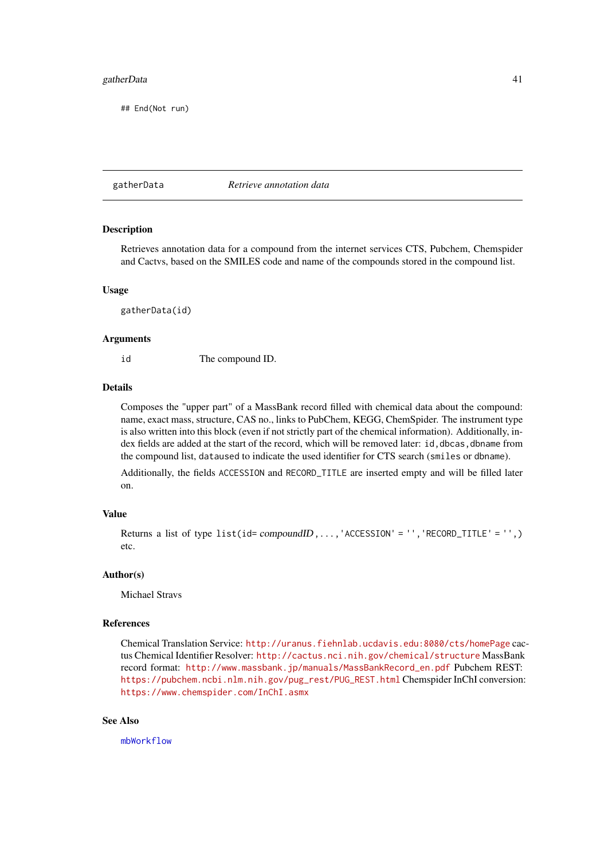#### gatherData and the state of the state of the state of the state of the state of the state of the state of the state of the state of the state of the state of the state of the state of the state of the state of the state of

## End(Not run)

<span id="page-40-0"></span>gatherData *Retrieve annotation data*

#### Description

Retrieves annotation data for a compound from the internet services CTS, Pubchem, Chemspider and Cactvs, based on the SMILES code and name of the compounds stored in the compound list.

#### Usage

gatherData(id)

#### Arguments

id The compound ID.

### Details

Composes the "upper part" of a MassBank record filled with chemical data about the compound: name, exact mass, structure, CAS no., links to PubChem, KEGG, ChemSpider. The instrument type is also written into this block (even if not strictly part of the chemical information). Additionally, index fields are added at the start of the record, which will be removed later: id, dbcas, dbname from the compound list, dataused to indicate the used identifier for CTS search (smiles or dbname).

Additionally, the fields ACCESSION and RECORD\_TITLE are inserted empty and will be filled later on.

#### Value

```
Returns a list of type list(id= compoundID, \ldots, 'ACCESSION' = '', 'RECORD_IIILE' = '',')etc.
```
#### Author(s)

Michael Stravs

## References

Chemical Translation Service: <http://uranus.fiehnlab.ucdavis.edu:8080/cts/homePage> cactus Chemical Identifier Resolver: <http://cactus.nci.nih.gov/chemical/structure> MassBank record format: [http://www.massbank.jp/manuals/MassBankRecord\\_en.pdf](http://www.massbank.jp/manuals/MassBankRecord_en.pdf) Pubchem REST: [https://pubchem.ncbi.nlm.nih.gov/pug\\_rest/PUG\\_REST.html](https://pubchem.ncbi.nlm.nih.gov/pug_rest/PUG_REST.html) Chemspider InChI conversion: <https://www.chemspider.com/InChI.asmx>

# See Also

[mbWorkflow](#page-55-0)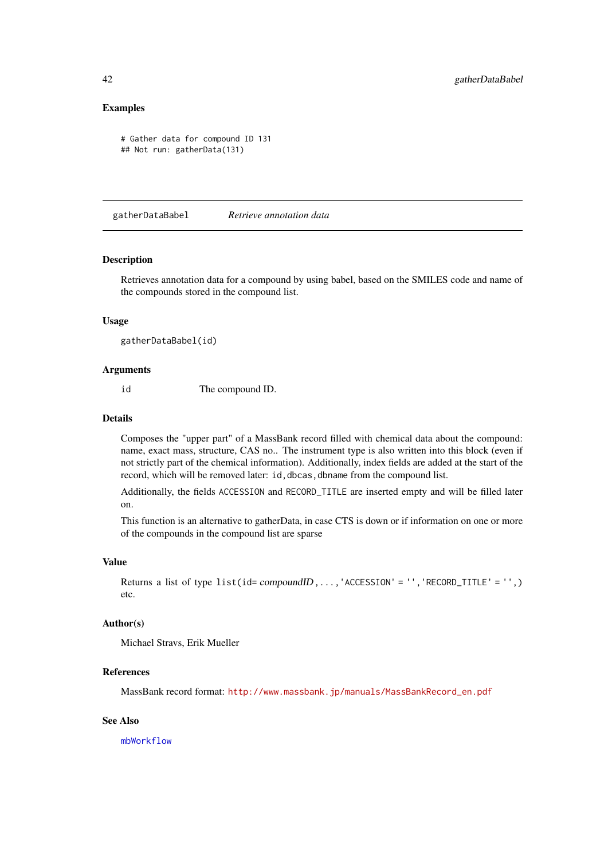### Examples

```
# Gather data for compound ID 131
## Not run: gatherData(131)
```
gatherDataBabel *Retrieve annotation data*

#### Description

Retrieves annotation data for a compound by using babel, based on the SMILES code and name of the compounds stored in the compound list.

## Usage

gatherDataBabel(id)

## Arguments

id The compound ID.

# Details

Composes the "upper part" of a MassBank record filled with chemical data about the compound: name, exact mass, structure, CAS no.. The instrument type is also written into this block (even if not strictly part of the chemical information). Additionally, index fields are added at the start of the record, which will be removed later: id, dbcas, dbname from the compound list.

Additionally, the fields ACCESSION and RECORD\_TITLE are inserted empty and will be filled later on.

This function is an alternative to gatherData, in case CTS is down or if information on one or more of the compounds in the compound list are sparse

#### Value

Returns a list of type  $list(id=compoundID, ..., 'ACCESSION' = '', 'RECORD_TIME' = '', )$ etc.

#### Author(s)

Michael Stravs, Erik Mueller

### References

MassBank record format: [http://www.massbank.jp/manuals/MassBankRecord\\_en.pdf](http://www.massbank.jp/manuals/MassBankRecord_en.pdf)

# See Also

[mbWorkflow](#page-55-0)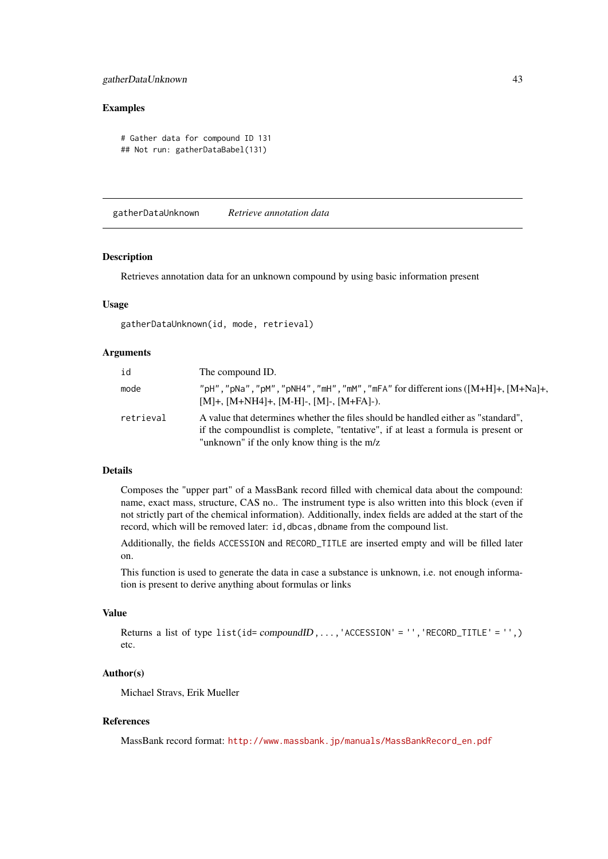#### gatherDataUnknown 43

#### Examples

```
# Gather data for compound ID 131
## Not run: gatherDataBabel(131)
```
gatherDataUnknown *Retrieve annotation data*

#### Description

Retrieves annotation data for an unknown compound by using basic information present

#### Usage

gatherDataUnknown(id, mode, retrieval)

### Arguments

| id        | The compound ID.                                                                                                                                                                                                     |
|-----------|----------------------------------------------------------------------------------------------------------------------------------------------------------------------------------------------------------------------|
| mode      | "pH", "pNa", "pM", "pNH4", "mH", "mM", "mFA" for different ions $([M+H]+, [M+Na]+,$<br>$[M]+$ , $[M+NH4]+$ , $[M-H]$ -, $[M]+$ , $[M+FA]$ -).                                                                        |
| retrieval | A value that determines whether the files should be handled either as "standard",<br>if the compound is to complete, "tentative", if at least a formula is present or<br>"unknown" if the only know thing is the m/z |

# Details

Composes the "upper part" of a MassBank record filled with chemical data about the compound: name, exact mass, structure, CAS no.. The instrument type is also written into this block (even if not strictly part of the chemical information). Additionally, index fields are added at the start of the record, which will be removed later: id, dbcas, dbname from the compound list.

Additionally, the fields ACCESSION and RECORD\_TITLE are inserted empty and will be filled later on.

This function is used to generate the data in case a substance is unknown, i.e. not enough information is present to derive anything about formulas or links

# Value

Returns a list of type list(id=  $compoundID$ ,...,'ACCESSION' = '','RECORD\_TITLE' = '',) etc.

#### Author(s)

Michael Stravs, Erik Mueller

#### References

MassBank record format: [http://www.massbank.jp/manuals/MassBankRecord\\_en.pdf](http://www.massbank.jp/manuals/MassBankRecord_en.pdf)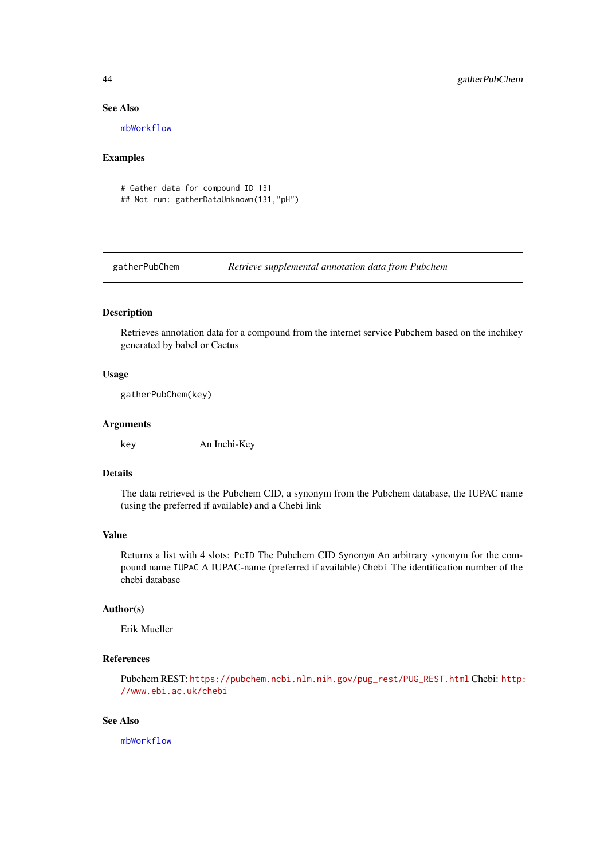#### See Also

[mbWorkflow](#page-55-0)

## Examples

# Gather data for compound ID 131 ## Not run: gatherDataUnknown(131,"pH")

gatherPubChem *Retrieve supplemental annotation data from Pubchem*

# Description

Retrieves annotation data for a compound from the internet service Pubchem based on the inchikey generated by babel or Cactus

# Usage

gatherPubChem(key)

#### Arguments

key An Inchi-Key

## Details

The data retrieved is the Pubchem CID, a synonym from the Pubchem database, the IUPAC name (using the preferred if available) and a Chebi link

## Value

Returns a list with 4 slots: PcID The Pubchem CID Synonym An arbitrary synonym for the compound name IUPAC A IUPAC-name (preferred if available) Chebi The identification number of the chebi database

#### Author(s)

Erik Mueller

### References

Pubchem REST: [https://pubchem.ncbi.nlm.nih.gov/pug\\_rest/PUG\\_REST.html](https://pubchem.ncbi.nlm.nih.gov/pug_rest/PUG_REST.html) Chebi: [http:](http://www.ebi.ac.uk/chebi) [//www.ebi.ac.uk/chebi](http://www.ebi.ac.uk/chebi)

# See Also

[mbWorkflow](#page-55-0)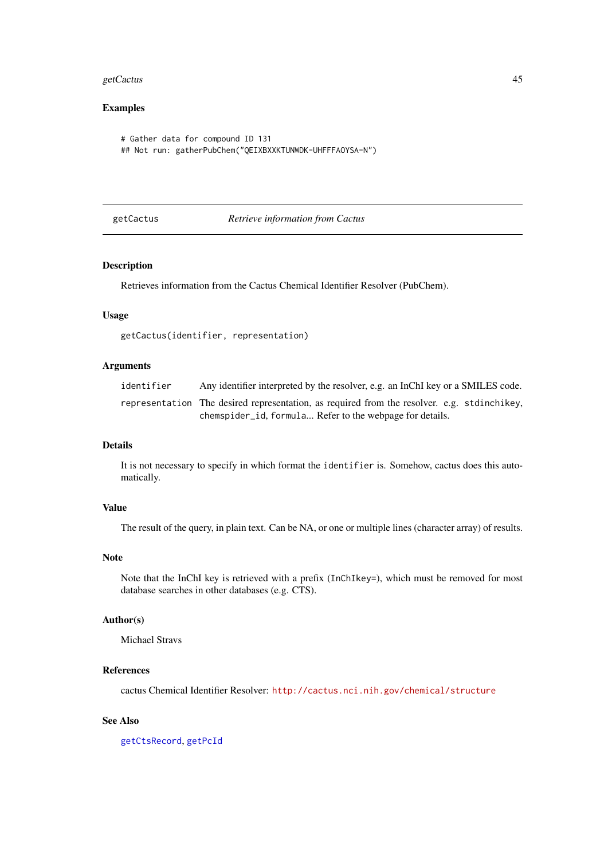#### getCactus 45

# Examples

```
# Gather data for compound ID 131
## Not run: gatherPubChem("QEIXBXXKTUNWDK-UHFFFAOYSA-N")
```
<span id="page-44-0"></span>getCactus *Retrieve information from Cactus*

# Description

Retrieves information from the Cactus Chemical Identifier Resolver (PubChem).

# Usage

getCactus(identifier, representation)

# Arguments

| identifier | Any identifier interpreted by the resolver, e.g. an InChI key or a SMILES code.             |
|------------|---------------------------------------------------------------------------------------------|
|            | representation The desired representation, as required from the resolver, e.g. stdinchikey, |
|            | chemspider id, formula Refer to the webpage for details.                                    |

# Details

It is not necessary to specify in which format the identifier is. Somehow, cactus does this automatically.

# Value

The result of the query, in plain text. Can be NA, or one or multiple lines (character array) of results.

# Note

Note that the InChI key is retrieved with a prefix (InChIkey=), which must be removed for most database searches in other databases (e.g. CTS).

### Author(s)

Michael Stravs

# References

cactus Chemical Identifier Resolver: <http://cactus.nci.nih.gov/chemical/structure>

# See Also

[getCtsRecord](#page-46-0), [getPcId](#page-49-0)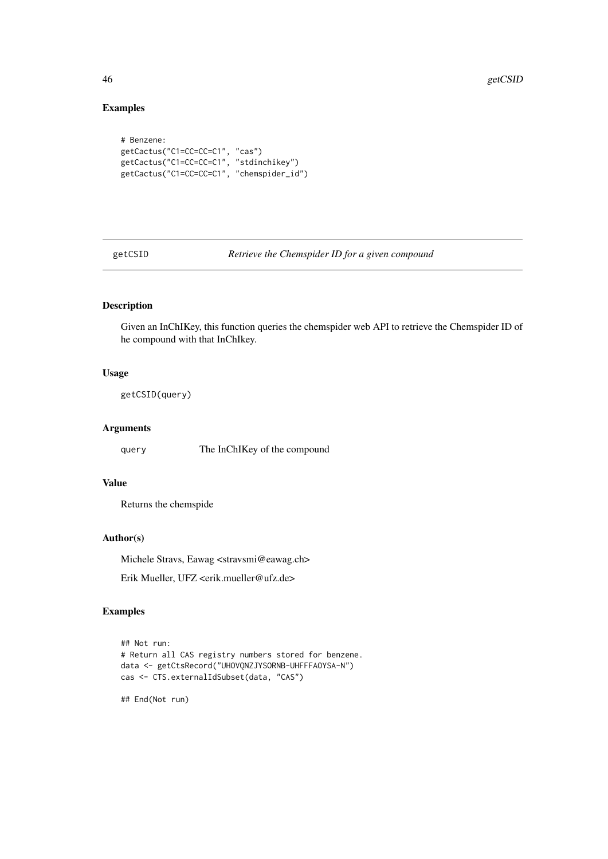# Examples

```
# Benzene:
getCactus("C1=CC=CC=C1", "cas")
getCactus("C1=CC=CC=C1", "stdinchikey")
getCactus("C1=CC=CC=C1", "chemspider_id")
```
getCSID *Retrieve the Chemspider ID for a given compound*

# Description

Given an InChIKey, this function queries the chemspider web API to retrieve the Chemspider ID of he compound with that InChIkey.

# Usage

getCSID(query)

# Arguments

query The InChIKey of the compound

#### Value

Returns the chemspide

#### Author(s)

Michele Stravs, Eawag <stravsmi@eawag.ch>

Erik Mueller, UFZ <erik.mueller@ufz.de>

# Examples

```
## Not run:
# Return all CAS registry numbers stored for benzene.
data <- getCtsRecord("UHOVQNZJYSORNB-UHFFFAOYSA-N")
cas <- CTS.externalIdSubset(data, "CAS")
```
## End(Not run)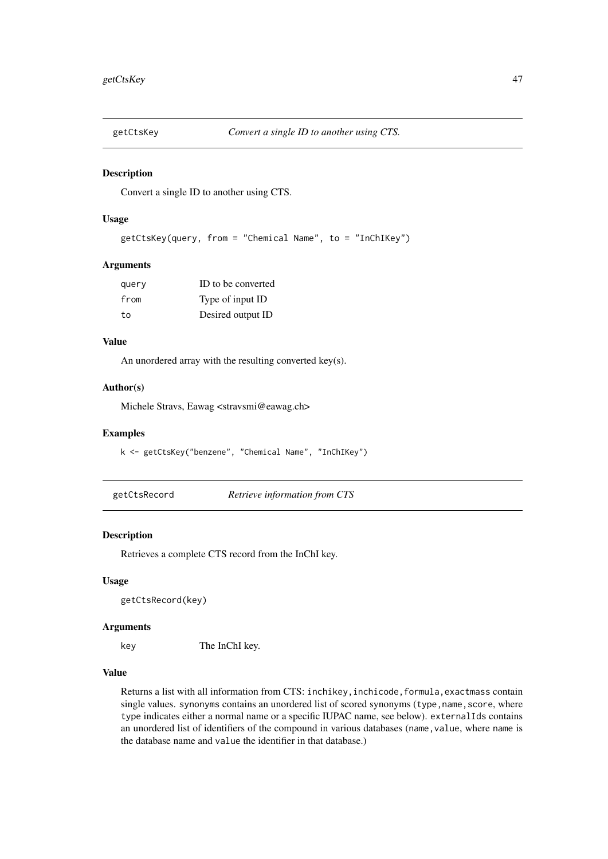Convert a single ID to another using CTS.

# Usage

```
getCtsKey(query, from = "Chemical Name", to = "InChIKey")
```
### Arguments

| query | ID to be converted |
|-------|--------------------|
| from  | Type of input ID   |
| to    | Desired output ID  |

# Value

An unordered array with the resulting converted key(s).

# Author(s)

Michele Stravs, Eawag <stravsmi@eawag.ch>

### Examples

k <- getCtsKey("benzene", "Chemical Name", "InChIKey")

<span id="page-46-0"></span>

| getCtsRecord | Retrieve information from CTS |  |  |
|--------------|-------------------------------|--|--|
|              |                               |  |  |

#### Description

Retrieves a complete CTS record from the InChI key.

### Usage

getCtsRecord(key)

#### Arguments

key The InChI key.

#### Value

Returns a list with all information from CTS: inchikey,inchicode,formula,exactmass contain single values. synonyms contains an unordered list of scored synonyms (type, name, score, where type indicates either a normal name or a specific IUPAC name, see below). externalIds contains an unordered list of identifiers of the compound in various databases (name,value, where name is the database name and value the identifier in that database.)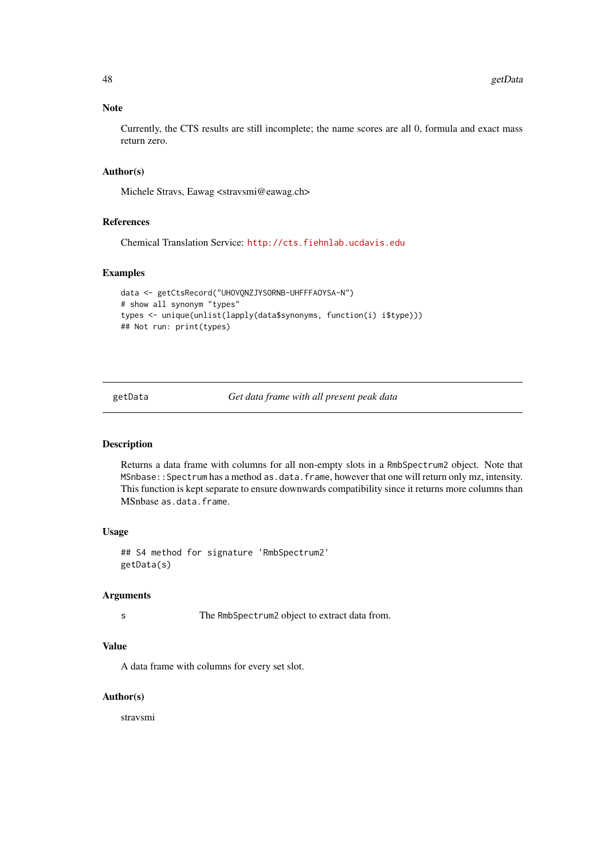#### Note

Currently, the CTS results are still incomplete; the name scores are all 0, formula and exact mass return zero.

#### Author(s)

Michele Stravs, Eawag <stravsmi@eawag.ch>

#### References

Chemical Translation Service: <http://cts.fiehnlab.ucdavis.edu>

#### Examples

```
data <- getCtsRecord("UHOVQNZJYSORNB-UHFFFAOYSA-N")
# show all synonym "types"
types <- unique(unlist(lapply(data$synonyms, function(i) i$type)))
## Not run: print(types)
```
getData *Get data frame with all present peak data*

#### Description

Returns a data frame with columns for all non-empty slots in a RmbSpectrum2 object. Note that MSnbase::Spectrum has a method as.data.frame, however that one will return only mz, intensity. This function is kept separate to ensure downwards compatibility since it returns more columns than MSnbase as.data.frame.

# Usage

## S4 method for signature 'RmbSpectrum2' getData(s)

#### Arguments

s The RmbSpectrum2 object to extract data from.

# Value

A data frame with columns for every set slot.

# Author(s)

stravsmi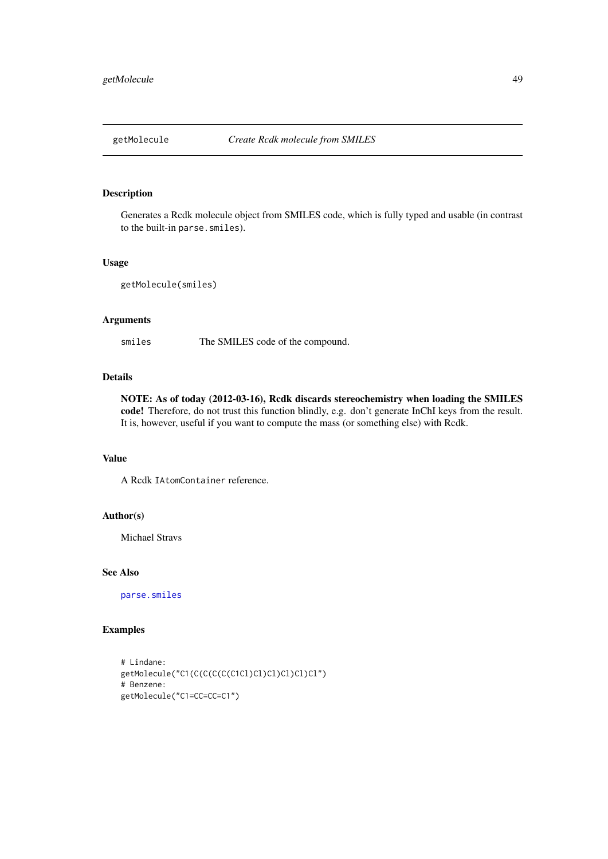Generates a Rcdk molecule object from SMILES code, which is fully typed and usable (in contrast to the built-in parse.smiles).

# Usage

getMolecule(smiles)

## Arguments

smiles The SMILES code of the compound.

# Details

NOTE: As of today (2012-03-16), Rcdk discards stereochemistry when loading the SMILES code! Therefore, do not trust this function blindly, e.g. don't generate InChI keys from the result. It is, however, useful if you want to compute the mass (or something else) with Rcdk.

### Value

A Rcdk IAtomContainer reference.

#### Author(s)

Michael Stravs

#### See Also

[parse.smiles](#page-0-0)

# Examples

```
# Lindane:
getMolecule("C1(C(C(C(C(C1Cl)Cl)Cl)Cl)Cl)Cl")
# Benzene:
getMolecule("C1=CC=CC=C1")
```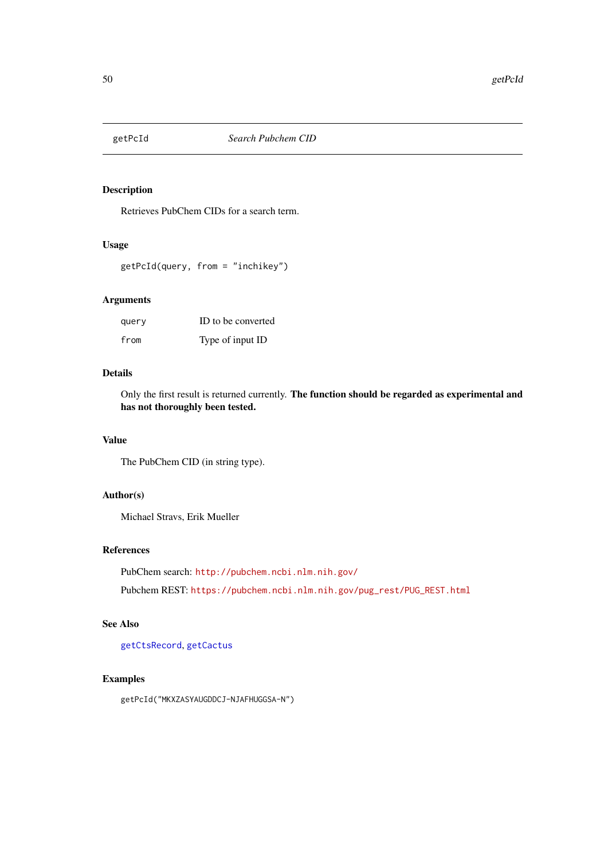<span id="page-49-0"></span>

Retrieves PubChem CIDs for a search term.

## Usage

getPcId(query, from = "inchikey")

# Arguments

| query | ID to be converted |
|-------|--------------------|
| from  | Type of input ID   |

## Details

Only the first result is returned currently. The function should be regarded as experimental and has not thoroughly been tested.

# Value

The PubChem CID (in string type).

### Author(s)

Michael Stravs, Erik Mueller

### References

PubChem search: <http://pubchem.ncbi.nlm.nih.gov/>

Pubchem REST: [https://pubchem.ncbi.nlm.nih.gov/pug\\_rest/PUG\\_REST.html](https://pubchem.ncbi.nlm.nih.gov/pug_rest/PUG_REST.html)

# See Also

[getCtsRecord](#page-46-0), [getCactus](#page-44-0)

# Examples

getPcId("MKXZASYAUGDDCJ-NJAFHUGGSA-N")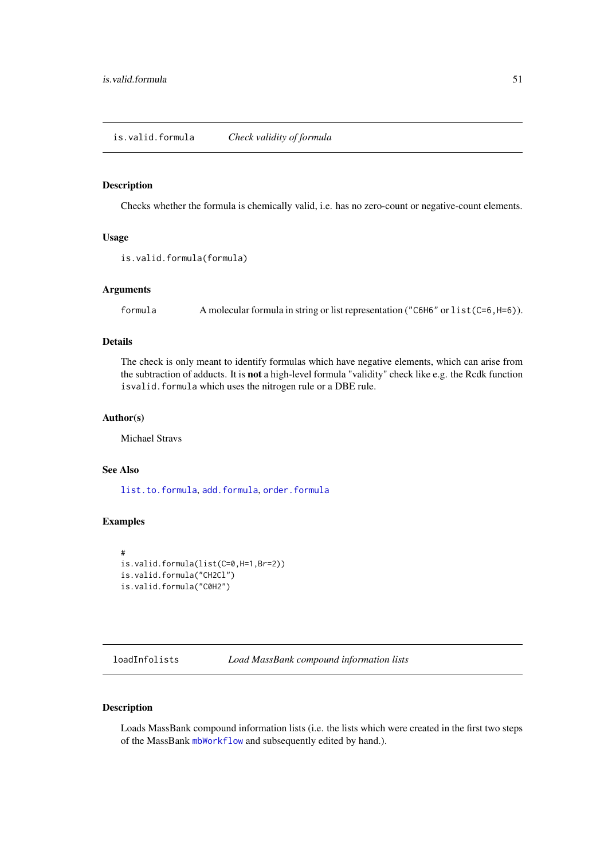<span id="page-50-1"></span>Checks whether the formula is chemically valid, i.e. has no zero-count or negative-count elements.

#### Usage

```
is.valid.formula(formula)
```
# Arguments

formula A molecular formula in string or list representation ("C6H6" or list(C=6,H=6)).

# Details

The check is only meant to identify formulas which have negative elements, which can arise from the subtraction of adducts. It is not a high-level formula "validity" check like e.g. the Rcdk function isvalid.formula which uses the nitrogen rule or a DBE rule.

### Author(s)

Michael Stravs

#### See Also

[list.to.formula](#page-37-0), [add.formula](#page-2-0), [order.formula](#page-64-0)

### Examples

```
#
is.valid.formula(list(C=0,H=1,Br=2))
is.valid.formula("CH2Cl")
is.valid.formula("C0H2")
```
<span id="page-50-2"></span>loadInfolists *Load MassBank compound information lists*

# <span id="page-50-0"></span>Description

Loads MassBank compound information lists (i.e. the lists which were created in the first two steps of the MassBank [mbWorkflow](#page-55-0) and subsequently edited by hand.).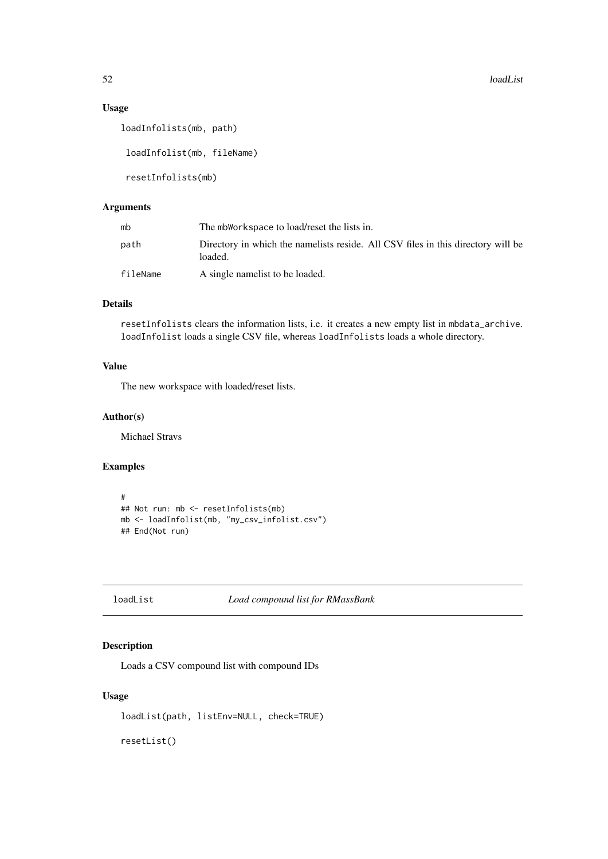52 loadList

# Usage

loadInfolists(mb, path)

loadInfolist(mb, fileName)

resetInfolists(mb)

# Arguments

| mb       | The mbWorkspace to load/reset the lists in.                                                 |
|----------|---------------------------------------------------------------------------------------------|
| path     | Directory in which the namelists reside. All CSV files in this directory will be<br>loaded. |
| fileName | A single namelist to be loaded.                                                             |

# Details

resetInfolists clears the information lists, i.e. it creates a new empty list in mbdata\_archive. loadInfolist loads a single CSV file, whereas loadInfolists loads a whole directory.

# Value

The new workspace with loaded/reset lists.

# Author(s)

Michael Stravs

## Examples

```
#
## Not run: mb <- resetInfolists(mb)
mb <- loadInfolist(mb, "my_csv_infolist.csv")
## End(Not run)
```

```
loadList Load compound list for RMassBank
```
# Description

Loads a CSV compound list with compound IDs

# Usage

loadList(path, listEnv=NULL, check=TRUE)

resetList()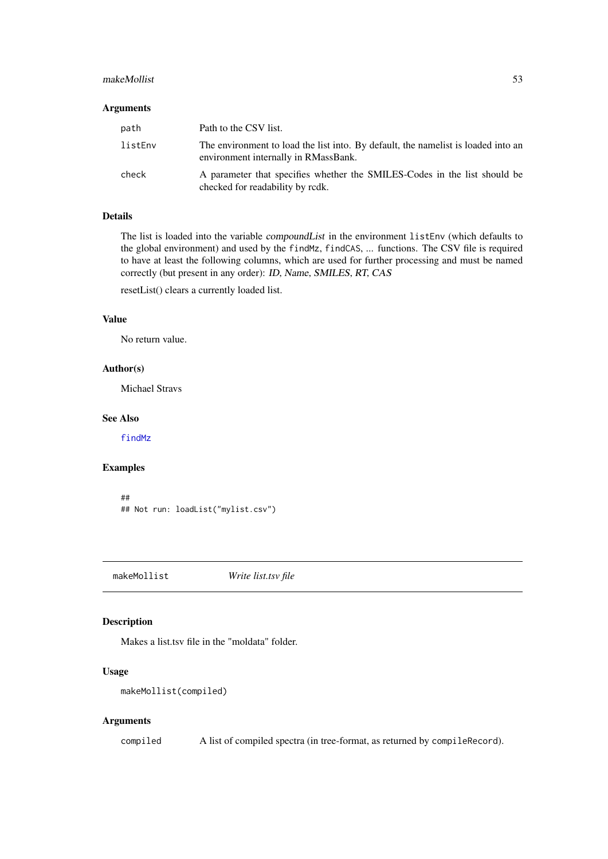#### makeMollist 53

### Arguments

| path    | Path to the CSV list.                                                                                                     |
|---------|---------------------------------------------------------------------------------------------------------------------------|
| listEnv | The environment to load the list into. By default, the namelist is loaded into an<br>environment internally in RMassBank. |
| check   | A parameter that specifies whether the SMILES-Codes in the list should be<br>checked for readability by rodk.             |

# Details

The list is loaded into the variable compoundList in the environment listEnv (which defaults to the global environment) and used by the findMz, findCAS, ... functions. The CSV file is required to have at least the following columns, which are used for further processing and must be named correctly (but present in any order): ID, Name, SMILES, RT, CAS

resetList() clears a currently loaded list.

# Value

No return value.

#### Author(s)

Michael Stravs

#### See Also

[findMz](#page-34-0)

### Examples

```
##
## Not run: loadList("mylist.csv")
```
makeMollist *Write list.tsv file*

#### Description

Makes a list.tsv file in the "moldata" folder.

# Usage

```
makeMollist(compiled)
```
# Arguments

compiled A list of compiled spectra (in tree-format, as returned by compileRecord).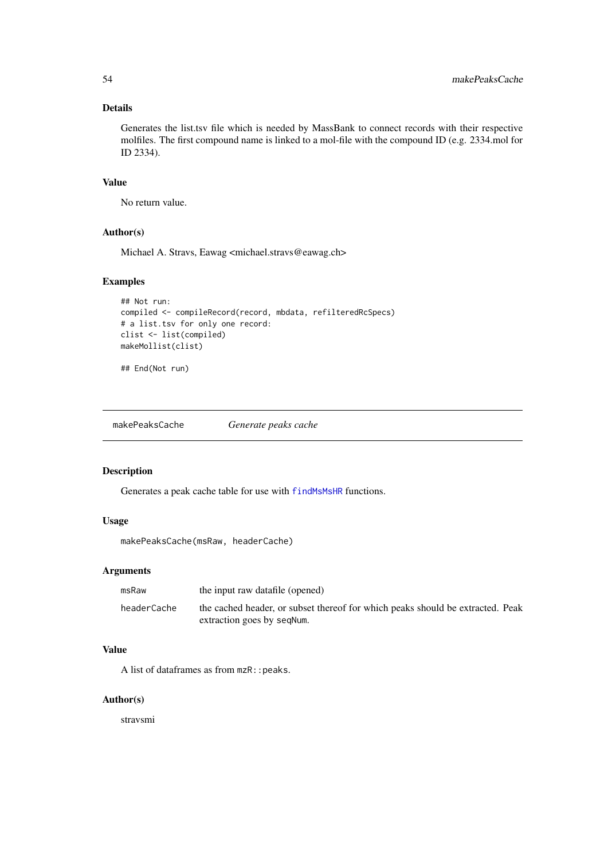# Details

Generates the list.tsv file which is needed by MassBank to connect records with their respective molfiles. The first compound name is linked to a mol-file with the compound ID (e.g. 2334.mol for ID 2334).

## Value

No return value.

### Author(s)

Michael A. Stravs, Eawag <michael.stravs@eawag.ch>

# Examples

```
## Not run:
compiled <- compileRecord(record, mbdata, refilteredRcSpecs)
# a list.tsv for only one record:
clist <- list(compiled)
makeMollist(clist)
```
## End(Not run)

makePeaksCache *Generate peaks cache*

# Description

Generates a peak cache table for use with [findMsMsHR](#page-28-0) functions.

# Usage

makePeaksCache(msRaw, headerCache)

# Arguments

| msRaw       | the input raw datafile (opened)                                                                              |
|-------------|--------------------------------------------------------------------------------------------------------------|
| headerCache | the cached header, or subset thereof for which peaks should be extracted. Peak<br>extraction goes by segNum. |

# Value

A list of dataframes as from  $mzR$ : : peaks.

# Author(s)

stravsmi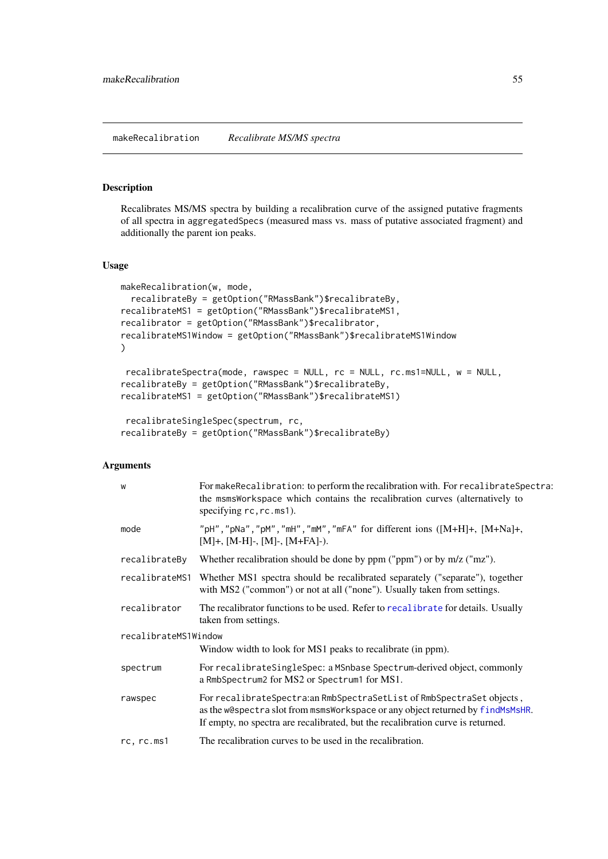makeRecalibration *Recalibrate MS/MS spectra*

# Description

Recalibrates MS/MS spectra by building a recalibration curve of the assigned putative fragments of all spectra in aggregatedSpecs (measured mass vs. mass of putative associated fragment) and additionally the parent ion peaks.

# Usage

```
makeRecalibration(w, mode,
 recalibrateBy = getOption("RMassBank")$recalibrateBy,
recalibrateMS1 = getOption("RMassBank")$recalibrateMS1,
recalibrator = getOption("RMassBank")$recalibrator,
recalibrateMS1Window = getOption("RMassBank")$recalibrateMS1Window
)
recalibrateSpectra(mode, rawspec = NULL, rc = NULL, rc.ms1=NULL, w = NULL,
recalibrateBy = getOption("RMassBank")$recalibrateBy,
recalibrateMS1 = getOption("RMassBank")$recalibrateMS1)
recalibrateSingleSpec(spectrum, rc,
```

```
recalibrateBy = getOption("RMassBank")$recalibrateBy)
```

| W                    | For make Recalibration: to perform the recalibration with. For recalibrate Spectra:<br>the msmsWorkspace which contains the recalibration curves (alternatively to<br>specifying $rc, rc.$ ms1).                                           |  |
|----------------------|--------------------------------------------------------------------------------------------------------------------------------------------------------------------------------------------------------------------------------------------|--|
| mode                 | "pH", "pNa", "pM", "mH", "mM", "mFA" for different ions $([M+H]+, [M+Na]+,$<br>$[M]+$ , $[M-H]$ -, $[M]$ -, $[M+FA]$ -).                                                                                                                   |  |
| recalibrateBy        | Whether recalibration should be done by $ppm$ (" $ppm$ ") or by $m/z$ (" $mz$ ").                                                                                                                                                          |  |
| recalibrateMS1       | Whether MS1 spectra should be recalibrated separately ("separate"), together<br>with MS2 ("common") or not at all ("none"). Usually taken from settings.                                                                                   |  |
| recalibrator         | The recalibrator functions to be used. Refer to recalibrate for details. Usually<br>taken from settings.                                                                                                                                   |  |
| recalibrateMS1Window |                                                                                                                                                                                                                                            |  |
|                      | Window width to look for MS1 peaks to recalibrate (in ppm).                                                                                                                                                                                |  |
| spectrum             | For recalibrateSingleSpec: a MSnbase Spectrum-derived object, commonly<br>a RmbSpectrum2 for MS2 or Spectrum1 for MS1.                                                                                                                     |  |
| rawspec              | For recalibrateSpectra:an RmbSpectraSetList of RmbSpectraSet objects,<br>as the w@spectra slot from msmsWorkspace or any object returned by findMsMsHR.<br>If empty, no spectra are recalibrated, but the recalibration curve is returned. |  |
| rc, rc.ms1           | The recalibration curves to be used in the recalibration.                                                                                                                                                                                  |  |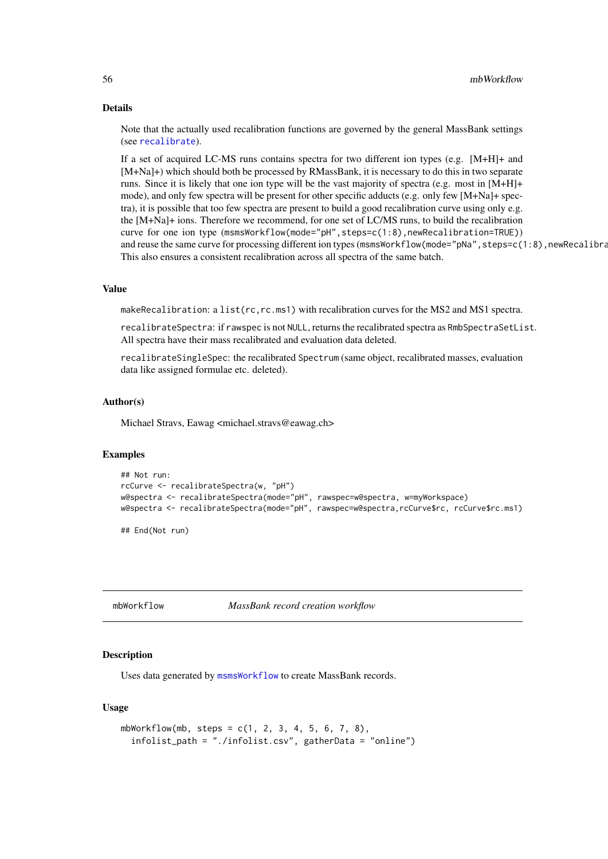#### Details

Note that the actually used recalibration functions are governed by the general MassBank settings (see [recalibrate](#page-72-0)).

If a set of acquired LC-MS runs contains spectra for two different ion types (e.g. [M+H]+ and [M+Na]+) which should both be processed by RMassBank, it is necessary to do this in two separate runs. Since it is likely that one ion type will be the vast majority of spectra (e.g. most in [M+H]+ mode), and only few spectra will be present for other specific adducts (e.g. only few [M+Na]+ spectra), it is possible that too few spectra are present to build a good recalibration curve using only e.g. the [M+Na]+ ions. Therefore we recommend, for one set of LC/MS runs, to build the recalibration curve for one ion type (msmsWorkflow(mode="pH",steps=c(1:8),newRecalibration=TRUE)) and reuse the same curve for processing different ion types (msmsWorkflow(mode="pNa", steps=c(1:8), newRecalibra This also ensures a consistent recalibration across all spectra of the same batch.

#### Value

makeRecalibration: a list(rc,rc.ms1) with recalibration curves for the MS2 and MS1 spectra.

recalibrateSpectra: if rawspec is not NULL, returns the recalibrated spectra as RmbSpectraSetList. All spectra have their mass recalibrated and evaluation data deleted.

recalibrateSingleSpec: the recalibrated Spectrum (same object, recalibrated masses, evaluation data like assigned formulae etc. deleted).

#### Author(s)

Michael Stravs, Eawag <michael.stravs@eawag.ch>

#### Examples

```
## Not run:
rcCurve <- recalibrateSpectra(w, "pH")
w@spectra <- recalibrateSpectra(mode="pH", rawspec=w@spectra, w=myWorkspace)
w@spectra <- recalibrateSpectra(mode="pH", rawspec=w@spectra,rcCurve$rc, rcCurve$rc.ms1)
```
## End(Not run)

<span id="page-55-0"></span>

mbWorkflow *MassBank record creation workflow*

#### Description

Uses data generated by [msmsWorkflow](#page-60-0) to create MassBank records.

#### Usage

```
mbWorkflow(mb, steps = c(1, 2, 3, 4, 5, 6, 7, 8),
  infolist_path = "./infolist.csv", gatherData = "online")
```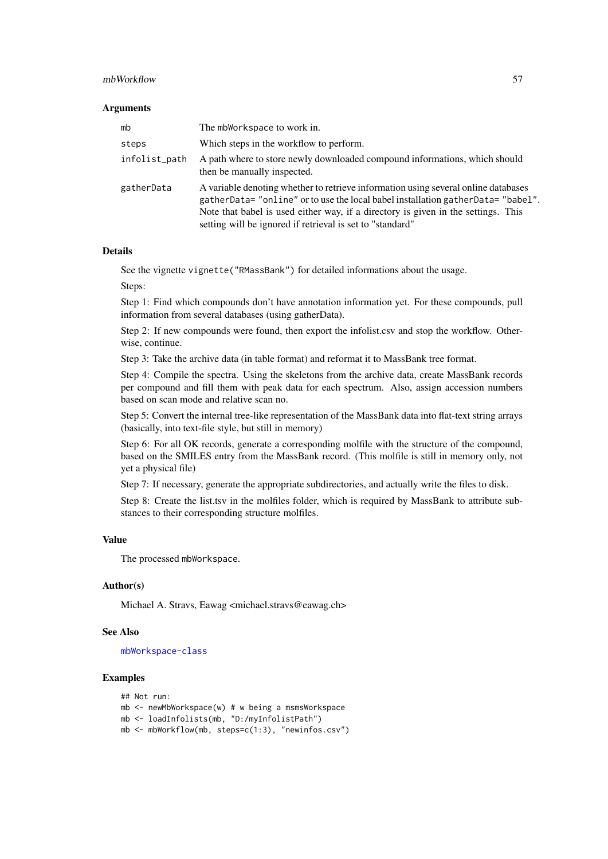#### mbWorkflow 57

#### Arguments

| mb            | The mbWorkspace to work in.                                                                                                                                                                                                                                                                                            |
|---------------|------------------------------------------------------------------------------------------------------------------------------------------------------------------------------------------------------------------------------------------------------------------------------------------------------------------------|
| steps         | Which steps in the workflow to perform.                                                                                                                                                                                                                                                                                |
| infolist_path | A path where to store newly downloaded compound informations, which should<br>then be manually inspected.                                                                                                                                                                                                              |
| gatherData    | A variable denoting whether to retrieve information using several online databases<br>gatherData="online" or to use the local babel installation gatherData="babel".<br>Note that babel is used either way, if a directory is given in the settings. This<br>setting will be ignored if retrieval is set to "standard" |

### Details

See the vignette vignette("RMassBank") for detailed informations about the usage.

Steps:

Step 1: Find which compounds don't have annotation information yet. For these compounds, pull information from several databases (using gatherData).

Step 2: If new compounds were found, then export the infolist.csv and stop the workflow. Otherwise, continue.

Step 3: Take the archive data (in table format) and reformat it to MassBank tree format.

Step 4: Compile the spectra. Using the skeletons from the archive data, create MassBank records per compound and fill them with peak data for each spectrum. Also, assign accession numbers based on scan mode and relative scan no.

Step 5: Convert the internal tree-like representation of the MassBank data into flat-text string arrays (basically, into text-file style, but still in memory)

Step 6: For all OK records, generate a corresponding molfile with the structure of the compound, based on the SMILES entry from the MassBank record. (This molfile is still in memory only, not yet a physical file)

Step 7: If necessary, generate the appropriate subdirectories, and actually write the files to disk.

Step 8: Create the list.tsv in the molfiles folder, which is required by MassBank to attribute substances to their corresponding structure molfiles.

#### Value

The processed mbWorkspace.

#### Author(s)

Michael A. Stravs, Eawag <michael.stravs@eawag.ch>

#### See Also

[mbWorkspace-class](#page-57-0)

#### Examples

```
## Not run:
mb <- newMbWorkspace(w) # w being a msmsWorkspace
mb <- loadInfolists(mb, "D:/myInfolistPath")
mb <- mbWorkflow(mb, steps=c(1:3), "newinfos.csv")
```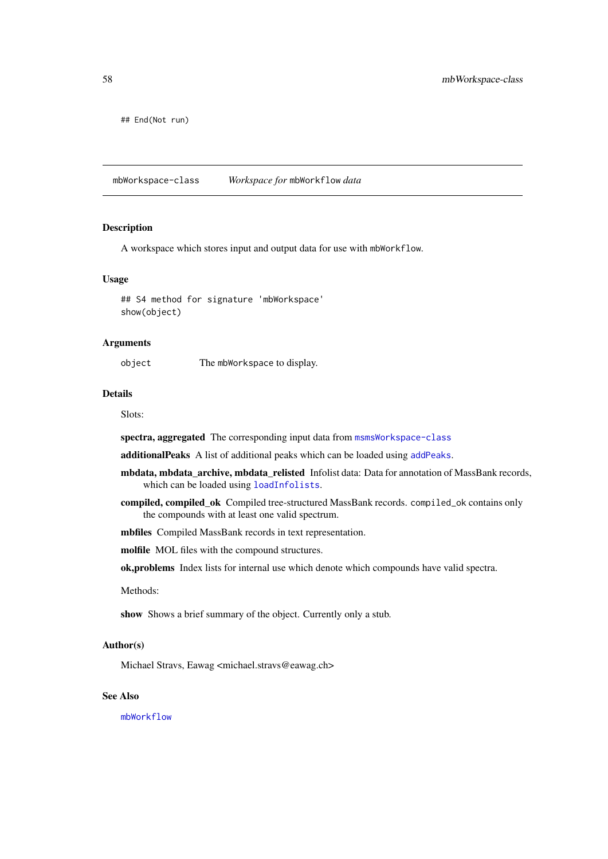## End(Not run)

<span id="page-57-0"></span>mbWorkspace-class *Workspace for* mbWorkflow *data*

# Description

A workspace which stores input and output data for use with mbWorkflow.

#### Usage

## S4 method for signature 'mbWorkspace' show(object)

#### Arguments

object The mbWorkspace to display.

### Details

Slots:

spectra, aggregated The corresponding input data from [msmsWorkspace-class](#page-61-0)

additionalPeaks A list of additional peaks which can be loaded using [addPeaks](#page-4-0).

- mbdata, mbdata\_archive, mbdata\_relisted Infolist data: Data for annotation of MassBank records, which can be loaded using [loadInfolists](#page-50-2).
- compiled, compiled\_ok Compiled tree-structured MassBank records. compiled\_ok contains only the compounds with at least one valid spectrum.

mbfiles Compiled MassBank records in text representation.

molfile MOL files with the compound structures.

ok,problems Index lists for internal use which denote which compounds have valid spectra.

Methods:

show Shows a brief summary of the object. Currently only a stub.

# Author(s)

Michael Stravs, Eawag <michael.stravs@eawag.ch>

# See Also

[mbWorkflow](#page-55-0)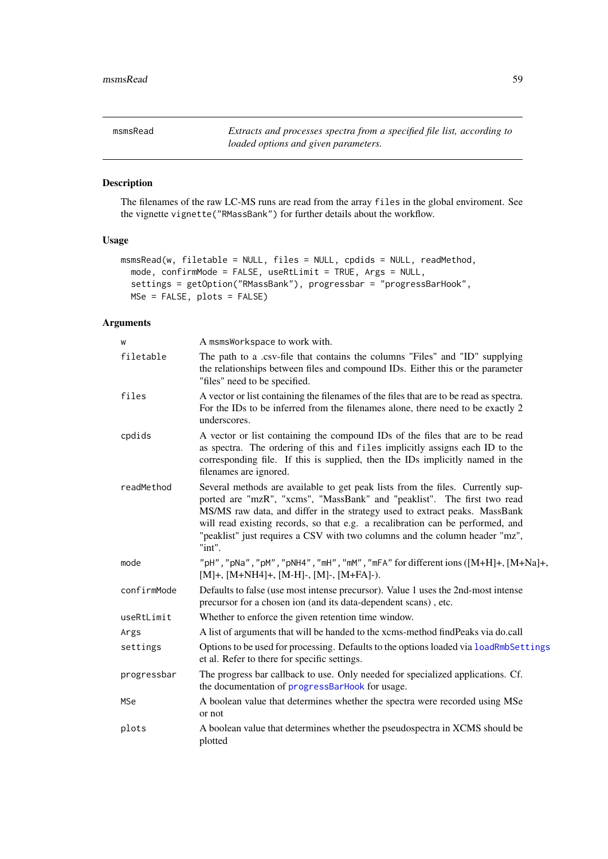msmsRead *Extracts and processes spectra from a specified file list, according to loaded options and given parameters.*

#### Description

The filenames of the raw LC-MS runs are read from the array files in the global enviroment. See the vignette vignette("RMassBank") for further details about the workflow.

## Usage

```
msmsRead(w, filetable = NULL, files = NULL, cpdids = NULL, readMethod,
 mode, confirmMode = FALSE, useRtLimit = TRUE, Args = NULL,
 settings = getOption("RMassBank"), progressbar = "progressBarHook",
 MSe = FALSE, plots = FALSE)
```

| W           | A msmsWorkspace to work with.                                                                                                                                                                                                                                                                                                                                                                                      |
|-------------|--------------------------------------------------------------------------------------------------------------------------------------------------------------------------------------------------------------------------------------------------------------------------------------------------------------------------------------------------------------------------------------------------------------------|
| filetable   | The path to a .csv-file that contains the columns "Files" and "ID" supplying<br>the relationships between files and compound IDs. Either this or the parameter<br>"files" need to be specified.                                                                                                                                                                                                                    |
| files       | A vector or list containing the filenames of the files that are to be read as spectra.<br>For the IDs to be inferred from the filenames alone, there need to be exactly 2<br>underscores.                                                                                                                                                                                                                          |
| cpdids      | A vector or list containing the compound IDs of the files that are to be read<br>as spectra. The ordering of this and files implicitly assigns each ID to the<br>corresponding file. If this is supplied, then the IDs implicitly named in the<br>filenames are ignored.                                                                                                                                           |
| readMethod  | Several methods are available to get peak lists from the files. Currently sup-<br>ported are "mzR", "xcms", "MassBank" and "peaklist". The first two read<br>MS/MS raw data, and differ in the strategy used to extract peaks. MassBank<br>will read existing records, so that e.g. a recalibration can be performed, and<br>"peaklist" just requires a CSV with two columns and the column header "mz",<br>"int". |
| mode        | "pH", "pNa", "pM", "pNH4", "mH", "mM", "mFA" for different ions ([M+H]+, [M+Na]+,<br>$[M]+$ , $[M+NH4]+$ , $[M-H]$ -, $[M]$ -, $[M+FA]$ -).                                                                                                                                                                                                                                                                        |
| confirmMode | Defaults to false (use most intense precursor). Value 1 uses the 2nd-most intense<br>precursor for a chosen ion (and its data-dependent scans), etc.                                                                                                                                                                                                                                                               |
| useRtLimit  | Whether to enforce the given retention time window.                                                                                                                                                                                                                                                                                                                                                                |
| Args        | A list of arguments that will be handed to the xcms-method findPeaks via do.call                                                                                                                                                                                                                                                                                                                                   |
| settings    | Options to be used for processing. Defaults to the options loaded via loadRmbSettings<br>et al. Refer to there for specific settings.                                                                                                                                                                                                                                                                              |
| progressbar | The progress bar callback to use. Only needed for specialized applications. Cf.<br>the documentation of progressBarHook for usage.                                                                                                                                                                                                                                                                                 |
| MSe         | A boolean value that determines whether the spectra were recorded using MSe<br>or not                                                                                                                                                                                                                                                                                                                              |
| plots       | A boolean value that determines whether the pseudospectra in XCMS should be<br>plotted                                                                                                                                                                                                                                                                                                                             |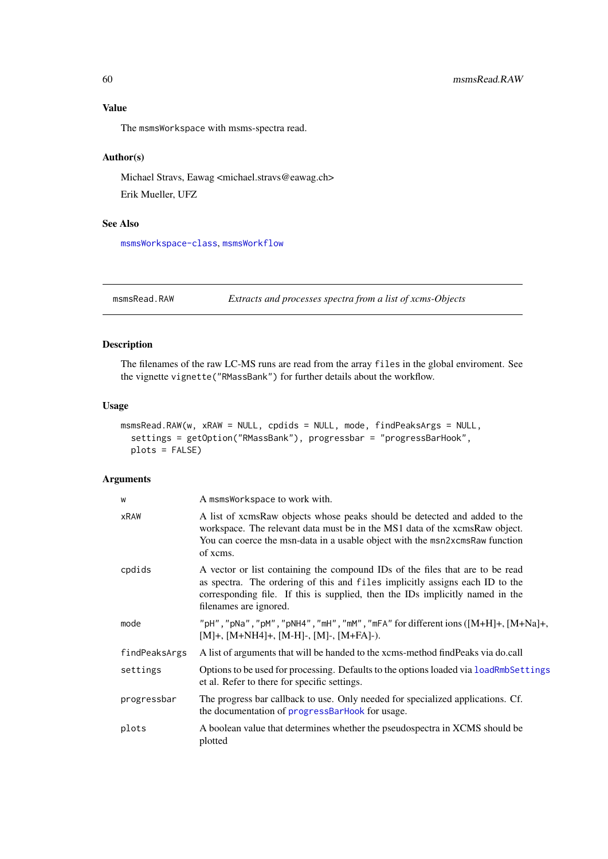# Value

The msmsWorkspace with msms-spectra read.

# Author(s)

Michael Stravs, Eawag <michael.stravs@eawag.ch> Erik Mueller, UFZ

### See Also

[msmsWorkspace-class](#page-61-0), [msmsWorkflow](#page-60-0)

msmsRead.RAW *Extracts and processes spectra from a list of xcms-Objects*

# Description

The filenames of the raw LC-MS runs are read from the array files in the global enviroment. See the vignette vignette("RMassBank") for further details about the workflow.

#### Usage

```
msmsRead.RAW(w, xRAW = NULL, cpdids = NULL, mode, findPeaksArgs = NULL,
 settings = getOption("RMassBank"), progressbar = "progressBarHook",
 plots = FALSE)
```

| W             | A msmsWorkspace to work with.                                                                                                                                                                                                                                            |
|---------------|--------------------------------------------------------------------------------------------------------------------------------------------------------------------------------------------------------------------------------------------------------------------------|
| xRAW          | A list of xcmsRaw objects whose peaks should be detected and added to the<br>workspace. The relevant data must be in the MS1 data of the xcmsRaw object.<br>You can coerce the msn-data in a usable object with the msn2xcmsRaw function<br>of xcms.                     |
| cpdids        | A vector or list containing the compound IDs of the files that are to be read<br>as spectra. The ordering of this and files implicitly assigns each ID to the<br>corresponding file. If this is supplied, then the IDs implicitly named in the<br>filenames are ignored. |
| mode          | "pH", "pNa", "pM", "pNH4", "mH", "mM", "mFA" for different ions $([M+H]+$ , $[M+Na]+$ ,<br>$[M]+$ , $[M+NH4]+$ , $[M-H]$ -, $[M]+FA$ ]-).                                                                                                                                |
| findPeaksArgs | A list of arguments that will be handed to the xcms-method find Peaks via do.call                                                                                                                                                                                        |
| settings      | Options to be used for processing. Defaults to the options loaded via loadRmbSettings<br>et al. Refer to there for specific settings.                                                                                                                                    |
| progressbar   | The progress bar callback to use. Only needed for specialized applications. Cf.<br>the documentation of progressBarHook for usage.                                                                                                                                       |
| plots         | A boolean value that determines whether the pseudospectra in XCMS should be<br>plotted                                                                                                                                                                                   |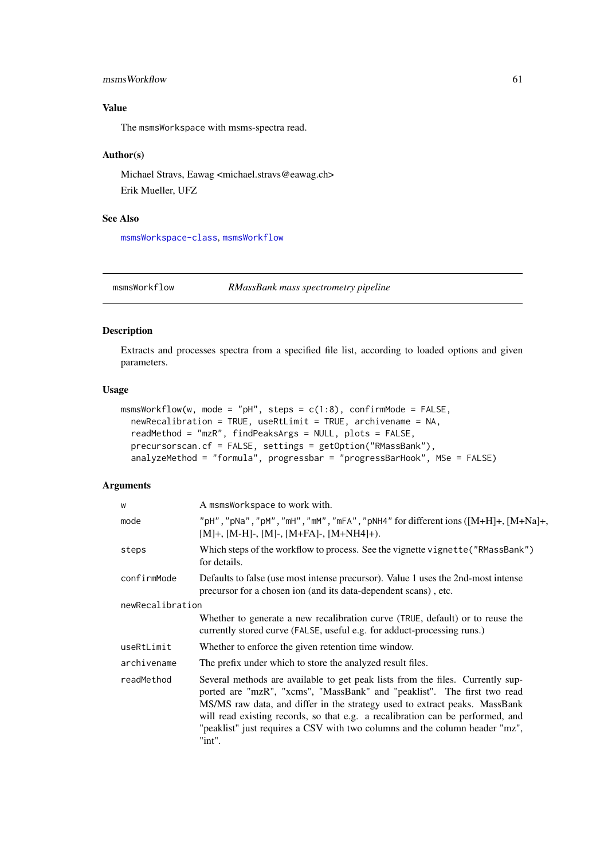#### msmsWorkflow 61

## Value

The msmsWorkspace with msms-spectra read.

# Author(s)

Michael Stravs, Eawag <michael.stravs@eawag.ch> Erik Mueller, UFZ

# See Also

[msmsWorkspace-class](#page-61-0), [msmsWorkflow](#page-60-0)

<span id="page-60-0"></span>msmsWorkflow *RMassBank mass spectrometry pipeline*

# Description

Extracts and processes spectra from a specified file list, according to loaded options and given parameters.

### Usage

```
msmsWorkflow(w, mode = "pH", steps = c(1:8), confirmMode = FALSE,
 newRecalibration = TRUE, useRtLimit = TRUE, archivename = NA,
 readMethod = "mzR", findPeaksArgs = NULL, plots = FALSE,
 precursorscan.cf = FALSE, settings = getOption("RMassBank"),
 analyzeMethod = "formula", progressbar = "progressBarHook", MSe = FALSE)
```

| W                | A msmsWorkspace to work with.                                                                                                                                                                                                                                                                                                                                                                                      |  |
|------------------|--------------------------------------------------------------------------------------------------------------------------------------------------------------------------------------------------------------------------------------------------------------------------------------------------------------------------------------------------------------------------------------------------------------------|--|
| mode             | "pH", "pNa", "pM", "mH", "mM", "mFA", "pNH4" for different ions $([M+H]+$ , $[M+Na]+$ ,<br>$[M]+$ , $[M-H]$ -, $[M]$ -, $[M+FA]$ -, $[M+NH4]$ +).                                                                                                                                                                                                                                                                  |  |
| steps            | Which steps of the workflow to process. See the vignette vignette ("RMassBank")<br>for details.                                                                                                                                                                                                                                                                                                                    |  |
| confirmMode      | Defaults to false (use most intense precursor). Value 1 uses the 2nd-most intense<br>precursor for a chosen ion (and its data-dependent scans), etc.                                                                                                                                                                                                                                                               |  |
| newRecalibration |                                                                                                                                                                                                                                                                                                                                                                                                                    |  |
|                  | Whether to generate a new recalibration curve (TRUE, default) or to reuse the<br>currently stored curve (FALSE, useful e.g. for adduct-processing runs.)                                                                                                                                                                                                                                                           |  |
| useRtLimit       | Whether to enforce the given retention time window.                                                                                                                                                                                                                                                                                                                                                                |  |
| archivename      | The prefix under which to store the analyzed result files.                                                                                                                                                                                                                                                                                                                                                         |  |
| readMethod       | Several methods are available to get peak lists from the files. Currently sup-<br>ported are "mzR", "xcms", "MassBank" and "peaklist". The first two read<br>MS/MS raw data, and differ in the strategy used to extract peaks. MassBank<br>will read existing records, so that e.g. a recalibration can be performed, and<br>"peaklist" just requires a CSV with two columns and the column header "mz",<br>"int". |  |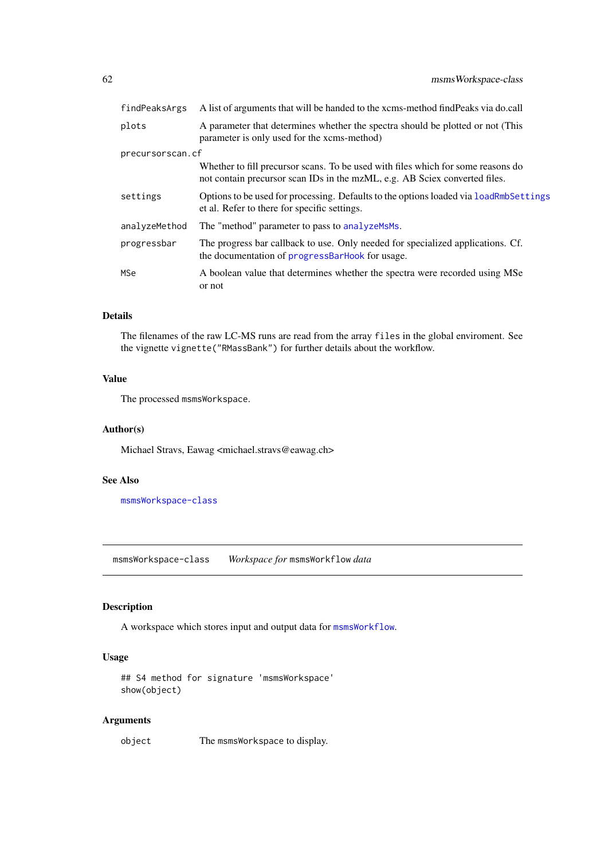| findPeaksArgs    | A list of arguments that will be handed to the xcms-method find Peaks via do.call                                                                              |  |
|------------------|----------------------------------------------------------------------------------------------------------------------------------------------------------------|--|
| plots            | A parameter that determines whether the spectra should be plotted or not (This<br>parameter is only used for the xcms-method)                                  |  |
| precursorscan.cf |                                                                                                                                                                |  |
|                  | Whether to fill precursor scans. To be used with files which for some reasons do<br>not contain precursor scan IDs in the mzML, e.g. AB Sciex converted files. |  |
| settings         | Options to be used for processing. Defaults to the options loaded via loadRmbSettings<br>et al. Refer to there for specific settings.                          |  |
| analyzeMethod    | The "method" parameter to pass to analyzems.                                                                                                                   |  |
| progressbar      | The progress bar callback to use. Only needed for specialized applications. Cf.<br>the documentation of progressBarHook for usage.                             |  |
| <b>MSe</b>       | A boolean value that determines whether the spectra were recorded using MSe<br>or not                                                                          |  |

### Details

The filenames of the raw LC-MS runs are read from the array files in the global enviroment. See the vignette vignette("RMassBank") for further details about the workflow.

### Value

The processed msmsWorkspace.

# Author(s)

Michael Stravs, Eawag <michael.stravs@eawag.ch>

# See Also

[msmsWorkspace-class](#page-61-0)

<span id="page-61-0"></span>msmsWorkspace-class *Workspace for* msmsWorkflow *data*

# Description

A workspace which stores input and output data for [msmsWorkflow](#page-60-0).

# Usage

```
## S4 method for signature 'msmsWorkspace'
show(object)
```
# Arguments

object The msmsWorkspace to display.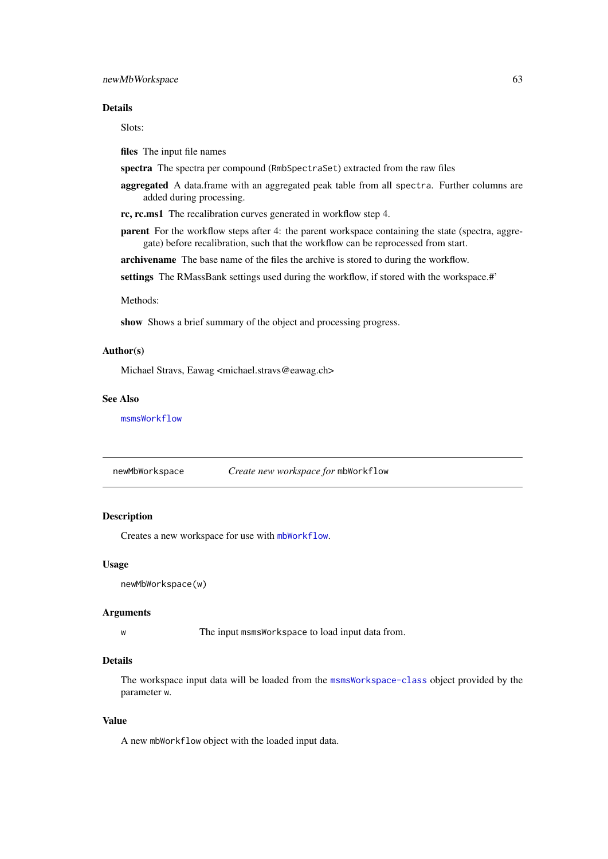#### newMbWorkspace 63

### Details

Slots:

files The input file names

- spectra The spectra per compound (RmbSpectraSet) extracted from the raw files
- aggregated A data.frame with an aggregated peak table from all spectra. Further columns are added during processing.

rc, rc.ms1 The recalibration curves generated in workflow step 4.

**parent** For the workflow steps after 4: the parent workspace containing the state (spectra, aggregate) before recalibration, such that the workflow can be reprocessed from start.

archivename The base name of the files the archive is stored to during the workflow.

settings The RMassBank settings used during the workflow, if stored with the workspace.#'

#### Methods:

show Shows a brief summary of the object and processing progress.

# Author(s)

Michael Stravs, Eawag <michael.stravs@eawag.ch>

# See Also

[msmsWorkflow](#page-60-0)

| newMbWorkspace |  | Create new workspace for mbWorkflow |
|----------------|--|-------------------------------------|
|----------------|--|-------------------------------------|

# Description

Creates a new workspace for use with [mbWorkflow](#page-55-0).

### Usage

newMbWorkspace(w)

#### Arguments

w The input msmsWorkspace to load input data from.

#### Details

The workspace input data will be loaded from the [msmsWorkspace-class](#page-61-0) object provided by the parameter w.

### Value

A new mbWorkflow object with the loaded input data.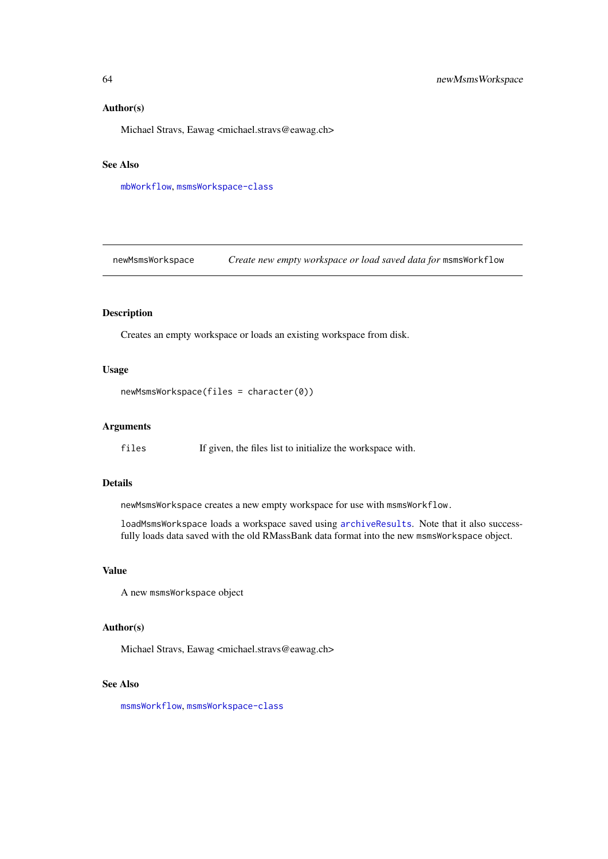## Author(s)

Michael Stravs, Eawag <michael.stravs@eawag.ch>

# See Also

[mbWorkflow](#page-55-0), [msmsWorkspace-class](#page-61-0)

newMsmsWorkspace *Create new empty workspace or load saved data for* msmsWorkflow

# Description

Creates an empty workspace or loads an existing workspace from disk.

# Usage

```
newMsmsWorkspace(files = character(0))
```
#### Arguments

files If given, the files list to initialize the workspace with.

#### Details

newMsmsWorkspace creates a new empty workspace for use with msmsWorkflow.

loadMsmsWorkspace loads a workspace saved using [archiveResults](#page-11-0). Note that it also successfully loads data saved with the old RMassBank data format into the new msmsWorkspace object.

# Value

A new msmsWorkspace object

# Author(s)

Michael Stravs, Eawag <michael.stravs@eawag.ch>

#### See Also

[msmsWorkflow](#page-60-0), [msmsWorkspace-class](#page-61-0)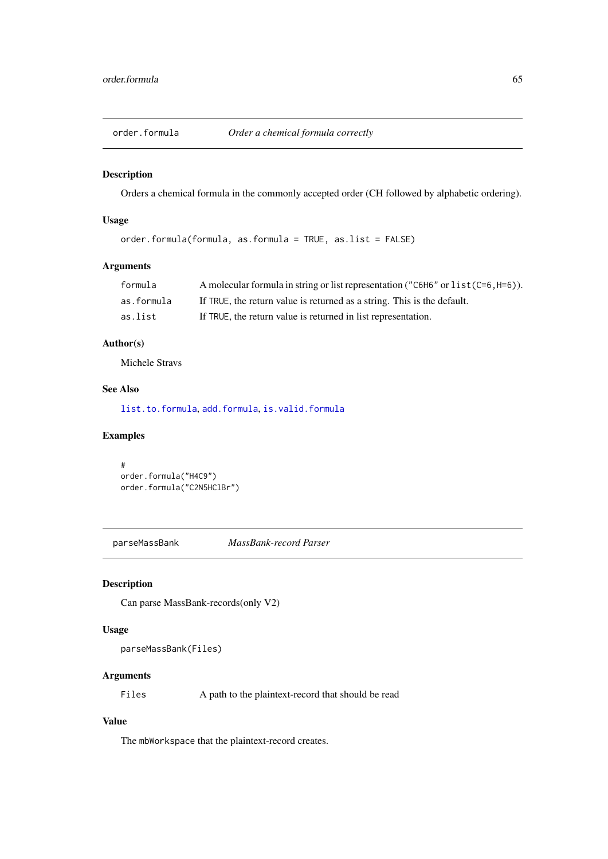<span id="page-64-0"></span>order.formula *Order a chemical formula correctly*

## Description

Orders a chemical formula in the commonly accepted order (CH followed by alphabetic ordering).

# Usage

```
order.formula(formula, as.formula = TRUE, as.list = FALSE)
```
## Arguments

| formula    | A molecular formula in string or list representation ( $\degree$ C6H6 $\degree$ or list (C=6, H=6)). |
|------------|------------------------------------------------------------------------------------------------------|
| as.formula | If TRUE, the return value is returned as a string. This is the default.                              |
| as.list    | If TRUE, the return value is returned in list representation.                                        |

# Author(s)

Michele Stravs

### See Also

[list.to.formula](#page-37-0), [add.formula](#page-2-0), [is.valid.formula](#page-50-1)

# Examples

```
#
order.formula("H4C9")
order.formula("C2N5HClBr")
```
parseMassBank *MassBank-record Parser*

### Description

Can parse MassBank-records(only V2)

# Usage

parseMassBank(Files)

### Arguments

Files A path to the plaintext-record that should be read

## Value

The mbWorkspace that the plaintext-record creates.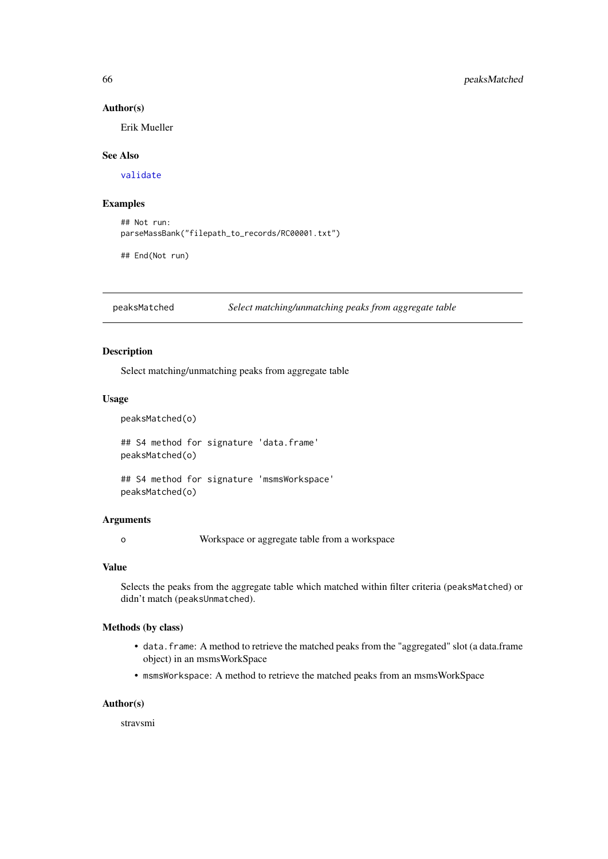#### Author(s)

Erik Mueller

# See Also

[validate](#page-86-0)

#### Examples

```
## Not run:
parseMassBank("filepath_to_records/RC00001.txt")
```
## End(Not run)

peaksMatched *Select matching/unmatching peaks from aggregate table*

# Description

Select matching/unmatching peaks from aggregate table

# Usage

peaksMatched(o)

## S4 method for signature 'data.frame' peaksMatched(o)

## S4 method for signature 'msmsWorkspace' peaksMatched(o)

# Arguments

o Workspace or aggregate table from a workspace

### Value

Selects the peaks from the aggregate table which matched within filter criteria (peaksMatched) or didn't match (peaksUnmatched).

#### Methods (by class)

- data.frame: A method to retrieve the matched peaks from the "aggregated" slot (a data.frame object) in an msmsWorkSpace
- msmsWorkspace: A method to retrieve the matched peaks from an msmsWorkSpace

#### Author(s)

stravsmi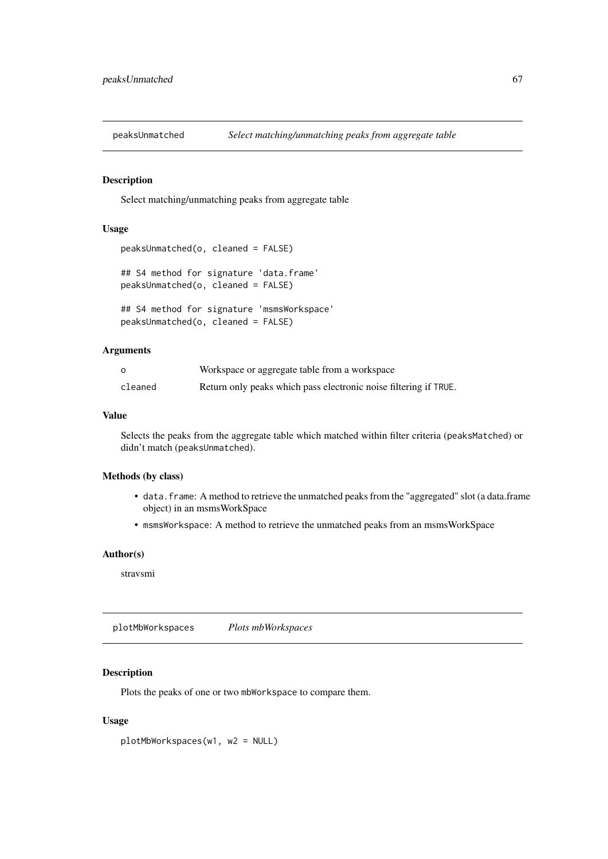Select matching/unmatching peaks from aggregate table

# Usage

```
peaksUnmatched(o, cleaned = FALSE)
```

```
## S4 method for signature 'data.frame'
peaksUnmatched(o, cleaned = FALSE)
```

```
## S4 method for signature 'msmsWorkspace'
peaksUnmatched(o, cleaned = FALSE)
```
### Arguments

| $\Omega$ | Workspace or aggregate table from a workspace                    |
|----------|------------------------------------------------------------------|
| cleaned  | Return only peaks which pass electronic noise filtering if TRUE. |

# Value

Selects the peaks from the aggregate table which matched within filter criteria (peaksMatched) or didn't match (peaksUnmatched).

### Methods (by class)

- data.frame: A method to retrieve the unmatched peaks from the "aggregated" slot (a data.frame object) in an msmsWorkSpace
- msmsWorkspace: A method to retrieve the unmatched peaks from an msmsWorkSpace

# Author(s)

stravsmi

plotMbWorkspaces *Plots mbWorkspaces*

# Description

Plots the peaks of one or two mbWorkspace to compare them.

# Usage

plotMbWorkspaces(w1, w2 = NULL)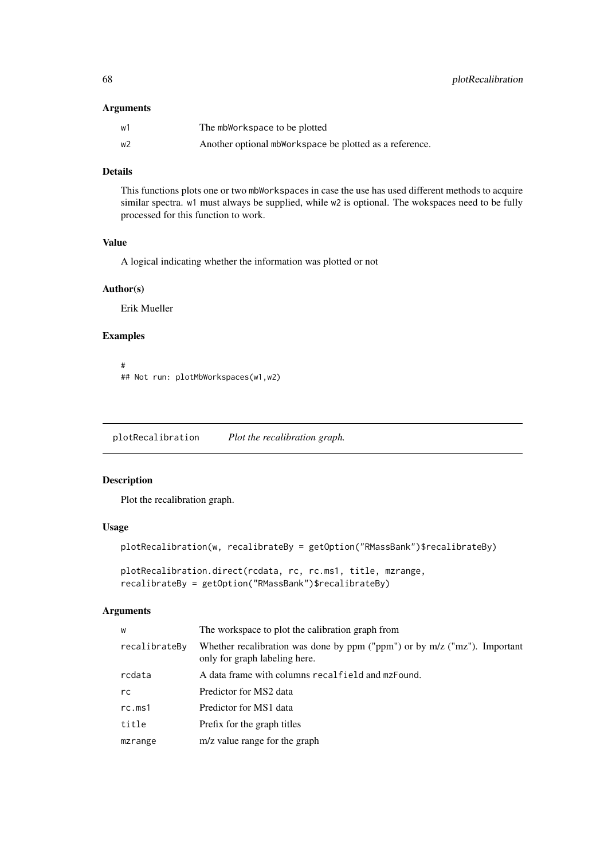# Arguments

| w1 | The mbWorkspace to be plotted                           |
|----|---------------------------------------------------------|
| w2 | Another optional mbWorkspace be plotted as a reference. |

# Details

This functions plots one or two mbWorkspaces in case the use has used different methods to acquire similar spectra. w1 must always be supplied, while w2 is optional. The wokspaces need to be fully processed for this function to work.

# Value

A logical indicating whether the information was plotted or not

## Author(s)

Erik Mueller

# Examples

# ## Not run: plotMbWorkspaces(w1,w2)

plotRecalibration *Plot the recalibration graph.*

#### Description

Plot the recalibration graph.

#### Usage

```
plotRecalibration(w, recalibrateBy = getOption("RMassBank")$recalibrateBy)
```

```
plotRecalibration.direct(rcdata, rc, rc.ms1, title, mzrange,
recalibrateBy = getOption("RMassBank")$recalibrateBy)
```

| W             | The workspace to plot the calibration graph from                                                           |
|---------------|------------------------------------------------------------------------------------------------------------|
| recalibrateBy | Whether recalibration was done by ppm ("ppm") or by m/z ("mz"). Important<br>only for graph labeling here. |
| rcdata        | A data frame with columns recalfield and mzFound.                                                          |
| rc.           | Predictor for MS2 data                                                                                     |
| rc.ms1        | Predictor for MS1 data                                                                                     |
| title         | Prefix for the graph titles                                                                                |
| mzrange       | m/z value range for the graph                                                                              |
|               |                                                                                                            |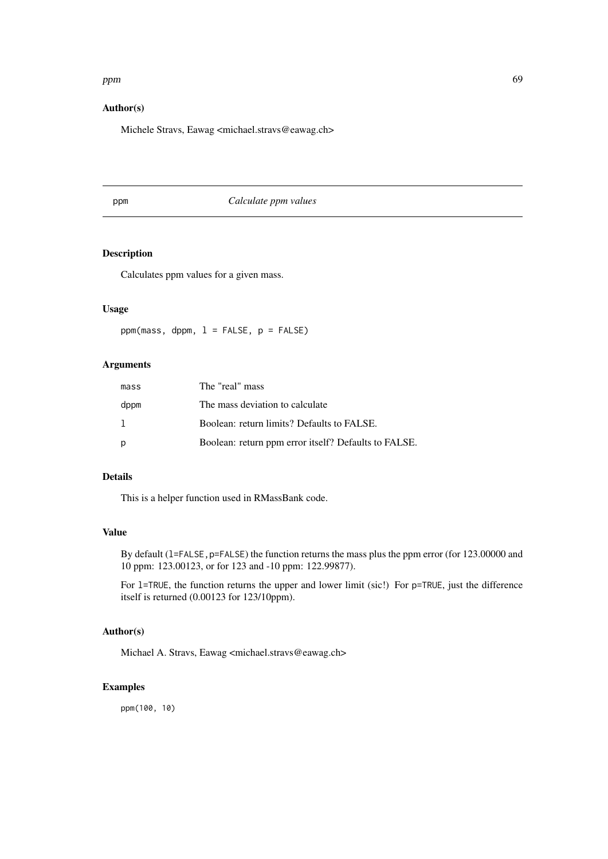### ppm 69 and the contract of the contract of the contract of the contract of the contract of the contract of the contract of the contract of the contract of the contract of the contract of the contract of the contract of the

# Author(s)

Michele Stravs, Eawag <michael.stravs@eawag.ch>

ppm *Calculate ppm values*

# Description

Calculates ppm values for a given mass.

# Usage

 $ppm(mass, dppm, 1 = FALSE, p = FALSE)$ 

# Arguments

| mass | The "real" mass                                      |
|------|------------------------------------------------------|
| dppm | The mass deviation to calculate                      |
|      | Boolean: return limits? Defaults to FALSE.           |
| p    | Boolean: return ppm error itself? Defaults to FALSE. |

# Details

This is a helper function used in RMassBank code.

# Value

By default (1=FALSE, p=FALSE) the function returns the mass plus the ppm error (for 123.00000 and 10 ppm: 123.00123, or for 123 and -10 ppm: 122.99877).

For 1=TRUE, the function returns the upper and lower limit (sic!) For p=TRUE, just the difference itself is returned (0.00123 for 123/10ppm).

# Author(s)

Michael A. Stravs, Eawag <michael.stravs@eawag.ch>

## Examples

ppm(100, 10)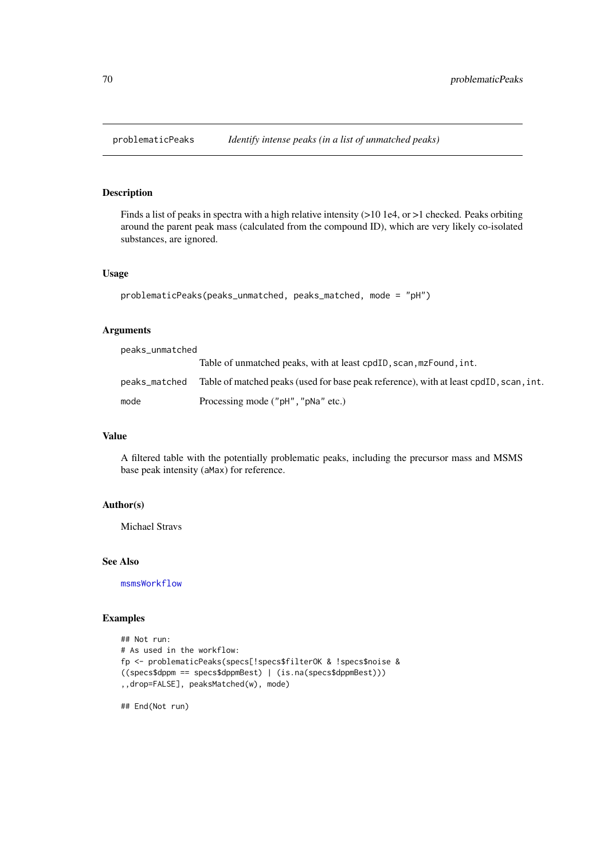Finds a list of peaks in spectra with a high relative intensity (>10 1e4, or >1 checked. Peaks orbiting around the parent peak mass (calculated from the compound ID), which are very likely co-isolated substances, are ignored.

### Usage

```
problematicPeaks(peaks_unmatched, peaks_matched, mode = "pH")
```
#### Arguments

peaks\_unmatched

|               | Table of unmatched peaks, with at least cpdID, scan, mzFound, int.                     |  |
|---------------|----------------------------------------------------------------------------------------|--|
| peaks_matched | Table of matched peaks (used for base peak reference), with at least cpdID, scan, int. |  |
| mode          | Processing mode ("pH", "pNa" etc.)                                                     |  |

## Value

A filtered table with the potentially problematic peaks, including the precursor mass and MSMS base peak intensity (aMax) for reference.

## Author(s)

Michael Stravs

#### See Also

[msmsWorkflow](#page-60-0)

#### Examples

```
## Not run:
# As used in the workflow:
fp <- problematicPeaks(specs[!specs$filterOK & !specs$noise &
((specs$dppm == specs$dppmBest) | (is.na(specs$dppmBest)))
,,drop=FALSE], peaksMatched(w), mode)
```
## End(Not run)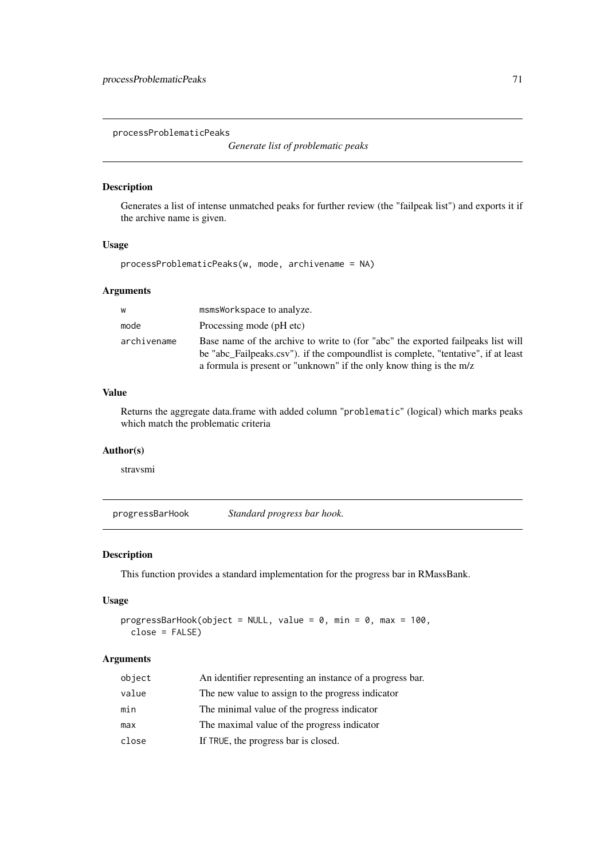processProblematicPeaks

*Generate list of problematic peaks*

#### Description

Generates a list of intense unmatched peaks for further review (the "failpeak list") and exports it if the archive name is given.

# Usage

```
processProblematicPeaks(w, mode, archivename = NA)
```
#### Arguments

| W           | msmsWorkspace to analyze.                                                                                                                                                                                                                     |
|-------------|-----------------------------------------------------------------------------------------------------------------------------------------------------------------------------------------------------------------------------------------------|
| mode        | Processing mode (pH etc)                                                                                                                                                                                                                      |
| archivename | Base name of the archive to write to (for "abc" the exported failpeaks list will<br>be "abc Failpeaks.csv"). if the compoundlist is complete, "tentative", if at least<br>a formula is present or "unknown" if the only know thing is the m/z |

# Value

Returns the aggregate data.frame with added column "problematic" (logical) which marks peaks which match the problematic criteria

# Author(s)

stravsmi

<span id="page-70-0"></span>progressBarHook *Standard progress bar hook.*

### Description

This function provides a standard implementation for the progress bar in RMassBank.

#### Usage

```
progressBarHook(object = NULL, value = 0, min = 0, max = 100,
 close = FALSE)
```

| object | An identifier representing an instance of a progress bar. |
|--------|-----------------------------------------------------------|
| value  | The new value to assign to the progress indicator         |
| min    | The minimal value of the progress indicator               |
| max    | The maximal value of the progress indicator               |
| close  | If TRUE, the progress bar is closed.                      |
|        |                                                           |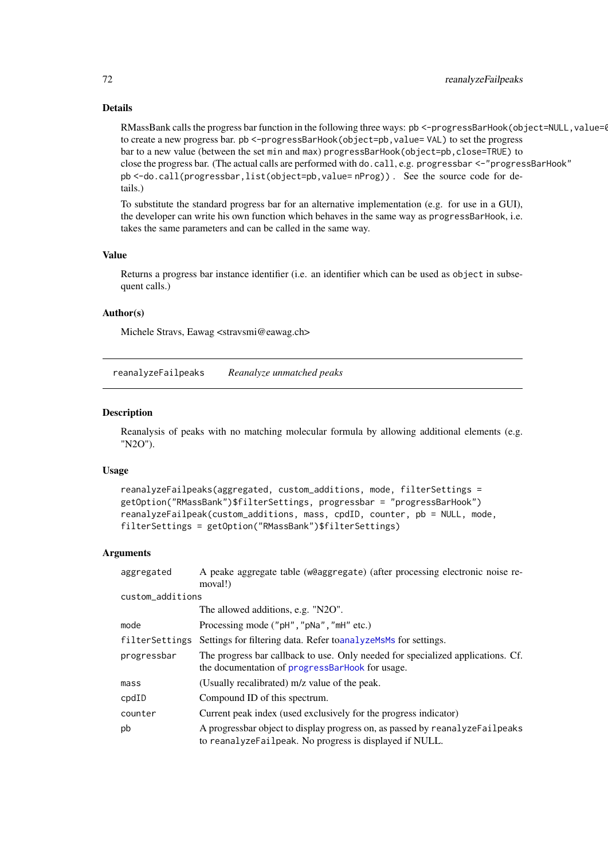### Details

RMassBank calls the progress bar function in the following three ways: pb <-progressBarHook(object=NULL, value=0, to create a new progress bar. pb <-progressBarHook(object=pb, value= VAL) to set the progress bar to a new value (between the set min and max) progressBarHook(object=pb,close=TRUE) to close the progress bar. (The actual calls are performed with do.call, e.g. progressbar <-"progressBarHook" pb <-do.call(progressbar,list(object=pb,value= nProg)) . See the source code for details.)

To substitute the standard progress bar for an alternative implementation (e.g. for use in a GUI), the developer can write his own function which behaves in the same way as progressBarHook, i.e. takes the same parameters and can be called in the same way.

## Value

Returns a progress bar instance identifier (i.e. an identifier which can be used as object in subsequent calls.)

### Author(s)

Michele Stravs, Eawag <stravsmi@eawag.ch>

reanalyzeFailpeaks *Reanalyze unmatched peaks*

#### Description

Reanalysis of peaks with no matching molecular formula by allowing additional elements (e.g. "N2O").

#### Usage

```
reanalyzeFailpeaks(aggregated, custom_additions, mode, filterSettings =
getOption("RMassBank")$filterSettings, progressbar = "progressBarHook")
reanalyzeFailpeak(custom_additions, mass, cpdID, counter, pb = NULL, mode,
filterSettings = getOption("RMassBank")$filterSettings)
```

| aggregated        | A peake aggregate table (w@aggregate) (after processing electronic noise re-<br>moval!)                                                  |  |
|-------------------|------------------------------------------------------------------------------------------------------------------------------------------|--|
| custom_additions  |                                                                                                                                          |  |
|                   | The allowed additions, e.g. "N2O".                                                                                                       |  |
| mode              | Processing mode ("pH", "pNa", "mH" etc.)                                                                                                 |  |
| filterSettings    | Settings for filtering data. Refer to analyze Ms Ms for settings.                                                                        |  |
| progressbar       | The progress bar callback to use. Only needed for specialized applications. Cf.<br>the documentation of progressBarHook for usage.       |  |
| mass <sub>S</sub> | (Usually recalibrated) m/z value of the peak.                                                                                            |  |
| $\text{cpdID}$    | Compound ID of this spectrum.                                                                                                            |  |
| counter           | Current peak index (used exclusively for the progress indicator)                                                                         |  |
| pb                | A progressbar object to display progress on, as passed by reanalyze Failpeaks<br>to reanalyzeFailpeak. No progress is displayed if NULL. |  |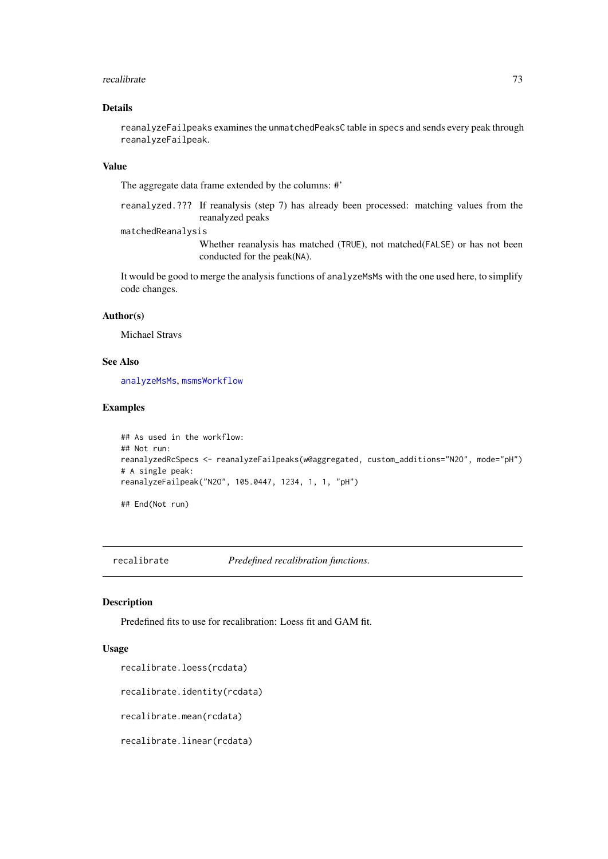#### <span id="page-72-1"></span>recalibrate 73

## Details

reanalyzeFailpeaks examines the unmatchedPeaksC table in specs and sends every peak through reanalyzeFailpeak.

# Value

The aggregate data frame extended by the columns: #'

reanalyzed.??? If reanalysis (step 7) has already been processed: matching values from the reanalyzed peaks

#### matchedReanalysis

Whether reanalysis has matched (TRUE), not matched(FALSE) or has not been conducted for the peak(NA).

It would be good to merge the analysis functions of analyzeMsMs with the one used here, to simplify code changes.

## Author(s)

Michael Stravs

# See Also

[analyzeMsMs](#page-8-0), [msmsWorkflow](#page-60-0)

## Examples

```
## As used in the workflow:
## Not run:
reanalyzedRcSpecs <- reanalyzeFailpeaks(w@aggregated, custom_additions="N2O", mode="pH")
# A single peak:
reanalyzeFailpeak("N2O", 105.0447, 1234, 1, 1, "pH")
```
## End(Not run)

recalibrate *Predefined recalibration functions.*

# <span id="page-72-0"></span>Description

Predefined fits to use for recalibration: Loess fit and GAM fit.

# Usage

```
recalibrate.loess(rcdata)
```
recalibrate.identity(rcdata)

recalibrate.mean(rcdata)

recalibrate.linear(rcdata)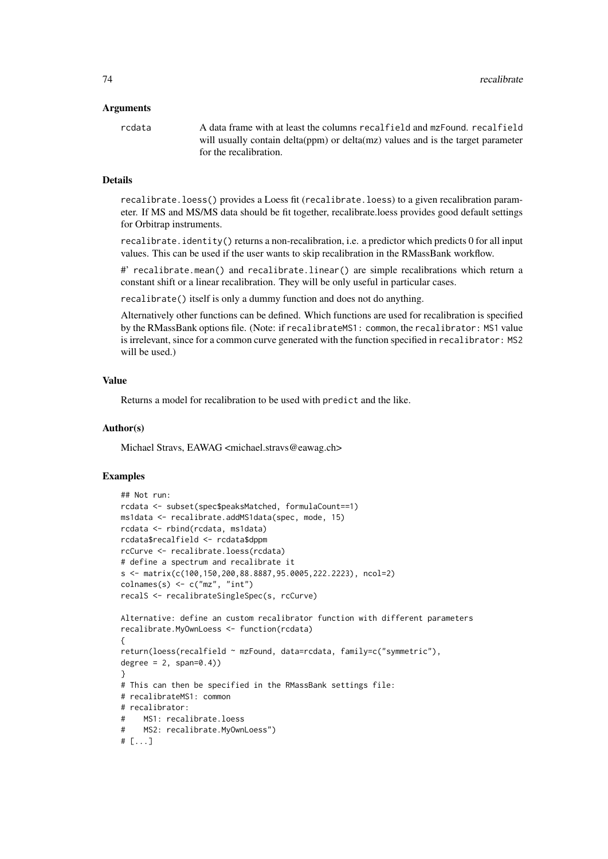## Arguments

rcdata A data frame with at least the columns recalfield and mzFound. recalfield will usually contain delta(ppm) or delta(mz) values and is the target parameter for the recalibration.

#### Details

recalibrate.loess() provides a Loess fit (recalibrate.loess) to a given recalibration parameter. If MS and MS/MS data should be fit together, recalibrate.loess provides good default settings for Orbitrap instruments.

recalibrate.identity() returns a non-recalibration, i.e. a predictor which predicts 0 for all input values. This can be used if the user wants to skip recalibration in the RMassBank workflow.

#' recalibrate.mean() and recalibrate.linear() are simple recalibrations which return a constant shift or a linear recalibration. They will be only useful in particular cases.

recalibrate() itself is only a dummy function and does not do anything.

Alternatively other functions can be defined. Which functions are used for recalibration is specified by the RMassBank options file. (Note: if recalibrateMS1: common, the recalibrator: MS1 value is irrelevant, since for a common curve generated with the function specified in recalibrator: MS2 will be used.)

#### Value

Returns a model for recalibration to be used with predict and the like.

#### Author(s)

Michael Stravs, EAWAG <michael.stravs@eawag.ch>

```
## Not run:
rcdata <- subset(spec$peaksMatched, formulaCount==1)
ms1data <- recalibrate.addMS1data(spec, mode, 15)
rcdata <- rbind(rcdata, ms1data)
rcdata$recalfield <- rcdata$dppm
rcCurve <- recalibrate.loess(rcdata)
# define a spectrum and recalibrate it
s <- matrix(c(100,150,200,88.8887,95.0005,222.2223), ncol=2)
\text{columns}(s) \leq c("mz", "int")recalS <- recalibrateSingleSpec(s, rcCurve)
Alternative: define an custom recalibrator function with different parameters
recalibrate.MyOwnLoess <- function(rcdata)
{
return(loess(recalfield ~ mzFound, data=rcdata, family=c("symmetric"),
degree = 2, span=0.4))
}
# This can then be specified in the RMassBank settings file:
# recalibrateMS1: common
# recalibrator:
# MS1: recalibrate.loess
# MS2: recalibrate.MyOwnLoess")
# [...]
```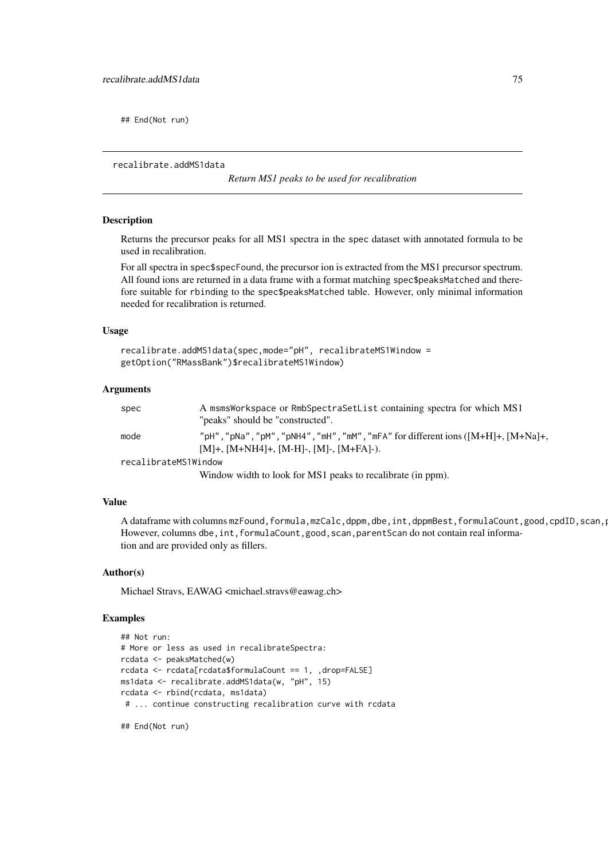<span id="page-74-0"></span>## End(Not run)

recalibrate.addMS1data

*Return MS1 peaks to be used for recalibration*

#### Description

Returns the precursor peaks for all MS1 spectra in the spec dataset with annotated formula to be used in recalibration.

For all spectra in spec\$specFound, the precursor ion is extracted from the MS1 precursor spectrum. All found ions are returned in a data frame with a format matching spec\$peaksMatched and therefore suitable for rbinding to the spec\$peaksMatched table. However, only minimal information needed for recalibration is returned.

# Usage

```
recalibrate.addMS1data(spec,mode="pH", recalibrateMS1Window =
getOption("RMassBank")$recalibrateMS1Window)
```
#### Arguments

| spec                 | A msmsWorkspace or RmbSpectraSetList containing spectra for which MS1                   |
|----------------------|-----------------------------------------------------------------------------------------|
|                      | "peaks" should be "constructed".                                                        |
| mode                 | "pH", "pNa", "pM", "pNH4", "mH", "mM", "mFA" for different ions $([M+H]+$ , $[M+Na]+$ , |
|                      | $[M]+$ , $[M+NH4]+$ , $[M-H]$ -, $[M]$ -, $[M+FA]$ -).                                  |
| recalibrateMS1Window |                                                                                         |

Window width to look for MS1 peaks to recalibrate (in ppm).

# Value

A dataframe with columns mzFound,formula,mzCalc,dppm,dbe,int,dppmBest,formulaCount,good,cpdID,scan, However, columns dbe, int, formulaCount, good, scan, parentScan do not contain real information and are provided only as fillers.

#### Author(s)

Michael Stravs, EAWAG <michael.stravs@eawag.ch>

```
## Not run:
# More or less as used in recalibrateSpectra:
rcdata <- peaksMatched(w)
rcdata <- rcdata[rcdata$formulaCount == 1, ,drop=FALSE]
ms1data <- recalibrate.addMS1data(w, "pH", 15)
rcdata <- rbind(rcdata, ms1data)
 # ... continue constructing recalibration curve with rcdata
## End(Not run)
```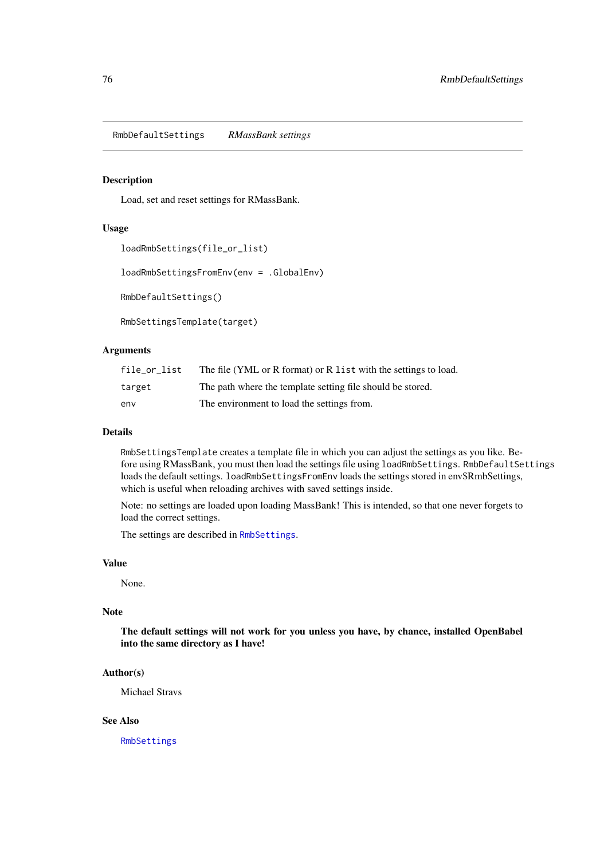<span id="page-75-2"></span><span id="page-75-1"></span>RmbDefaultSettings *RMassBank settings*

#### <span id="page-75-0"></span>Description

Load, set and reset settings for RMassBank.

# Usage

```
loadRmbSettings(file_or_list)
```
loadRmbSettingsFromEnv(env = .GlobalEnv)

RmbDefaultSettings()

RmbSettingsTemplate(target)

## Arguments

| file or list | The file (YML or R format) or R list with the settings to load. |
|--------------|-----------------------------------------------------------------|
| target       | The path where the template setting file should be stored.      |
| env          | The environment to load the settings from.                      |

# Details

RmbSettingsTemplate creates a template file in which you can adjust the settings as you like. Before using RMassBank, you must then load the settings file using loadRmbSettings. RmbDefaultSettings loads the default settings. loadRmbSettingsFromEnv loads the settings stored in env\$RmbSettings, which is useful when reloading archives with saved settings inside.

Note: no settings are loaded upon loading MassBank! This is intended, so that one never forgets to load the correct settings.

The settings are described in [RmbSettings](#page-76-0).

# Value

None.

#### Note

The default settings will not work for you unless you have, by chance, installed OpenBabel into the same directory as I have!

#### Author(s)

Michael Stravs

# See Also

[RmbSettings](#page-76-0)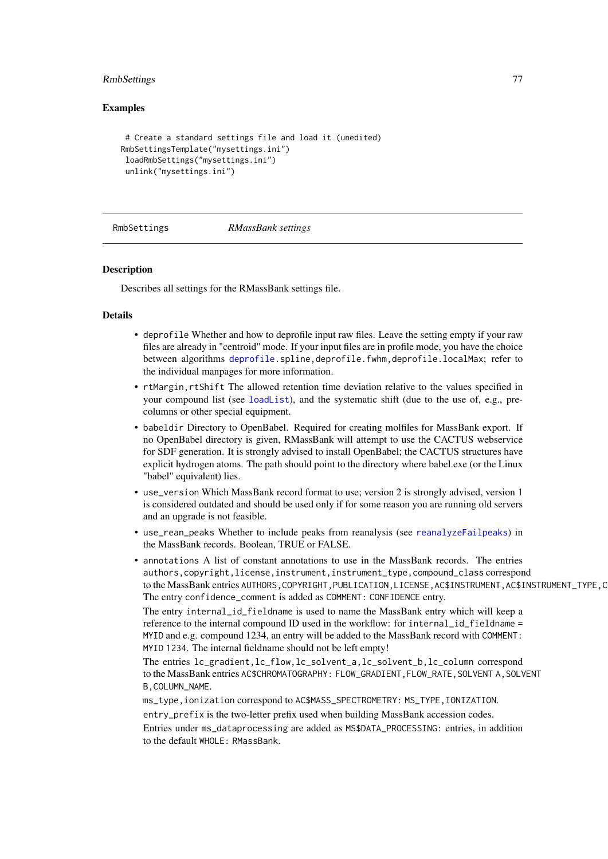## <span id="page-76-1"></span>RmbSettings 77

#### Examples

```
# Create a standard settings file and load it (unedited)
RmbSettingsTemplate("mysettings.ini")
 loadRmbSettings("mysettings.ini")
 unlink("mysettings.ini")
```
<span id="page-76-0"></span>

RmbSettings *RMassBank settings*

#### **Description**

Describes all settings for the RMassBank settings file.

#### Details

- deprofile Whether and how to deprofile input raw files. Leave the setting empty if your raw files are already in "centroid" mode. If your input files are in profile mode, you have the choice between algorithms [deprofile.](#page-19-0)spline,deprofile.fwhm,deprofile.localMax; refer to the individual manpages for more information.
- rtMargin,rtShift The allowed retention time deviation relative to the values specified in your compound list (see [loadList](#page-51-0)), and the systematic shift (due to the use of, e.g., precolumns or other special equipment.
- babeldir Directory to OpenBabel. Required for creating molfiles for MassBank export. If no OpenBabel directory is given, RMassBank will attempt to use the CACTUS webservice for SDF generation. It is strongly advised to install OpenBabel; the CACTUS structures have explicit hydrogen atoms. The path should point to the directory where babel.exe (or the Linux "babel" equivalent) lies.
- use\_version Which MassBank record format to use; version 2 is strongly advised, version 1 is considered outdated and should be used only if for some reason you are running old servers and an upgrade is not feasible.
- use\_rean\_peaks Whether to include peaks from reanalysis (see [reanalyzeFailpeaks](#page-71-0)) in the MassBank records. Boolean, TRUE or FALSE.
- annotations A list of constant annotations to use in the MassBank records. The entries authors,copyright,license,instrument,instrument\_type,compound\_class correspond to the MassBank entries AUTHORS, COPYRIGHT, PUBLICATION, LICENSE, AC\$INSTRUMENT, AC\$INSTRUMENT\_TYPE, C The entry confidence\_comment is added as COMMENT: CONFIDENCE entry.

The entry internal\_id\_fieldname is used to name the MassBank entry which will keep a reference to the internal compound ID used in the workflow: for internal\_id\_fieldname = MYID and e.g. compound 1234, an entry will be added to the MassBank record with COMMENT: MYID 1234. The internal fieldname should not be left empty!

The entries lc\_gradient,lc\_flow,lc\_solvent\_a,lc\_solvent\_b,lc\_column correspond to the MassBank entries AC\$CHROMATOGRAPHY: FLOW\_GRADIENT,FLOW\_RATE,SOLVENT A,SOLVENT B,COLUMN\_NAME.

ms\_type,ionization correspond to AC\$MASS\_SPECTROMETRY: MS\_TYPE,IONIZATION. entry\_prefix is the two-letter prefix used when building MassBank accession codes. Entries under ms\_dataprocessing are added as MS\$DATA\_PROCESSING: entries, in addition

to the default WHOLE: RMassBank.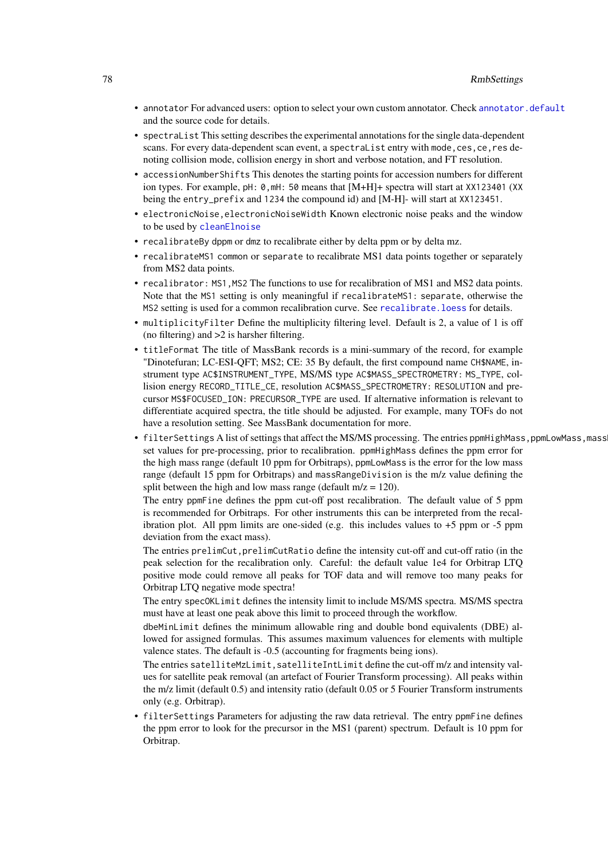- <span id="page-77-0"></span>• annotator For advanced users: option to select your own custom annotator. Check annotator. default and the source code for details.
- spectraList This setting describes the experimental annotations for the single data-dependent scans. For every data-dependent scan event, a spectraList entry with mode,ces,ce,res denoting collision mode, collision energy in short and verbose notation, and FT resolution.
- accessionNumberShifts This denotes the starting points for accession numbers for different ion types. For example, pH: 0,mH: 50 means that [M+H]+ spectra will start at XX123401 (XX being the entry\_prefix and 1234 the compound id) and [M-H]- will start at XX123451.
- electronicNoise,electronicNoiseWidth Known electronic noise peaks and the window to be used by [cleanElnoise](#page-13-0)
- recalibrateBy dppm or dmz to recalibrate either by delta ppm or by delta mz.
- recalibrateMS1 common or separate to recalibrate MS1 data points together or separately from MS2 data points.
- recalibrator: MS1,MS2 The functions to use for recalibration of MS1 and MS2 data points. Note that the MS1 setting is only meaningful if recalibrateMS1: separate, otherwise the MS2 setting is used for a common recalibration curve. See [recalibrate.loess](#page-72-0) for details.
- multiplicityFilter Define the multiplicity filtering level. Default is 2, a value of 1 is off (no filtering) and >2 is harsher filtering.
- titleFormat The title of MassBank records is a mini-summary of the record, for example "Dinotefuran; LC-ESI-QFT; MS2; CE: 35 By default, the first compound name CH\$NAME, instrument type AC\$INSTRUMENT\_TYPE, MS/MS type AC\$MASS\_SPECTROMETRY: MS\_TYPE, collision energy RECORD\_TITLE\_CE, resolution AC\$MASS\_SPECTROMETRY: RESOLUTION and precursor MS\$FOCUSED\_ION: PRECURSOR\_TYPE are used. If alternative information is relevant to differentiate acquired spectra, the title should be adjusted. For example, many TOFs do not have a resolution setting. See MassBank documentation for more.
- filterSettings A list of settings that affect the MS/MS processing. The entries ppmHighMass,ppmLowMass,mass set values for pre-processing, prior to recalibration. ppmHighMass defines the ppm error for the high mass range (default 10 ppm for Orbitraps), ppmLowMass is the error for the low mass range (default 15 ppm for Orbitraps) and massRangeDivision is the m/z value defining the split between the high and low mass range (default  $m/z = 120$ ).

The entry ppmFine defines the ppm cut-off post recalibration. The default value of 5 ppm is recommended for Orbitraps. For other instruments this can be interpreted from the recalibration plot. All ppm limits are one-sided (e.g. this includes values to  $+5$  ppm or  $-5$  ppm deviation from the exact mass).

The entries prelimCut,prelimCutRatio define the intensity cut-off and cut-off ratio (in the peak selection for the recalibration only. Careful: the default value 1e4 for Orbitrap LTQ positive mode could remove all peaks for TOF data and will remove too many peaks for Orbitrap LTQ negative mode spectra!

The entry specOKLimit defines the intensity limit to include MS/MS spectra. MS/MS spectra must have at least one peak above this limit to proceed through the workflow.

dbeMinLimit defines the minimum allowable ring and double bond equivalents (DBE) allowed for assigned formulas. This assumes maximum valuences for elements with multiple valence states. The default is -0.5 (accounting for fragments being ions).

The entries satelliteMzLimit, satelliteIntLimit define the cut-off m/z and intensity values for satellite peak removal (an artefact of Fourier Transform processing). All peaks within the m/z limit (default 0.5) and intensity ratio (default 0.05 or 5 Fourier Transform instruments only (e.g. Orbitrap).

• filterSettings Parameters for adjusting the raw data retrieval. The entry ppmFine defines the ppm error to look for the precursor in the MS1 (parent) spectrum. Default is 10 ppm for Orbitrap.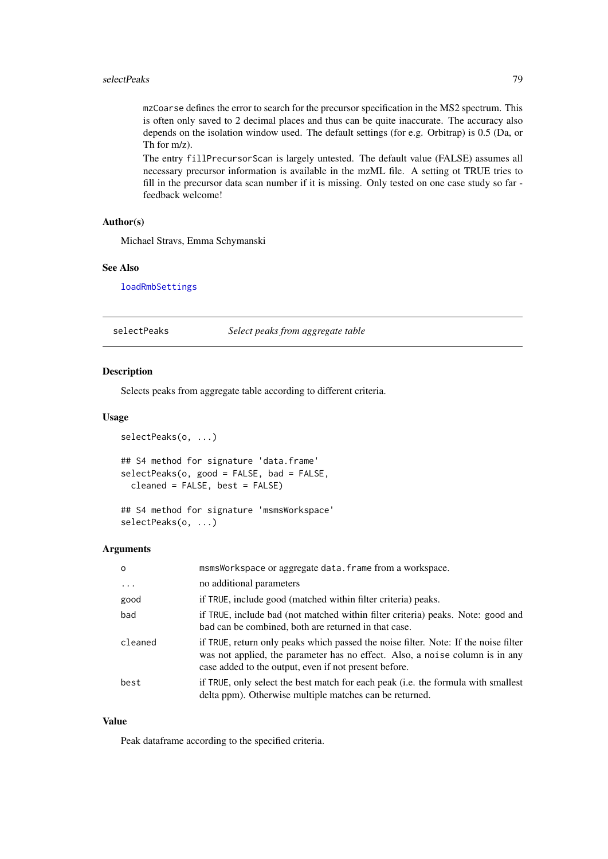<span id="page-78-0"></span>mzCoarse defines the error to search for the precursor specification in the MS2 spectrum. This is often only saved to 2 decimal places and thus can be quite inaccurate. The accuracy also depends on the isolation window used. The default settings (for e.g. Orbitrap) is 0.5 (Da, or Th for m/z).

The entry fillPrecursorScan is largely untested. The default value (FALSE) assumes all necessary precursor information is available in the mzML file. A setting ot TRUE tries to fill in the precursor data scan number if it is missing. Only tested on one case study so far feedback welcome!

## Author(s)

Michael Stravs, Emma Schymanski

#### See Also

[loadRmbSettings](#page-75-0)

selectPeaks *Select peaks from aggregate table*

#### Description

Selects peaks from aggregate table according to different criteria.

## Usage

```
selectPeaks(o, ...)
## S4 method for signature 'data.frame'
selectPeaks(o, good = FALSE, bad = FALSE,
 cleaned = FALSE, best = FALSE)
```

```
## S4 method for signature 'msmsWorkspace'
selectPeaks(o, ...)
```
#### Arguments

| $\circ$   | msmsWorkspace or aggregate data. frame from a workspace.                                                                                                                                                                     |
|-----------|------------------------------------------------------------------------------------------------------------------------------------------------------------------------------------------------------------------------------|
| $\ddotsc$ | no additional parameters                                                                                                                                                                                                     |
| good      | if TRUE, include good (matched within filter criteria) peaks.                                                                                                                                                                |
| bad       | if TRUE, include bad (not matched within filter criteria) peaks. Note: good and<br>bad can be combined, both are returned in that case.                                                                                      |
| cleaned   | if TRUE, return only peaks which passed the noise filter. Note: If the noise filter<br>was not applied, the parameter has no effect. Also, a noise column is in any<br>case added to the output, even if not present before. |
| best      | if TRUE, only select the best match for each peak (i.e. the formula with smallest<br>delta ppm). Otherwise multiple matches can be returned.                                                                                 |

# Value

Peak dataframe according to the specified criteria.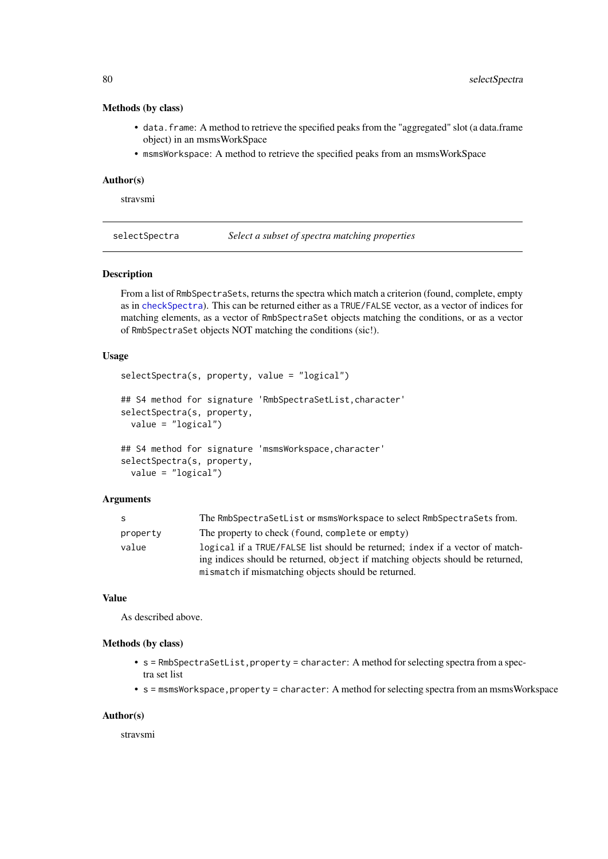#### Methods (by class)

- data.frame: A method to retrieve the specified peaks from the "aggregated" slot (a data.frame object) in an msmsWorkSpace
- msmsWorkspace: A method to retrieve the specified peaks from an msmsWorkSpace

#### Author(s)

stravsmi

selectSpectra *Select a subset of spectra matching properties*

#### Description

From a list of RmbSpectraSets, returns the spectra which match a criterion (found, complete, empty as in [checkSpectra](#page-12-0)). This can be returned either as a TRUE/FALSE vector, as a vector of indices for matching elements, as a vector of RmbSpectraSet objects matching the conditions, or as a vector of RmbSpectraSet objects NOT matching the conditions (sic!).

# Usage

```
selectSpectra(s, property, value = "logical")
## S4 method for signature 'RmbSpectraSetList, character'
selectSpectra(s, property,
  value = "logical")
## S4 method for signature 'msmsWorkspace, character'
selectSpectra(s, property,
  value = "logical")
```
#### Arguments

| -S       | The RmbSpectraSetList or msmsWorkspace to select RmbSpectraSets from.                                                                                                                                                 |
|----------|-----------------------------------------------------------------------------------------------------------------------------------------------------------------------------------------------------------------------|
| property | The property to check (found, complete or empty)                                                                                                                                                                      |
| value    | logical if a TRUE/FALSE list should be returned; index if a vector of match-<br>ing indices should be returned, object if matching objects should be returned.<br>mismatch if mismatching objects should be returned. |

# Value

As described above.

#### Methods (by class)

- s = RmbSpectraSetList, property = character: A method for selecting spectra from a spectra set list
- s = msmsWorkspace, property = character: A method for selecting spectra from an msmsWorkspace

## Author(s)

stravsmi

<span id="page-79-0"></span>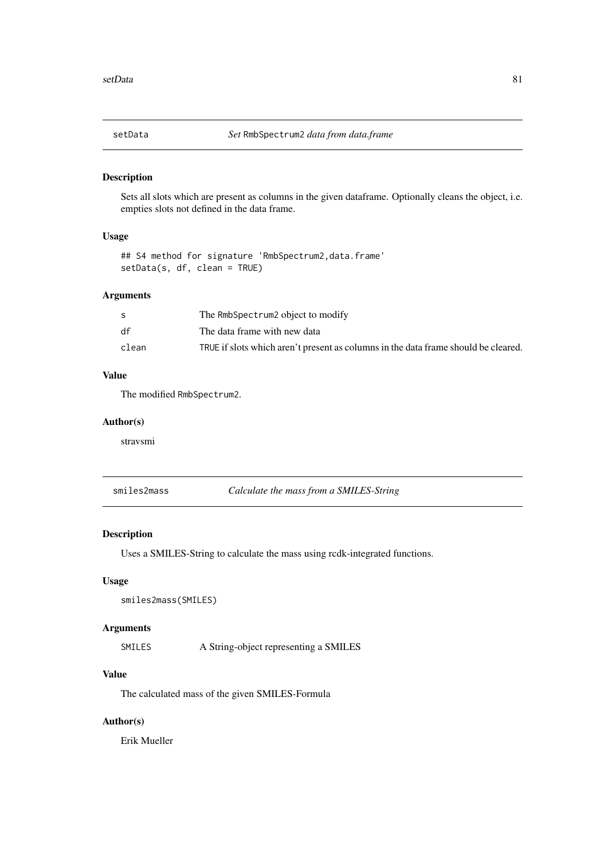<span id="page-80-0"></span>

Sets all slots which are present as columns in the given dataframe. Optionally cleans the object, i.e. empties slots not defined in the data frame.

# Usage

```
## S4 method for signature 'RmbSpectrum2,data.frame'
setData(s, df, clean = TRUE)
```
# Arguments

|       | The RmbSpectrum2 object to modify                                                  |
|-------|------------------------------------------------------------------------------------|
| df    | The data frame with new data                                                       |
| clean | TRUE if slots which aren't present as columns in the data frame should be cleared. |

# Value

The modified RmbSpectrum2.

# Author(s)

stravsmi

smiles2mass *Calculate the mass from a SMILES-String*

# Description

Uses a SMILES-String to calculate the mass using rcdk-integrated functions.

# Usage

```
smiles2mass(SMILES)
```
# Arguments

SMILES A String-object representing a SMILES

# Value

The calculated mass of the given SMILES-Formula

# Author(s)

Erik Mueller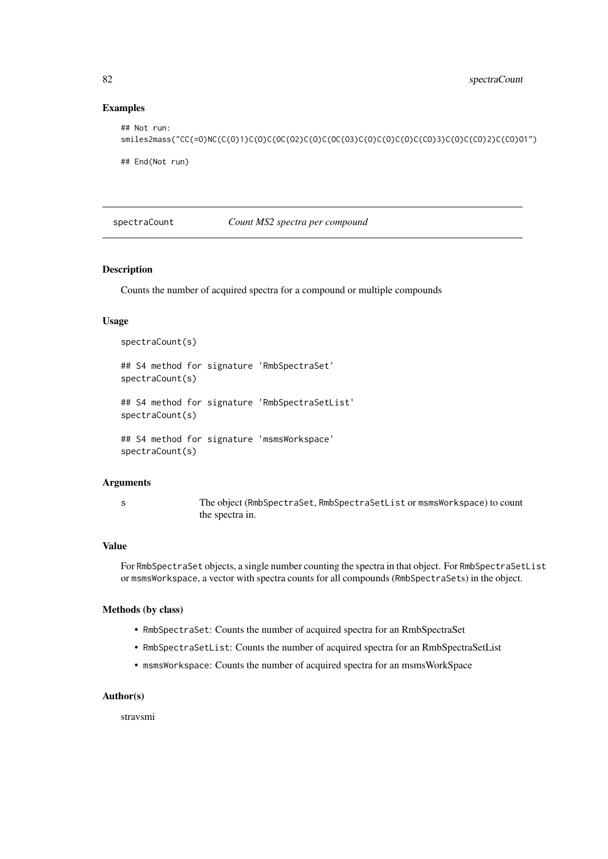# Examples

```
## Not run:
smiles2mass("CC(=O)NC(C(O)1)C(O)C(OC(O2)C(O)C(OC(O3)C(O)C(O)C(O)C(CO)3)C(O)C(CO)2)C(CO)O1")
## End(Not run)
```
#### spectraCount *Count MS2 spectra per compound*

## Description

Counts the number of acquired spectra for a compound or multiple compounds

## Usage

```
spectraCount(s)
## S4 method for signature 'RmbSpectraSet'
spectraCount(s)
## S4 method for signature 'RmbSpectraSetList'
spectraCount(s)
## S4 method for signature 'msmsWorkspace'
spectraCount(s)
```
#### Arguments

s The object (RmbSpectraSet, RmbSpectraSetList or msmsWorkspace) to count the spectra in.

#### Value

For RmbSpectraSet objects, a single number counting the spectra in that object. For RmbSpectraSetList or msmsWorkspace, a vector with spectra counts for all compounds (RmbSpectraSets) in the object.

#### Methods (by class)

- RmbSpectraSet: Counts the number of acquired spectra for an RmbSpectraSet
- RmbSpectraSetList: Counts the number of acquired spectra for an RmbSpectraSetList
- msmsWorkspace: Counts the number of acquired spectra for an msmsWorkSpace

#### Author(s)

stravsmi

<span id="page-81-0"></span>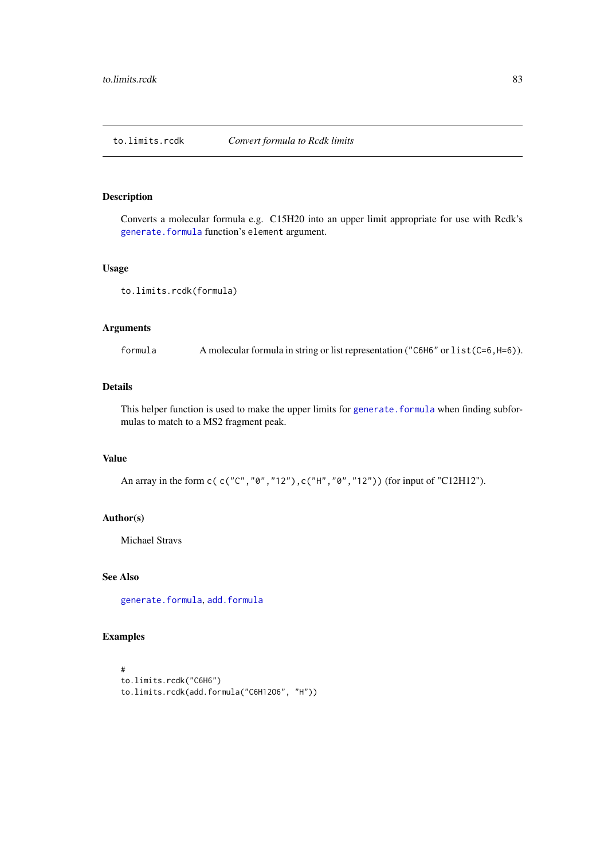<span id="page-82-0"></span>

Converts a molecular formula e.g. C15H20 into an upper limit appropriate for use with Rcdk's [generate.formula](#page-0-0) function's element argument.

## Usage

```
to.limits.rcdk(formula)
```
# Arguments

formula A molecular formula in string or list representation ("C6H6" or list(C=6,H=6)).

# Details

This helper function is used to make the upper limits for generate. formula when finding subformulas to match to a MS2 fragment peak.

## Value

An array in the form c( c("C", "0", "12"), c("H", "0", "12")) (for input of "C12H12").

## Author(s)

Michael Stravs

# See Also

[generate.formula](#page-0-0), [add.formula](#page-2-0)

```
#
to.limits.rcdk("C6H6")
to.limits.rcdk(add.formula("C6H12O6", "H"))
```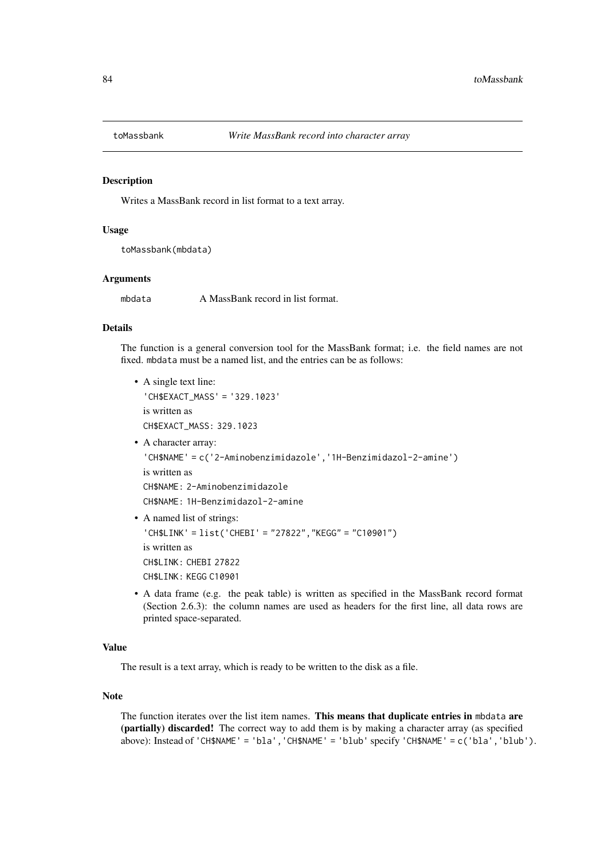<span id="page-83-0"></span>

Writes a MassBank record in list format to a text array.

## Usage

toMassbank(mbdata)

#### Arguments

mbdata A MassBank record in list format.

## Details

The function is a general conversion tool for the MassBank format; i.e. the field names are not fixed. mbdata must be a named list, and the entries can be as follows:

- A single text line: 'CH\$EXACT\_MASS' = '329.1023' is written as CH\$EXACT\_MASS: 329.1023 • A character array: 'CH\$NAME' = c('2-Aminobenzimidazole','1H-Benzimidazol-2-amine') is written as CH\$NAME: 2-Aminobenzimidazole CH\$NAME: 1H-Benzimidazol-2-amine • A named list of strings:
- 'CH\$LINK' = list('CHEBI' = "27822","KEGG" = "C10901") is written as CH\$LINK: CHEBI 27822 CH\$LINK: KFGG C10901
- A data frame (e.g. the peak table) is written as specified in the MassBank record format (Section 2.6.3): the column names are used as headers for the first line, all data rows are printed space-separated.

# Value

The result is a text array, which is ready to be written to the disk as a file.

# Note

The function iterates over the list item names. This means that duplicate entries in mbdata are (partially) discarded! The correct way to add them is by making a character array (as specified above): Instead of 'CH\$NAME' = 'bla','CH\$NAME' = 'blub' specify 'CH\$NAME' = c('bla','blub').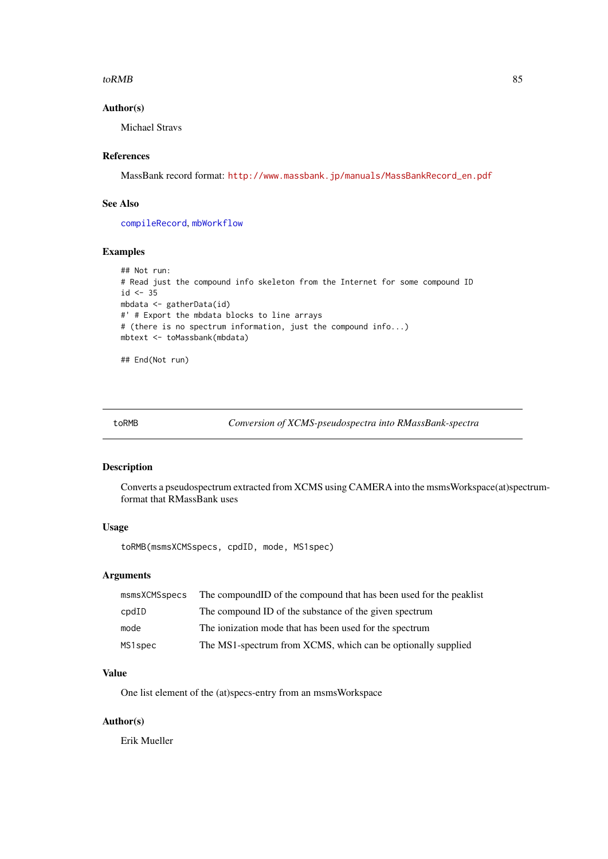#### <span id="page-84-0"></span> $t$ o $RMB$  and  $\sim$  85

# Author(s)

Michael Stravs

# References

MassBank record format: [http://www.massbank.jp/manuals/MassBankRecord\\_en.pdf](http://www.massbank.jp/manuals/MassBankRecord_en.pdf)

## See Also

[compileRecord](#page-15-0), [mbWorkflow](#page-55-0)

# Examples

```
## Not run:
# Read just the compound info skeleton from the Internet for some compound ID
id \leftarrow 35mbdata <- gatherData(id)
#' # Export the mbdata blocks to line arrays
# (there is no spectrum information, just the compound info...)
mbtext <- toMassbank(mbdata)
```
## End(Not run)

toRMB *Conversion of XCMS-pseudospectra into RMassBank-spectra*

#### Description

Converts a pseudospectrum extracted from XCMS using CAMERA into the msmsWorkspace(at)spectrumformat that RMassBank uses

# Usage

toRMB(msmsXCMSspecs, cpdID, mode, MS1spec)

# Arguments

| msmsXCMSspecs | The compound ID of the compound that has been used for the peaklist |
|---------------|---------------------------------------------------------------------|
| cpdID         | The compound ID of the substance of the given spectrum              |
| mode          | The ionization mode that has been used for the spectrum             |
| MS1spec       | The MS1-spectrum from XCMS, which can be optionally supplied        |

## Value

One list element of the (at)specs-entry from an msmsWorkspace

# Author(s)

Erik Mueller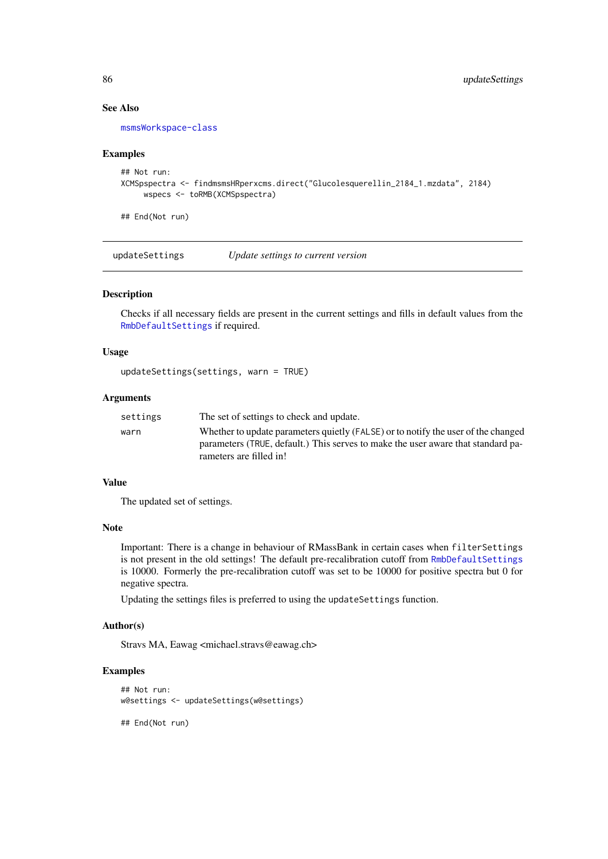# See Also

[msmsWorkspace-class](#page-61-0)

## Examples

```
## Not run:
XCMSpspectra <- findmsmsHRperxcms.direct("Glucolesquerellin_2184_1.mzdata", 2184)
     wspecs <- toRMB(XCMSpspectra)
```
## End(Not run)

updateSettings *Update settings to current version*

## Description

Checks if all necessary fields are present in the current settings and fills in default values from the [RmbDefaultSettings](#page-75-1) if required.

## Usage

```
updateSettings(settings, warn = TRUE)
```
## Arguments

| settings | The set of settings to check and update.                                                                                                                                                         |
|----------|--------------------------------------------------------------------------------------------------------------------------------------------------------------------------------------------------|
| warn     | Whether to update parameters quietly (FALSE) or to notify the user of the changed<br>parameters (TRUE, default.) This serves to make the user aware that standard pa-<br>rameters are filled in! |
|          |                                                                                                                                                                                                  |

## Value

The updated set of settings.

#### Note

Important: There is a change in behaviour of RMassBank in certain cases when filterSettings is not present in the old settings! The default pre-recalibration cutoff from [RmbDefaultSettings](#page-75-1) is 10000. Formerly the pre-recalibration cutoff was set to be 10000 for positive spectra but 0 for negative spectra.

Updating the settings files is preferred to using the updateSettings function.

## Author(s)

Stravs MA, Eawag <michael.stravs@eawag.ch>

```
## Not run:
w@settings <- updateSettings(w@settings)
## End(Not run)
```
<span id="page-85-0"></span>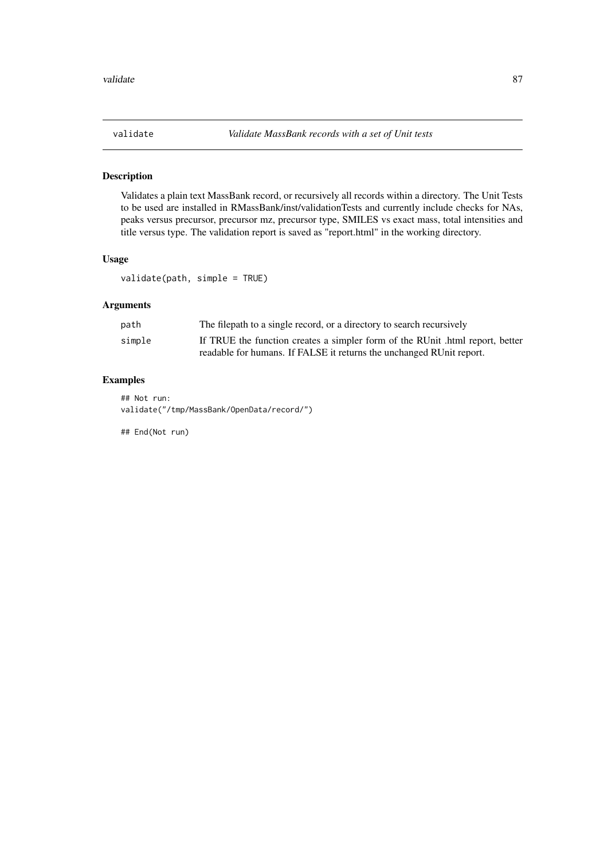<span id="page-86-0"></span>

Validates a plain text MassBank record, or recursively all records within a directory. The Unit Tests to be used are installed in RMassBank/inst/validationTests and currently include checks for NAs, peaks versus precursor, precursor mz, precursor type, SMILES vs exact mass, total intensities and title versus type. The validation report is saved as "report.html" in the working directory.

# Usage

validate(path, simple = TRUE)

# Arguments

| path   | The filepath to a single record, or a directory to search recursively         |
|--------|-------------------------------------------------------------------------------|
| simple | If TRUE the function creates a simpler form of the RUnit .html report, better |
|        | readable for humans. If FALSE it returns the unchanged RUnit report.          |

# Examples

## Not run: validate("/tmp/MassBank/OpenData/record/")

## End(Not run)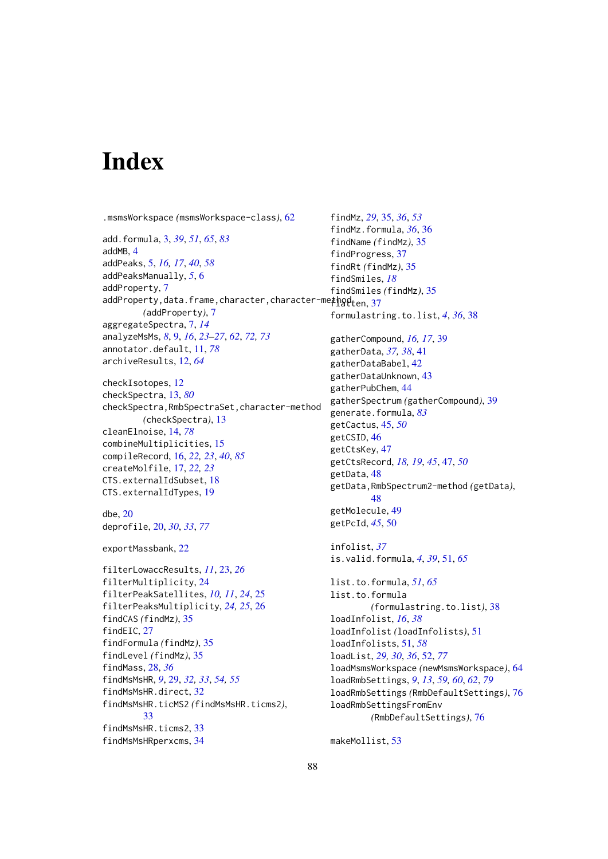# Index

.msmsWorkspace *(*msmsWorkspace-class*)*, [62](#page-61-1)

add.formula, [3,](#page-2-1) *[39](#page-38-0)*, *[51](#page-50-0)*, *[65](#page-64-0)*, *[83](#page-82-0)* addMB, [4](#page-3-0) addPeaks, [5,](#page-4-0) *[16,](#page-15-1) [17](#page-16-0)*, *[40](#page-39-0)*, *[58](#page-57-0)* addPeaksManually, *[5](#page-4-0)*, [6](#page-5-0) addProperty, [7](#page-6-0)  $addProperty, data. frame, character, character -me\n$ *(*addProperty*)*, [7](#page-6-0) aggregateSpectra, [7,](#page-6-0) *[14](#page-13-1)* analyzeMsMs, *[8](#page-7-0)*, [9,](#page-8-1) *[16](#page-15-1)*, *[23–](#page-22-0)[27](#page-26-0)*, *[62](#page-61-1)*, *[72,](#page-71-1) [73](#page-72-1)* annotator.default, [11,](#page-10-1) *[78](#page-77-0)* archiveResults, [12,](#page-11-0) *[64](#page-63-0)*

checkIsotopes, [12](#page-11-0) checkSpectra, [13,](#page-12-1) *[80](#page-79-0)* checkSpectra,RmbSpectraSet,character-method *(*checkSpectra*)*, [13](#page-12-1) cleanElnoise, [14,](#page-13-1) *[78](#page-77-0)* combineMultiplicities, [15](#page-14-0) compileRecord, [16,](#page-15-1) *[22,](#page-21-0) [23](#page-22-0)*, *[40](#page-39-0)*, *[85](#page-84-0)* createMolfile, [17,](#page-16-0) *[22,](#page-21-0) [23](#page-22-0)* CTS.externalIdSubset, [18](#page-17-0) CTS.externalIdTypes, [19](#page-18-0)

```
dbe, 20
deprofile, 20, 30, 33, 77
```

```
exportMassbank, 22
```

```
filterLowaccResults, 11, 23, 26
filterMultiplicity, 24
filterPeakSatellites, 10, 11, 24, 25
filterPeaksMultiplicity, 24, 25, 26
findCAS (findMz), 35
findEIC, 27
findFormula (findMz), 35
findLevel (findMz), 35
findMass, 28, 36
findMsMsHR, 9, 29, 32, 33, 54, 55
findMsMsHR.direct, 32
findMsMsHR.ticMS2 (findMsMsHR.ticms2),
        33
findMsMsHR.ticms2, 33
findMsMsHRperxcms, 34
```
findMz, *[29](#page-28-0)*, [35,](#page-34-0) *[36](#page-35-0)*, *[53](#page-52-0)* findMz.formula, *[36](#page-35-0)*, [36](#page-35-0) findName *(*findMz*)*, [35](#page-34-0) findProgress, [37](#page-36-0) findRt *(*findMz*)*, [35](#page-34-0) findSmiles, *[18](#page-17-0)* findSmiles *(*findMz*)*, [35](#page-34-0) formulastring.to.list, *[4](#page-3-0)*, *[36](#page-35-0)*, [38](#page-37-0) gatherCompound, *[16,](#page-15-1) [17](#page-16-0)*, [39](#page-38-0) gatherData, *[37,](#page-36-0) [38](#page-37-0)*, [41](#page-40-0) gatherDataBabel, [42](#page-41-0) gatherDataUnknown, [43](#page-42-0) gatherPubChem, [44](#page-43-0) gatherSpectrum *(*gatherCompound*)*, [39](#page-38-0) generate.formula, *[83](#page-82-0)* getCactus, [45,](#page-44-0) *[50](#page-49-0)* getCSID, [46](#page-45-0) getCtsKey, [47](#page-46-0) getCtsRecord, *[18,](#page-17-0) [19](#page-18-0)*, *[45](#page-44-0)*, [47,](#page-46-0) *[50](#page-49-0)* getData, [48](#page-47-0) getData,RmbSpectrum2-method *(*getData*)*, [48](#page-47-0) getMolecule, [49](#page-48-0) getPcId, *[45](#page-44-0)*, [50](#page-49-0) infolist, *[37](#page-36-0)* is.valid.formula, *[4](#page-3-0)*, *[39](#page-38-0)*, [51,](#page-50-0) *[65](#page-64-0)* list.to.formula, *[51](#page-50-0)*, *[65](#page-64-0)* list.to.formula *(*formulastring.to.list*)*, [38](#page-37-0) loadInfolist, *[16](#page-15-1)*, *[38](#page-37-0)* loadInfolist *(*loadInfolists*)*, [51](#page-50-0) loadInfolists, [51,](#page-50-0) *[58](#page-57-0)* loadList, *[29,](#page-28-0) [30](#page-29-0)*, *[36](#page-35-0)*, [52,](#page-51-1) *[77](#page-76-1)* loadMsmsWorkspace *(*newMsmsWorkspace*)*, [64](#page-63-0) loadRmbSettings, *[9](#page-8-1)*, *[13](#page-12-1)*, *[59,](#page-58-0) [60](#page-59-0)*, *[62](#page-61-1)*, *[79](#page-78-0)* loadRmbSettings *(*RmbDefaultSettings*)*, [76](#page-75-2) loadRmbSettingsFromEnv *(*RmbDefaultSettings*)*, [76](#page-75-2)

makeMollist, [53](#page-52-0)